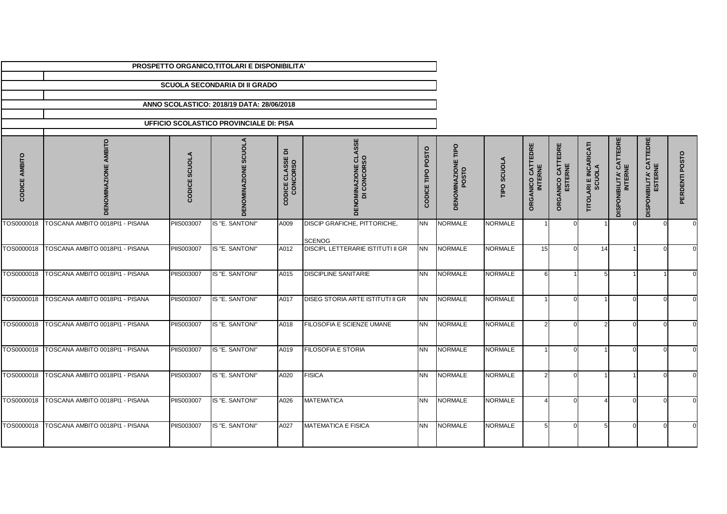|                  |                                 |                   | PROSPETTO ORGANICO, TITOLARI E DISPONIBILITA' |                                      |                                               |                   |                                     |                |                                        |                              |                                         |                                            |                                            |                |
|------------------|---------------------------------|-------------------|-----------------------------------------------|--------------------------------------|-----------------------------------------------|-------------------|-------------------------------------|----------------|----------------------------------------|------------------------------|-----------------------------------------|--------------------------------------------|--------------------------------------------|----------------|
|                  |                                 |                   | <b>SCUOLA SECONDARIA DI II GRADO</b>          |                                      |                                               |                   |                                     |                |                                        |                              |                                         |                                            |                                            |                |
|                  |                                 |                   | ANNO SCOLASTICO: 2018/19 DATA: 28/06/2018     |                                      |                                               |                   |                                     |                |                                        |                              |                                         |                                            |                                            |                |
|                  |                                 |                   |                                               |                                      |                                               |                   |                                     |                |                                        |                              |                                         |                                            |                                            |                |
|                  |                                 |                   | UFFICIO SCOLASTICO PROVINCIALE DI: PISA       |                                      |                                               |                   |                                     |                |                                        |                              |                                         |                                            |                                            |                |
| AMBITO<br>CODICI | <b>BITO</b><br>즶                | CODICE SCUOLA     | DENOMINAZIONE SCUOLA                          | <b>CODICE CLASSE DI<br/>CONCORSO</b> | <b>DENOMINAZIONE CLASSE<br/>DI CONCORSO</b>   | CODICE TIPO POSTO | <b>DENOMINAZIONE TIPO<br/>POSTO</b> | TIPO SCUOLA    | CATTEDRE<br><b>INTERNE</b><br>ORGANICO | ORGANICO CATTEDRE<br>ESTERNE | <b>TITOLARI E INCARICATI<br/>SCUOLA</b> | <b>DISPONIBILITA' CATTEDRE<br/>INTERNE</b> | <b>DISPONIBILITA' CATTEDRE<br/>ESTERNE</b> | PERDENTI POSTO |
| TOS0000018       | TOSCANA AMBITO 0018PI1 - PISANA | <b>PIIS003007</b> | IS "E. SANTONI"                               | A009                                 | DISCIP GRAFICHE, PITTORICHE,<br><b>SCENOG</b> | NN.               | <b>NORMALE</b>                      | <b>NORMALE</b> |                                        |                              |                                         |                                            |                                            |                |
| TOS0000018       | TOSCANA AMBITO 0018PI1 - PISANA | PIIS003007        | IS "E. SANTONI"                               | A012                                 | <b>DISCIPL LETTERARIE ISTITUTI II GR</b>      | <b>NN</b>         | <b>NORMALE</b>                      | <b>NORMALE</b> | 15                                     |                              | 14                                      |                                            |                                            |                |
| TOS0000018       | TOSCANA AMBITO 0018PI1 - PISANA | PIIS003007        | IS "E. SANTONI"                               | A015                                 | <b>DISCIPLINE SANITARIE</b>                   | NN.               | <b>NORMALE</b>                      | <b>NORMALE</b> | 6                                      |                              | 5                                       |                                            |                                            |                |
| TOS0000018       | TOSCANA AMBITO 0018PI1 - PISANA | PIIS003007        | IS "E. SANTONI"                               | A017                                 | DISEG STORIA ARTE ISTITUTI II GR              | <b>NN</b>         | <b>NORMALE</b>                      | <b>NORMALE</b> |                                        |                              |                                         |                                            |                                            |                |
| TOS0000018       | TOSCANA AMBITO 0018PI1 - PISANA | PIIS003007        | IS "E. SANTONI"                               | A018                                 | FILOSOFIA E SCIENZE UMANE                     | <b>NN</b>         | <b>NORMALE</b>                      | <b>NORMALE</b> | $\mathcal{D}$                          |                              | $\mathcal{D}$                           |                                            |                                            |                |
| TOS0000018       | TOSCANA AMBITO 0018PI1 - PISANA | <b>PIIS003007</b> | IS "E. SANTONI"                               | A019                                 | <b>FILOSOFIA E STORIA</b>                     | <b>NN</b>         | <b>NORMALE</b>                      | <b>NORMALE</b> |                                        |                              |                                         |                                            |                                            |                |
| TOS0000018       | TOSCANA AMBITO 0018PI1 - PISANA | <b>PIIS003007</b> | IS "E. SANTONI"                               | A020                                 | <b>FISICA</b>                                 | <b>NN</b>         | <b>NORMALE</b>                      | <b>NORMALE</b> | $\mathcal{D}$                          |                              |                                         |                                            |                                            |                |
| TOS0000018       | TOSCANA AMBITO 0018PI1 - PISANA | PIIS003007        | IS "E. SANTONI"                               | A026                                 | <b>MATEMATICA</b>                             | <b>NN</b>         | <b>NORMALE</b>                      | <b>NORMALE</b> |                                        |                              |                                         | n                                          |                                            |                |
| TOS0000018       | TOSCANA AMBITO 0018PI1 - PISANA | PIIS003007        | IS "E. SANTONI"                               | A027                                 | MATEMATICA E FISICA                           | NN                | <b>NORMALE</b>                      | <b>NORMALE</b> |                                        |                              | 5                                       |                                            |                                            |                |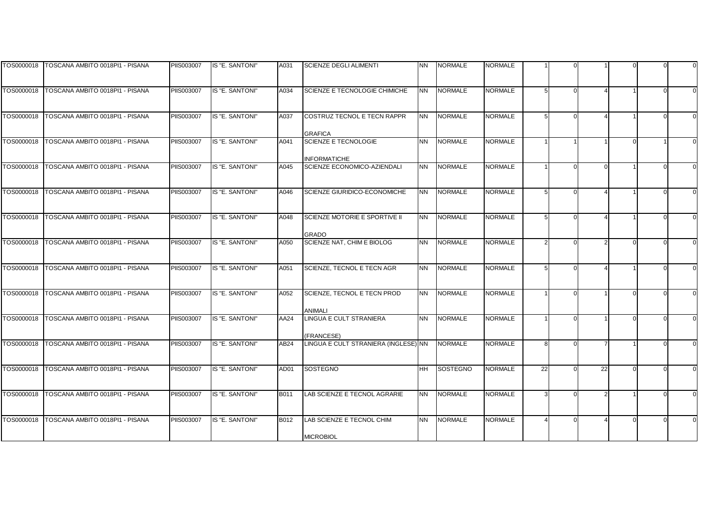|            | TOS0000018 TOSCANA AMBITO 0018PI1 - PISANA   | PIIS003007        | IS "E. SANTONI" | A031 | <b>SCIENZE DEGLI ALIMENTI</b>        | <b>NN</b> | <b>NORMALE</b>  | NORMALE        |    |          |    |  |  |
|------------|----------------------------------------------|-------------------|-----------------|------|--------------------------------------|-----------|-----------------|----------------|----|----------|----|--|--|
|            |                                              |                   |                 |      |                                      |           |                 |                |    |          |    |  |  |
|            |                                              |                   |                 |      |                                      |           |                 |                |    |          |    |  |  |
|            | TOS0000018   TOSCANA AMBITO 0018PI1 - PISANA | <b>PIIS003007</b> | IS "E. SANTONI" | A034 | SCIENZE E TECNOLOGIE CHIMICHE        | <b>NN</b> | <b>NORMALE</b>  | <b>NORMALE</b> |    | $\Omega$ |    |  |  |
|            |                                              |                   |                 |      |                                      |           |                 |                |    |          |    |  |  |
| TOS0000018 | TOSCANA AMBITO 0018PI1 - PISANA              | PIIS003007        | IS "E. SANTONI" | A037 | COSTRUZ TECNOL E TECN RAPPR          | <b>NN</b> | <b>NORMALE</b>  | <b>NORMALE</b> |    | $\Omega$ |    |  |  |
|            |                                              |                   |                 |      |                                      |           |                 |                |    |          |    |  |  |
|            |                                              |                   |                 |      | <b>GRAFICA</b>                       |           |                 |                |    |          |    |  |  |
| TOS0000018 | TOSCANA AMBITO 0018PI1 - PISANA              | PIIS003007        | IS "E. SANTONI" | A041 | SCIENZE E TECNOLOGIE                 | <b>NN</b> | <b>NORMALE</b>  | <b>NORMALE</b> |    |          |    |  |  |
|            |                                              |                   |                 |      |                                      |           |                 |                |    |          |    |  |  |
|            |                                              |                   |                 |      | <b>INFORMATICHE</b>                  |           |                 |                |    |          |    |  |  |
| TOS0000018 | TOSCANA AMBITO 0018PI1 - PISANA              | PIIS003007        | IS "E. SANTONI" | A045 | SCIENZE ECONOMICO-AZIENDALI          | <b>NN</b> | <b>NORMALE</b>  | <b>NORMALE</b> |    |          |    |  |  |
|            |                                              |                   |                 |      |                                      |           |                 |                |    |          |    |  |  |
| TOS0000018 | TOSCANA AMBITO 0018PI1 - PISANA              | <b>PIIS003007</b> | IS "E. SANTONI" |      | SCIENZE GIURIDICO-ECONOMICHE         | <b>NN</b> | <b>NORMALE</b>  | <b>NORMALE</b> |    | $\Omega$ |    |  |  |
|            |                                              |                   |                 | A046 |                                      |           |                 |                |    |          |    |  |  |
|            |                                              |                   |                 |      |                                      |           |                 |                |    |          |    |  |  |
| TOS0000018 | TOSCANA AMBITO 0018PI1 - PISANA              | PIIS003007        | IS "E. SANTONI" | A048 | SCIENZE MOTORIE E SPORTIVE II        | <b>NN</b> | <b>NORMALE</b>  | <b>NORMALE</b> |    |          |    |  |  |
|            |                                              |                   |                 |      |                                      |           |                 |                |    |          |    |  |  |
|            |                                              |                   |                 |      | <b>GRADO</b>                         |           |                 |                |    |          |    |  |  |
| TOS0000018 | TOSCANA AMBITO 0018PI1 - PISANA              | PIIS003007        | IS "E. SANTONI" | A050 | SCIENZE NAT. CHIM E BIOLOG           | <b>NN</b> | <b>NORMALE</b>  | <b>NORMALE</b> |    | U        |    |  |  |
|            |                                              |                   |                 |      |                                      |           |                 |                |    |          |    |  |  |
|            |                                              |                   |                 |      |                                      |           |                 |                |    |          |    |  |  |
| TOS0000018 | TOSCANA AMBITO 0018PI1 - PISANA              | PIIS003007        | IS "E. SANTONI" | A051 | SCIENZE, TECNOL E TECN AGR           | <b>NN</b> | <b>NORMALE</b>  | <b>NORMALE</b> |    |          |    |  |  |
|            |                                              |                   |                 |      |                                      |           |                 |                |    |          |    |  |  |
| TOS0000018 | TOSCANA AMBITO 0018PI1 - PISANA              | <b>PIIS003007</b> | IS "E. SANTONI" | A052 | SCIENZE, TECNOL E TECN PROD          | <b>NN</b> | <b>NORMALE</b>  | <b>NORMALE</b> |    | $\Omega$ |    |  |  |
|            |                                              |                   |                 |      |                                      |           |                 |                |    |          |    |  |  |
|            |                                              |                   |                 |      | <b>ANIMALI</b>                       |           |                 |                |    |          |    |  |  |
| TOS0000018 | TOSCANA AMBITO 0018PI1 - PISANA              | <b>PIIS003007</b> | IS "E. SANTONI" | AA24 | <b>LINGUA E CULT STRANIERA</b>       | <b>NN</b> | <b>NORMALE</b>  | <b>NORMALE</b> |    |          |    |  |  |
|            |                                              |                   |                 |      |                                      |           |                 |                |    |          |    |  |  |
|            |                                              |                   |                 |      | <b>FRANCESE)</b>                     |           |                 |                |    |          |    |  |  |
| TOS0000018 | TOSCANA AMBITO 0018PI1 - PISANA              | PIIS003007        | IS "E. SANTONI" | AB24 | LINGUA E CULT STRANIERA (INGLESE) NN |           | <b>NORMALE</b>  | <b>NORMALE</b> | 8  | $\Omega$ |    |  |  |
|            |                                              |                   |                 |      |                                      |           |                 |                |    |          |    |  |  |
|            |                                              |                   |                 |      |                                      |           |                 |                |    |          |    |  |  |
| TOS0000018 | TOSCANA AMBITO 0018PI1 - PISANA              | PIIS003007        | IS "E. SANTONI" | AD01 | <b>SOSTEGNO</b>                      | <b>HH</b> | <b>SOSTEGNO</b> | <b>NORMALE</b> | 22 |          | 22 |  |  |
|            |                                              |                   |                 |      |                                      |           |                 |                |    |          |    |  |  |
| TOS0000018 | TOSCANA AMBITO 0018PI1 - PISANA              | PIIS003007        | IS "E. SANTONI" | B011 | LAB SCIENZE E TECNOL AGRARIE         | <b>NN</b> | <b>NORMALE</b>  | <b>NORMALE</b> |    | U        |    |  |  |
|            |                                              |                   |                 |      |                                      |           |                 |                |    |          |    |  |  |
|            |                                              |                   |                 |      |                                      |           |                 |                |    |          |    |  |  |
| TOS0000018 | TOSCANA AMBITO 0018PI1 - PISANA              | PIIS003007        | IS "E. SANTONI" | B012 | LAB SCIENZE E TECNOL CHIM            | <b>NN</b> | <b>NORMALE</b>  | <b>NORMALE</b> |    |          |    |  |  |
|            |                                              |                   |                 |      |                                      |           |                 |                |    |          |    |  |  |
|            |                                              |                   |                 |      | <b>MICROBIOL</b>                     |           |                 |                |    |          |    |  |  |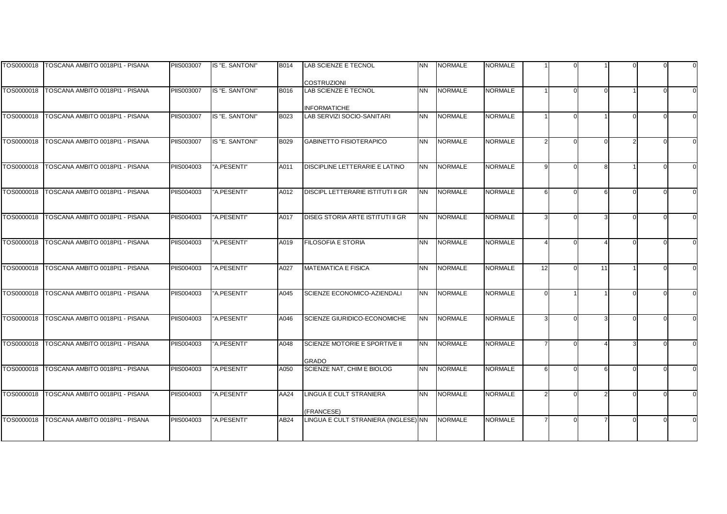|            | TOS0000018   TOSCANA AMBITO 0018PI1 - PISANA | <b>PIIS003007</b> | IS "E. SANTONI" | <b>B014</b>      | LAB SCIENZE E TECNOL                              | <b>NN</b> | <b>NORMALE</b> | NORMALE        |          |    |  |  |
|------------|----------------------------------------------|-------------------|-----------------|------------------|---------------------------------------------------|-----------|----------------|----------------|----------|----|--|--|
|            |                                              |                   |                 |                  |                                                   |           |                |                |          |    |  |  |
|            | TOS0000018   TOSCANA AMBITO 0018PI1 - PISANA | <b>PIIS003007</b> | IS "E. SANTONI" | B016             | <b>COSTRUZIONI</b><br><b>LAB SCIENZE E TECNOL</b> | <b>NN</b> | <b>NORMALE</b> | <b>NORMALE</b> |          |    |  |  |
|            |                                              |                   |                 |                  |                                                   |           |                |                |          |    |  |  |
|            |                                              |                   |                 |                  | <b>INFORMATICHE</b>                               |           |                |                |          |    |  |  |
| TOS0000018 | TOSCANA AMBITO 0018PI1 - PISANA              | PIIS003007        | IS "E. SANTONI" | B023             | LAB SERVIZI SOCIO-SANITARI                        | <b>NN</b> | <b>NORMALE</b> | <b>NORMALE</b> |          |    |  |  |
|            |                                              |                   |                 |                  |                                                   |           |                |                |          |    |  |  |
|            |                                              |                   |                 |                  |                                                   |           |                |                |          |    |  |  |
| TOS0000018 | TOSCANA AMBITO 0018PI1 - PISANA              | PIIS003007        | IS "E. SANTONI" | B029             | <b>GABINETTO FISIOTERAPICO</b>                    | <b>NN</b> | <b>NORMALE</b> | <b>NORMALE</b> |          |    |  |  |
|            |                                              |                   |                 |                  |                                                   |           |                |                |          |    |  |  |
| TOS0000018 | TOSCANA AMBITO 0018PI1 - PISANA              | PIIS004003        | "A.PESENTI"     | A011             | DISCIPLINE LETTERARIE E LATINO                    | <b>NN</b> | <b>NORMALE</b> | <b>NORMALE</b> | o        |    |  |  |
|            |                                              |                   |                 |                  |                                                   |           |                |                |          |    |  |  |
|            |                                              |                   |                 |                  |                                                   |           |                |                |          |    |  |  |
| TOS0000018 | TOSCANA AMBITO 0018PI1 - PISANA              | PIIS004003        | "A.PESENTI"     | A012             | <b>DISCIPL LETTERARIE ISTITUTI II GR</b>          | <b>NN</b> | <b>NORMALE</b> | <b>NORMALE</b> | 6        |    |  |  |
|            |                                              |                   |                 |                  |                                                   |           |                |                |          |    |  |  |
| TOS0000018 | TOSCANA AMBITO 0018PI1 - PISANA              | PIIS004003        | "A.PESENTI"     | A017             | DISEG STORIA ARTE ISTITUTI II GR                  | <b>NN</b> | <b>NORMALE</b> | <b>NORMALE</b> |          |    |  |  |
|            |                                              |                   |                 |                  |                                                   |           |                |                |          |    |  |  |
|            |                                              |                   |                 |                  |                                                   |           |                |                |          |    |  |  |
| TOS0000018 | TOSCANA AMBITO 0018PI1 - PISANA              | PIIS004003        | "A.PESENTI"     | A019             | <b>FILOSOFIA E STORIA</b>                         | <b>NN</b> | <b>NORMALE</b> | <b>NORMALE</b> |          |    |  |  |
|            |                                              |                   |                 |                  |                                                   |           |                |                |          |    |  |  |
|            |                                              |                   |                 |                  |                                                   |           |                |                |          |    |  |  |
| TOS0000018 | TOSCANA AMBITO 0018PI1 - PISANA              | PIIS004003        | "A.PESENTI"     | A027             | <b>MATEMATICA E FISICA</b>                        | <b>NN</b> | <b>NORMALE</b> | <b>NORMALE</b> | 12       | 11 |  |  |
|            |                                              |                   |                 |                  |                                                   |           |                |                |          |    |  |  |
| TOS0000018 | TOSCANA AMBITO 0018PI1 - PISANA              | PIIS004003        | "A.PESENTI"     | A045             | <b>SCIENZE ECONOMICO-AZIENDALI</b>                | <b>NN</b> | <b>NORMALE</b> | <b>NORMALE</b> | $\Omega$ |    |  |  |
|            |                                              |                   |                 |                  |                                                   |           |                |                |          |    |  |  |
|            |                                              |                   |                 |                  |                                                   |           |                |                |          |    |  |  |
| TOS0000018 | TOSCANA AMBITO 0018PI1 - PISANA              | PIIS004003        | "A.PESENTI"     | A046             | SCIENZE GIURIDICO-ECONOMICHE                      | <b>NN</b> | <b>NORMALE</b> | <b>NORMALE</b> |          |    |  |  |
|            |                                              |                   |                 |                  |                                                   |           |                |                |          |    |  |  |
| TOS0000018 | TOSCANA AMBITO 0018PI1 - PISANA              | PIIS004003        | "A.PESENTI"     | A048             | SCIENZE MOTORIE E SPORTIVE II                     | <b>NN</b> | <b>NORMALE</b> | <b>NORMALE</b> |          |    |  |  |
|            |                                              |                   |                 |                  |                                                   |           |                |                |          |    |  |  |
|            |                                              |                   |                 |                  | <b>GRADO</b>                                      |           |                |                |          |    |  |  |
| TOS0000018 | TOSCANA AMBITO 0018PI1 - PISANA              | PIIS004003        | "A.PESENTI"     | A050             | SCIENZE NAT, CHIM E BIOLOG                        | <b>NN</b> | <b>NORMALE</b> | <b>NORMALE</b> | ĥ        |    |  |  |
|            |                                              |                   |                 |                  |                                                   |           |                |                |          |    |  |  |
| TOS0000018 | TOSCANA AMBITO 0018PI1 - PISANA              | PIIS004003        | "A.PESENTI"     | AA24             | LINGUA E CULT STRANIERA                           | <b>NN</b> | <b>NORMALE</b> | <b>NORMALE</b> |          |    |  |  |
|            |                                              |                   |                 |                  |                                                   |           |                |                |          |    |  |  |
|            |                                              |                   |                 |                  | (FRANCESE)                                        |           |                |                |          |    |  |  |
| TOS0000018 | TOSCANA AMBITO 0018PI1 - PISANA              | PIIS004003        | "A.PESENTI"     | AB <sub>24</sub> | LINGUA E CULT STRANIERA (INGLESE) NN              |           | <b>NORMALE</b> | <b>NORMALE</b> |          |    |  |  |
|            |                                              |                   |                 |                  |                                                   |           |                |                |          |    |  |  |
|            |                                              |                   |                 |                  |                                                   |           |                |                |          |    |  |  |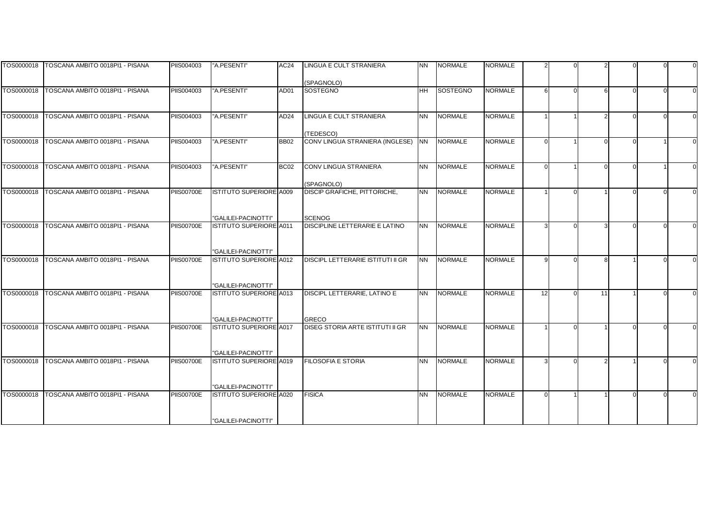|            | TOS0000018   TOSCANA AMBITO 0018PI1 - PISANA | PIIS004003        | "A.PESENTI"                                    | AC24             | LINGUA E CULT STRANIERA                         | <b>NN</b>      | <b>NORMALE</b> | <b>NORMALE</b> |    |                |  |  |
|------------|----------------------------------------------|-------------------|------------------------------------------------|------------------|-------------------------------------------------|----------------|----------------|----------------|----|----------------|--|--|
|            |                                              |                   |                                                |                  | (SPAGNOLO)                                      |                |                |                |    |                |  |  |
|            | TOS0000018 TOSCANA AMBITO 0018PI1 - PISANA   | PIIS004003        | "A.PESENTI"                                    | AD01             | <b>SOSTEGNO</b>                                 | <b>HH</b>      | SOSTEGNO       | <b>NORMALE</b> | 6  | 6              |  |  |
|            |                                              |                   |                                                |                  |                                                 |                |                |                |    |                |  |  |
| TOS0000018 | TOSCANA AMBITO 0018PI1 - PISANA              | PIIS004003        | "A.PESENTI"                                    | AD <sub>24</sub> | LINGUA E CULT STRANIERA                         | <b>NN</b>      | <b>NORMALE</b> | <b>NORMALE</b> |    | $\overline{2}$ |  |  |
|            |                                              |                   |                                                |                  |                                                 |                |                |                |    |                |  |  |
| TOS0000018 | TOSCANA AMBITO 0018PI1 - PISANA              | <b>PIIS004003</b> | "A.PESENTI"                                    | <b>BB02</b>      | (TEDESCO)<br>CONV LINGUA STRANIERA (INGLESE)    | N <sub>N</sub> | <b>NORMALE</b> | <b>NORMALE</b> |    | $\Omega$       |  |  |
|            |                                              |                   |                                                |                  |                                                 |                |                |                |    |                |  |  |
| TOS0000018 | TOSCANA AMBITO 0018PI1 - PISANA              | PIIS004003        | "A.PESENTI"                                    | BC <sub>02</sub> | CONV LINGUA STRANIERA                           | <b>NN</b>      | <b>NORMALE</b> | <b>NORMALE</b> |    | $\Omega$       |  |  |
|            |                                              |                   |                                                |                  |                                                 |                |                |                |    |                |  |  |
|            |                                              |                   |                                                |                  | (SPAGNOLO)                                      |                |                |                |    |                |  |  |
| TOS0000018 | TOSCANA AMBITO 0018PI1 - PISANA              | <b>PIIS00700E</b> | ISTITUTO SUPERIORE A009                        |                  | DISCIP GRAFICHE, PITTORICHE,                    | <b>NN</b>      | <b>NORMALE</b> | <b>NORMALE</b> |    |                |  |  |
|            |                                              |                   |                                                |                  |                                                 |                |                |                |    |                |  |  |
|            |                                              |                   |                                                |                  |                                                 |                |                |                |    |                |  |  |
| TOS0000018 | TOSCANA AMBITO 0018PI1 - PISANA              | PIIS00700E        | "GALILEI-PACINOTTI"<br>ISTITUTO SUPERIORE A011 |                  | <b>SCENOG</b><br>DISCIPLINE LETTERARIE E LATINO | <b>NN</b>      | <b>NORMALE</b> | <b>NORMALE</b> |    |                |  |  |
|            |                                              |                   |                                                |                  |                                                 |                |                |                |    |                |  |  |
|            |                                              |                   |                                                |                  |                                                 |                |                |                |    |                |  |  |
|            |                                              |                   | "GALILEI-PACINOTTI"                            |                  |                                                 |                |                |                |    |                |  |  |
| TOS0000018 | TOSCANA AMBITO 0018PI1 - PISANA              | <b>PIIS00700E</b> | <b>ISTITUTO SUPERIORE A012</b>                 |                  | DISCIPL LETTERARIE ISTITUTI II GR               | <b>NN</b>      | <b>NORMALE</b> | <b>NORMALE</b> |    | <sub>R</sub>   |  |  |
|            |                                              |                   |                                                |                  |                                                 |                |                |                |    |                |  |  |
|            |                                              |                   |                                                |                  |                                                 |                |                |                |    |                |  |  |
|            |                                              |                   | "GALILEI-PACINOTTI"                            |                  |                                                 |                |                |                |    |                |  |  |
| TOS0000018 | TOSCANA AMBITO 0018PI1 - PISANA              | <b>PIIS00700E</b> | ISTITUTO SUPERIORE A013                        |                  | DISCIPL LETTERARIE, LATINO E                    | <b>NN</b>      | <b>NORMALE</b> | <b>NORMALE</b> | 12 | 11             |  |  |
|            |                                              |                   |                                                |                  |                                                 |                |                |                |    |                |  |  |
|            |                                              |                   | "GALILEI-PACINOTTI"                            |                  | <b>GRECO</b>                                    |                |                |                |    |                |  |  |
| TOS0000018 | TOSCANA AMBITO 0018PI1 - PISANA              | <b>PIIS00700E</b> | <b>ISTITUTO SUPERIORE A017</b>                 |                  | DISEG STORIA ARTE ISTITUTI II GR                | <b>NN</b>      | <b>NORMALE</b> | <b>NORMALE</b> |    |                |  |  |
|            |                                              |                   |                                                |                  |                                                 |                |                |                |    |                |  |  |
|            |                                              |                   |                                                |                  |                                                 |                |                |                |    |                |  |  |
|            |                                              |                   | "GALILEI-PACINOTTI"                            |                  |                                                 |                |                |                |    |                |  |  |
| TOS0000018 | TOSCANA AMBITO 0018PI1 - PISANA              | <b>PIIS00700E</b> | ISTITUTO SUPERIORE A019                        |                  | <b>FILOSOFIA E STORIA</b>                       | <b>NN</b>      | <b>NORMALE</b> | <b>NORMALE</b> |    |                |  |  |
|            |                                              |                   |                                                |                  |                                                 |                |                |                |    |                |  |  |
|            |                                              |                   | "GALILEI-PACINOTTI"                            |                  |                                                 |                |                |                |    |                |  |  |
| TOS0000018 | TOSCANA AMBITO 0018PI1 - PISANA              | <b>PIIS00700E</b> | ISTITUTO SUPERIORE A020                        |                  | <b>FISICA</b>                                   | <b>NN</b>      | <b>NORMALE</b> | <b>NORMALE</b> |    |                |  |  |
|            |                                              |                   |                                                |                  |                                                 |                |                |                |    |                |  |  |
|            |                                              |                   |                                                |                  |                                                 |                |                |                |    |                |  |  |
|            |                                              |                   | "GALILEI-PACINOTTI"                            |                  |                                                 |                |                |                |    |                |  |  |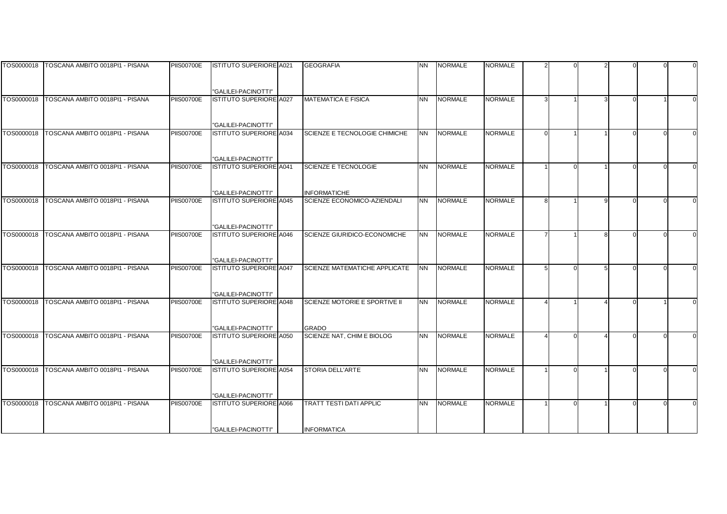|            | TOS0000018   TOSCANA AMBITO 0018PI1 - PISANA | <b>PIIS00700E</b> | <b>ISTITUTO SUPERIORE A021</b> | <b>GEOGRAFIA</b>               | <b>NN</b> | <b>NORMALE</b> | NORMALE        |  |  |  |
|------------|----------------------------------------------|-------------------|--------------------------------|--------------------------------|-----------|----------------|----------------|--|--|--|
|            |                                              |                   |                                |                                |           |                |                |  |  |  |
|            |                                              |                   |                                |                                |           |                |                |  |  |  |
|            |                                              |                   | "GALILEI-PACINOTTI"            |                                |           |                |                |  |  |  |
| TOS0000018 | TOSCANA AMBITO 0018PI1 - PISANA              | <b>PIIS00700E</b> | <b>ISTITUTO SUPERIORE A027</b> | <b>MATEMATICA E FISICA</b>     | <b>NN</b> | <b>NORMALE</b> | <b>NORMALE</b> |  |  |  |
|            |                                              |                   |                                |                                |           |                |                |  |  |  |
|            |                                              |                   |                                |                                |           |                |                |  |  |  |
|            |                                              |                   | "GALILEI-PACINOTTI"            |                                |           |                |                |  |  |  |
| TOS0000018 | TOSCANA AMBITO 0018PI1 - PISANA              | <b>PIIS00700E</b> | <b>ISTITUTO SUPERIORE A034</b> | SCIENZE E TECNOLOGIE CHIMICHE  | <b>NN</b> | <b>NORMALE</b> | NORMALE        |  |  |  |
|            |                                              |                   |                                |                                |           |                |                |  |  |  |
|            |                                              |                   |                                |                                |           |                |                |  |  |  |
|            |                                              |                   | "GALILEI-PACINOTTI"            |                                |           |                |                |  |  |  |
| TOS0000018 | TOSCANA AMBITO 0018PI1 - PISANA              | <b>PIIS00700E</b> | <b>ISTITUTO SUPERIORE A041</b> | SCIENZE E TECNOLOGIE           | <b>NN</b> | <b>NORMALE</b> | <b>NORMALE</b> |  |  |  |
|            |                                              |                   |                                |                                |           |                |                |  |  |  |
|            |                                              |                   |                                |                                |           |                |                |  |  |  |
|            |                                              |                   | "GALILEI-PACINOTTI"            | <b>INFORMATICHE</b>            |           |                |                |  |  |  |
| TOS0000018 | TOSCANA AMBITO 0018PI1 - PISANA              | <b>PIIS00700E</b> | <b>ISTITUTO SUPERIORE A045</b> | SCIENZE ECONOMICO-AZIENDALI    | <b>NN</b> | <b>NORMALE</b> | <b>NORMALE</b> |  |  |  |
|            |                                              |                   |                                |                                |           |                |                |  |  |  |
|            |                                              |                   |                                |                                |           |                |                |  |  |  |
|            |                                              |                   | "GALILEI-PACINOTTI"            |                                |           |                |                |  |  |  |
| TOS0000018 | TOSCANA AMBITO 0018PI1 - PISANA              | <b>PIIS00700E</b> | <b>ISTITUTO SUPERIORE A046</b> | SCIENZE GIURIDICO-ECONOMICHE   | <b>NN</b> | <b>NORMALE</b> | <b>NORMALE</b> |  |  |  |
|            |                                              |                   |                                |                                |           |                |                |  |  |  |
|            |                                              |                   |                                |                                |           |                |                |  |  |  |
|            |                                              |                   | "GALILEI-PACINOTTI"            |                                |           |                |                |  |  |  |
| TOS0000018 | TOSCANA AMBITO 0018PI1 - PISANA              | <b>PIIS00700E</b> | <b>ISTITUTO SUPERIORE A047</b> | SCIENZE MATEMATICHE APPLICATE  | <b>NN</b> | <b>NORMALE</b> | <b>NORMALE</b> |  |  |  |
|            |                                              |                   |                                |                                |           |                |                |  |  |  |
|            |                                              |                   |                                |                                |           |                |                |  |  |  |
|            |                                              |                   | "GALILEI-PACINOTTI"            |                                |           |                |                |  |  |  |
| TOS0000018 | TOSCANA AMBITO 0018PI1 - PISANA              | <b>PIIS00700E</b> | <b>ISTITUTO SUPERIORE A048</b> | SCIENZE MOTORIE E SPORTIVE II  | <b>NN</b> | <b>NORMALE</b> | <b>NORMALE</b> |  |  |  |
|            |                                              |                   |                                |                                |           |                |                |  |  |  |
|            |                                              |                   |                                |                                |           |                |                |  |  |  |
|            |                                              |                   | "GALILEI-PACINOTTI"            | <b>GRADO</b>                   |           |                |                |  |  |  |
| TOS0000018 | TOSCANA AMBITO 0018PI1 - PISANA              | <b>PIIS00700E</b> | ISTITUTO SUPERIORE A050        | SCIENZE NAT, CHIM E BIOLOG     | <b>NN</b> | <b>NORMALE</b> | <b>NORMALE</b> |  |  |  |
|            |                                              |                   |                                |                                |           |                |                |  |  |  |
|            |                                              |                   |                                |                                |           |                |                |  |  |  |
|            |                                              |                   | "GALILEI-PACINOTTI"            |                                |           |                |                |  |  |  |
| TOS0000018 | TOSCANA AMBITO 0018PI1 - PISANA              | <b>PIIS00700E</b> | <b>ISTITUTO SUPERIORE A054</b> | <b>STORIA DELL'ARTE</b>        | <b>NN</b> | <b>NORMALE</b> | <b>NORMALE</b> |  |  |  |
|            |                                              |                   |                                |                                |           |                |                |  |  |  |
|            |                                              |                   |                                |                                |           |                |                |  |  |  |
|            |                                              |                   | "GALILEI-PACINOTTI"            |                                |           |                |                |  |  |  |
|            | TOS0000018   TOSCANA AMBITO 0018PI1 - PISANA | <b>PIIS00700E</b> | <b>ISTITUTO SUPERIORE A066</b> | <b>TRATT TESTI DATI APPLIC</b> | <b>NN</b> | <b>NORMALE</b> | <b>NORMALE</b> |  |  |  |
|            |                                              |                   |                                |                                |           |                |                |  |  |  |
|            |                                              |                   |                                |                                |           |                |                |  |  |  |
|            |                                              |                   | "GALILEI-PACINOTTI"            | <b>INFORMATICA</b>             |           |                |                |  |  |  |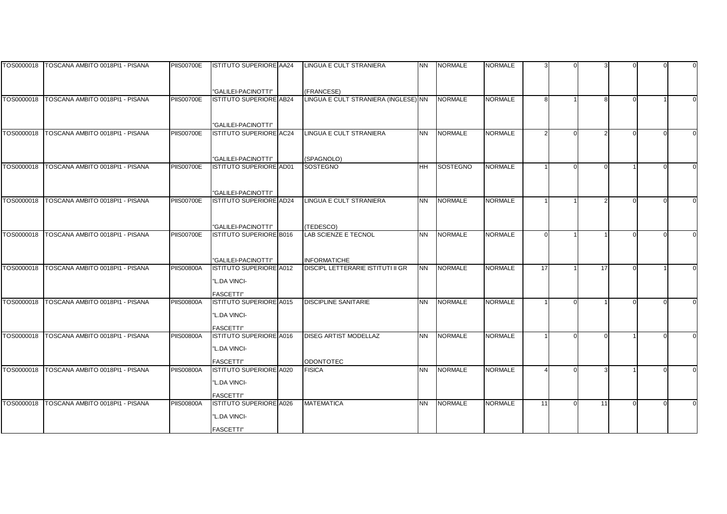|            | TOS0000018   TOSCANA AMBITO 0018PI1 - PISANA | <b>PIIS00700E</b> | <b>ISTITUTO SUPERIORE AA24</b>                     | LINGUA E CULT STRANIERA                  | <b>NN</b> | <b>NORMALE</b> | NORMALE        |    |    |  |  |
|------------|----------------------------------------------|-------------------|----------------------------------------------------|------------------------------------------|-----------|----------------|----------------|----|----|--|--|
|            |                                              |                   |                                                    |                                          |           |                |                |    |    |  |  |
|            |                                              |                   |                                                    |                                          |           |                |                |    |    |  |  |
|            |                                              |                   | "GALILEI-PACINOTTI"                                | (FRANCESE)                               |           |                |                |    |    |  |  |
| TOS0000018 | TOSCANA AMBITO 0018PI1 - PISANA              | <b>PIIS00700E</b> | ISTITUTO SUPERIORE AB24                            | LINGUA E CULT STRANIERA (INGLESE) NN     |           | <b>NORMALE</b> | <b>NORMALE</b> |    |    |  |  |
|            |                                              |                   |                                                    |                                          |           |                |                |    |    |  |  |
|            |                                              |                   |                                                    |                                          |           |                |                |    |    |  |  |
| TOS0000018 | TOSCANA AMBITO 0018PI1 - PISANA              | <b>PIIS00700E</b> | "GALILEI-PACINOTTI"<br>ISTITUTO SUPERIORE AC24     | LINGUA E CULT STRANIERA                  | <b>NN</b> |                | <b>NORMALE</b> |    |    |  |  |
|            |                                              |                   |                                                    |                                          |           | <b>NORMALE</b> |                |    |    |  |  |
|            |                                              |                   |                                                    |                                          |           |                |                |    |    |  |  |
|            |                                              |                   | "GALILEI-PACINOTTI"                                | (SPAGNOLO)                               |           |                |                |    |    |  |  |
| TOS0000018 | TOSCANA AMBITO 0018PI1 - PISANA              | <b>PIIS00700E</b> | <b>ISTITUTO SUPERIORE AD01</b>                     | <b>SOSTEGNO</b>                          | <b>HH</b> | SOSTEGNO       | <b>NORMALE</b> |    |    |  |  |
|            |                                              |                   |                                                    |                                          |           |                |                |    |    |  |  |
|            |                                              |                   |                                                    |                                          |           |                |                |    |    |  |  |
|            |                                              |                   | "GALILEI-PACINOTTI"                                |                                          |           |                |                |    |    |  |  |
| TOS0000018 | TOSCANA AMBITO 0018PI1 - PISANA              | <b>PIIS00700E</b> | <b>ISTITUTO SUPERIORE AD24</b>                     | LINGUA E CULT STRANIERA                  | <b>NN</b> | <b>NORMALE</b> | <b>NORMALE</b> |    |    |  |  |
|            |                                              |                   |                                                    |                                          |           |                |                |    |    |  |  |
|            |                                              |                   |                                                    |                                          |           |                |                |    |    |  |  |
| TOS0000018 | TOSCANA AMBITO 0018PI1 - PISANA              | <b>PIIS00700E</b> | "GALILEI-PACINOTTI"<br>ISTITUTO SUPERIORE B016     | (TEDESCO)<br><b>LAB SCIENZE E TECNOL</b> | <b>NN</b> | <b>NORMALE</b> | <b>NORMALE</b> |    |    |  |  |
|            |                                              |                   |                                                    |                                          |           |                |                |    |    |  |  |
|            |                                              |                   |                                                    |                                          |           |                |                |    |    |  |  |
|            |                                              |                   | "GALILEI-PACINOTTI"                                | <b>INFORMATICHE</b>                      |           |                |                |    |    |  |  |
| TOS0000018 | TOSCANA AMBITO 0018PI1 - PISANA              | <b>PIIS00800A</b> | <b>ISTITUTO SUPERIORE A012</b>                     | <b>DISCIPL LETTERARIE ISTITUTI II GR</b> | <b>NN</b> | <b>NORMALE</b> | <b>NORMALE</b> | 17 | 17 |  |  |
|            |                                              |                   | "L.DA VINCI-                                       |                                          |           |                |                |    |    |  |  |
|            |                                              |                   |                                                    |                                          |           |                |                |    |    |  |  |
|            |                                              |                   | <b>FASCETTI"</b>                                   |                                          |           |                |                |    |    |  |  |
| TOS0000018 | TOSCANA AMBITO 0018PI1 - PISANA              | <b>PIIS00800A</b> | <b>ISTITUTO SUPERIORE A015</b>                     | <b>DISCIPLINE SANITARIE</b>              | <b>NN</b> | <b>NORMALE</b> | <b>NORMALE</b> |    |    |  |  |
|            |                                              |                   | "L.DA VINCI-                                       |                                          |           |                |                |    |    |  |  |
|            |                                              |                   | <b>FASCETTI"</b>                                   |                                          |           |                |                |    |    |  |  |
| TOS0000018 | TOSCANA AMBITO 0018PI1 - PISANA              | <b>PIIS00800A</b> | <b>ISTITUTO SUPERIORE A016</b>                     | DISEG ARTIST MODELLAZ                    | <b>NN</b> | <b>NORMALE</b> | <b>NORMALE</b> |    |    |  |  |
|            |                                              |                   | "L.DA VINCI-                                       |                                          |           |                |                |    |    |  |  |
|            |                                              |                   |                                                    |                                          |           |                |                |    |    |  |  |
|            |                                              |                   | <b>FASCETTI"</b>                                   | <b>ODONTOTEC</b>                         |           |                |                |    |    |  |  |
| TOS0000018 | TOSCANA AMBITO 0018PI1 - PISANA              | <b>PIIS00800A</b> | <b>ISTITUTO SUPERIORE A020</b>                     | <b>FISICA</b>                            | <b>NN</b> | <b>NORMALE</b> | <b>NORMALE</b> |    |    |  |  |
|            |                                              |                   | "L.DA VINCI-                                       |                                          |           |                |                |    |    |  |  |
|            |                                              |                   |                                                    |                                          |           |                |                |    |    |  |  |
|            | TOS0000018   TOSCANA AMBITO 0018PI1 - PISANA | <b>PIIS00800A</b> | <b>FASCETTI"</b><br><b>ISTITUTO SUPERIORE A026</b> | <b>MATEMATICA</b>                        | <b>NN</b> | <b>NORMALE</b> | <b>NORMALE</b> | 11 | 11 |  |  |
|            |                                              |                   |                                                    |                                          |           |                |                |    |    |  |  |
|            |                                              |                   | "L.DA VINCI-                                       |                                          |           |                |                |    |    |  |  |
|            |                                              |                   | <b>FASCETTI"</b>                                   |                                          |           |                |                |    |    |  |  |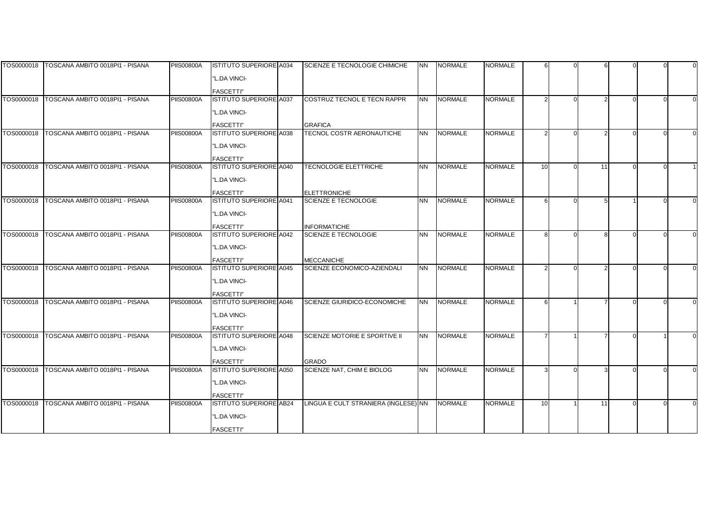|            | TOS0000018 TOSCANA AMBITO 0018PI1 - PISANA   | <b>PIIS00800A</b> | <b>ISTITUTO SUPERIORE A034</b>                     | SCIENZE E TECNOLOGIE CHIMICHE        | <b>NN</b> | <b>NORMALE</b> | NORMALE        |    |    |  |  |
|------------|----------------------------------------------|-------------------|----------------------------------------------------|--------------------------------------|-----------|----------------|----------------|----|----|--|--|
|            |                                              |                   | "L.DA VINCI-                                       |                                      |           |                |                |    |    |  |  |
|            |                                              |                   | <b>FASCETTI"</b>                                   |                                      |           |                |                |    |    |  |  |
| TOS0000018 | TOSCANA AMBITO 0018PI1 - PISANA              | <b>PIIS00800A</b> | <b>ISTITUTO SUPERIORE A037</b>                     | COSTRUZ TECNOL E TECN RAPPR          | <b>NN</b> | <b>NORMALE</b> | <b>NORMALE</b> |    |    |  |  |
|            |                                              |                   | "L.DA VINCI-                                       |                                      |           |                |                |    |    |  |  |
|            |                                              |                   |                                                    |                                      |           |                |                |    |    |  |  |
|            |                                              |                   | <b>FASCETTI"</b>                                   | <b>GRAFICA</b>                       |           |                |                |    |    |  |  |
| TOS0000018 | TOSCANA AMBITO 0018PI1 - PISANA              | <b>PIIS00800A</b> | <b>ISTITUTO SUPERIORE A038</b>                     | TECNOL COSTR AERONAUTICHE            | <b>NN</b> | <b>NORMALE</b> | <b>NORMALE</b> |    |    |  |  |
|            |                                              |                   | "L.DA VINCI-                                       |                                      |           |                |                |    |    |  |  |
|            |                                              |                   | <b>FASCETTI"</b>                                   |                                      |           |                |                |    |    |  |  |
|            | TOS0000018   TOSCANA AMBITO 0018PI1 - PISANA | <b>PIIS00800A</b> | <b>ISTITUTO SUPERIORE A040</b>                     | <b>TECNOLOGIE ELETTRICHE</b>         | <b>NN</b> | <b>NORMALE</b> | <b>NORMALE</b> | 10 | 11 |  |  |
|            |                                              |                   | "L.DA VINCI-                                       |                                      |           |                |                |    |    |  |  |
|            |                                              |                   | <b>FASCETTI"</b>                                   | <b>ELETTRONICHE</b>                  |           |                |                |    |    |  |  |
| TOS0000018 | TOSCANA AMBITO 0018PI1 - PISANA              | <b>PIIS00800A</b> | <b>ISTITUTO SUPERIORE A041</b>                     | <b>SCIENZE E TECNOLOGIE</b>          | <b>NN</b> | <b>NORMALE</b> | <b>NORMALE</b> |    |    |  |  |
|            |                                              |                   | "L.DA VINCI-                                       |                                      |           |                |                |    |    |  |  |
|            |                                              |                   |                                                    |                                      |           |                |                |    |    |  |  |
|            |                                              |                   | <b>FASCETTI"</b>                                   | <b>INFORMATICHE</b>                  |           |                |                |    |    |  |  |
| TOS0000018 | TOSCANA AMBITO 0018PI1 - PISANA              | <b>PIIS00800A</b> | <b>ISTITUTO SUPERIORE A042</b>                     | <b>SCIENZE E TECNOLOGIE</b>          | <b>NN</b> | <b>NORMALE</b> | <b>NORMALE</b> | R  |    |  |  |
|            |                                              |                   | "L.DA VINCI-                                       |                                      |           |                |                |    |    |  |  |
|            |                                              |                   | <b>FASCETTI"</b>                                   | <b>MECCANICHE</b>                    |           |                |                |    |    |  |  |
|            | TOS0000018   TOSCANA AMBITO 0018PI1 - PISANA | <b>PIIS00800A</b> | <b>ISTITUTO SUPERIORE A045</b>                     | SCIENZE ECONOMICO-AZIENDALI          | <b>NN</b> | <b>NORMALE</b> | <b>NORMALE</b> |    |    |  |  |
|            |                                              |                   | "L.DA VINCI-                                       |                                      |           |                |                |    |    |  |  |
|            |                                              |                   | <b>FASCETTI"</b>                                   |                                      |           |                |                |    |    |  |  |
| TOS0000018 | TOSCANA AMBITO 0018PI1 - PISANA              | <b>PIIS00800A</b> | <b>ISTITUTO SUPERIORE A046</b>                     | SCIENZE GIURIDICO-ECONOMICHE         | <b>NN</b> | <b>NORMALE</b> | <b>NORMALE</b> |    |    |  |  |
|            |                                              |                   | "L.DA VINCI-                                       |                                      |           |                |                |    |    |  |  |
|            |                                              |                   |                                                    |                                      |           |                |                |    |    |  |  |
| TOS0000018 | TOSCANA AMBITO 0018PI1 - PISANA              | <b>PIIS00800A</b> | <b>FASCETTI"</b><br><b>ISTITUTO SUPERIORE A048</b> | SCIENZE MOTORIE E SPORTIVE II        | <b>NN</b> | <b>NORMALE</b> | <b>NORMALE</b> |    |    |  |  |
|            |                                              |                   |                                                    |                                      |           |                |                |    |    |  |  |
|            |                                              |                   | "L.DA VINCI-                                       |                                      |           |                |                |    |    |  |  |
|            |                                              |                   | <b>FASCETTI"</b>                                   | <b>GRADO</b>                         |           |                |                |    |    |  |  |
| TOS0000018 | TOSCANA AMBITO 0018PI1 - PISANA              | <b>PIIS00800A</b> | <b>ISTITUTO SUPERIORE A050</b>                     | SCIENZE NAT, CHIM E BIOLOG           | <b>NN</b> | <b>NORMALE</b> | <b>NORMALE</b> |    |    |  |  |
|            |                                              |                   | "L.DA VINCI-                                       |                                      |           |                |                |    |    |  |  |
|            |                                              |                   | <b>FASCETTI"</b>                                   |                                      |           |                |                |    |    |  |  |
| TOS0000018 | TOSCANA AMBITO 0018PI1 - PISANA              | <b>PIIS00800A</b> | <b>ISTITUTO SUPERIORE AB24</b>                     | LINGUA E CULT STRANIERA (INGLESE) NN |           | <b>NORMALE</b> | NORMALE        | 10 | 11 |  |  |
|            |                                              |                   | "L.DA VINCI-                                       |                                      |           |                |                |    |    |  |  |
|            |                                              |                   | <b>FASCETTI"</b>                                   |                                      |           |                |                |    |    |  |  |
|            |                                              |                   |                                                    |                                      |           |                |                |    |    |  |  |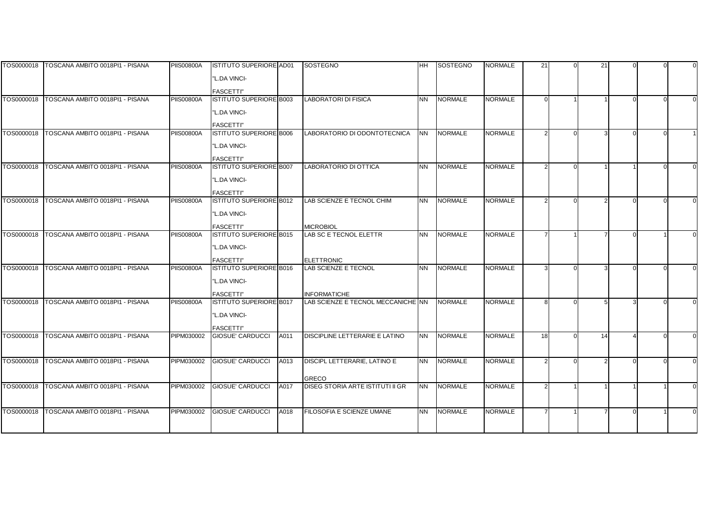|            | TOS0000018   TOSCANA AMBITO 0018PI1 - PISANA | <b>PIIS00800A</b> | <b>ISTITUTO SUPERIORE AD01</b>                     |      | SOSTEGNO                                   | <b>HH</b> | <b>SOSTEGNO</b> | <b>NORMALE</b> | 21       | 21 |  |  |
|------------|----------------------------------------------|-------------------|----------------------------------------------------|------|--------------------------------------------|-----------|-----------------|----------------|----------|----|--|--|
|            |                                              |                   | "L.DA VINCI-                                       |      |                                            |           |                 |                |          |    |  |  |
|            |                                              |                   |                                                    |      |                                            |           |                 |                |          |    |  |  |
| TOS0000018 | TOSCANA AMBITO 0018PI1 - PISANA              | <b>PIIS00800A</b> | <b>FASCETTI"</b><br><b>ISTITUTO SUPERIORE B003</b> |      | <b>LABORATORI DI FISICA</b>                | <b>NN</b> | <b>NORMALE</b>  | <b>NORMALE</b> | $\Omega$ |    |  |  |
|            |                                              |                   |                                                    |      |                                            |           |                 |                |          |    |  |  |
|            |                                              |                   | "L.DA VINCI-                                       |      |                                            |           |                 |                |          |    |  |  |
|            |                                              |                   | <b>FASCETTI"</b>                                   |      |                                            |           |                 |                |          |    |  |  |
| TOS0000018 | TOSCANA AMBITO 0018PI1 - PISANA              | <b>PIIS00800A</b> | <b>ISTITUTO SUPERIORE B006</b>                     |      | LABORATORIO DI ODONTOTECNICA               | <b>NN</b> | <b>NORMALE</b>  | <b>NORMALE</b> |          |    |  |  |
|            |                                              |                   | "L.DA VINCI-                                       |      |                                            |           |                 |                |          |    |  |  |
|            |                                              |                   | <b>FASCETTI"</b>                                   |      |                                            |           |                 |                |          |    |  |  |
| TOS0000018 | TOSCANA AMBITO 0018PI1 - PISANA              | <b>PIIS00800A</b> | <b>ISTITUTO SUPERIORE B007</b>                     |      | LABORATORIO DI OTTICA                      | <b>NN</b> | <b>NORMALE</b>  | <b>NORMALE</b> |          |    |  |  |
|            |                                              |                   | "L.DA VINCI-                                       |      |                                            |           |                 |                |          |    |  |  |
|            |                                              |                   | <b>FASCETTI"</b>                                   |      |                                            |           |                 |                |          |    |  |  |
| TOS0000018 | TOSCANA AMBITO 0018PI1 - PISANA              | <b>PIIS00800A</b> | ISTITUTO SUPERIORE B012                            |      | LAB SCIENZE E TECNOL CHIM                  | <b>NN</b> | <b>NORMALE</b>  | <b>NORMALE</b> |          |    |  |  |
|            |                                              |                   | "L.DA VINCI-                                       |      |                                            |           |                 |                |          |    |  |  |
|            |                                              |                   |                                                    |      |                                            |           |                 |                |          |    |  |  |
| TOS0000018 | TOSCANA AMBITO 0018PI1 - PISANA              | <b>PIIS00800A</b> | <b>FASCETTI"</b><br><b>ISTITUTO SUPERIORE B015</b> |      | <b>MICROBIOL</b><br>LAB SC E TECNOL ELETTR | <b>NN</b> | <b>NORMALE</b>  | <b>NORMALE</b> |          |    |  |  |
|            |                                              |                   |                                                    |      |                                            |           |                 |                |          |    |  |  |
|            |                                              |                   | "L.DA VINCI-                                       |      |                                            |           |                 |                |          |    |  |  |
|            |                                              |                   | <b>FASCETTI"</b>                                   |      | <b>ELETTRONIC</b>                          |           |                 |                |          |    |  |  |
| TOS0000018 | TOSCANA AMBITO 0018PI1 - PISANA              | <b>PIIS00800A</b> | <b>ISTITUTO SUPERIORE B016</b>                     |      | LAB SCIENZE E TECNOL                       | <b>NN</b> | <b>NORMALE</b>  | <b>NORMALE</b> |          |    |  |  |
|            |                                              |                   | "L.DA VINCI-                                       |      |                                            |           |                 |                |          |    |  |  |
|            |                                              |                   | <b>FASCETTI"</b>                                   |      | <b>INFORMATICHE</b>                        |           |                 |                |          |    |  |  |
| TOS0000018 | TOSCANA AMBITO 0018PI1 - PISANA              | <b>PIIS00800A</b> | <b>ISTITUTO SUPERIORE B017</b>                     |      | LAB SCIENZE E TECNOL MECCANICHE NN         |           | <b>NORMALE</b>  | <b>NORMALE</b> |          |    |  |  |
|            |                                              |                   | "L.DA VINCI-                                       |      |                                            |           |                 |                |          |    |  |  |
|            |                                              |                   | <b>FASCETTI"</b>                                   |      |                                            |           |                 |                |          |    |  |  |
| TOS0000018 | TOSCANA AMBITO 0018PI1 - PISANA              | PIPM030002        | <b>GIOSUE' CARDUCCI</b>                            | A011 | DISCIPLINE LETTERARIE E LATINO             | <b>NN</b> | <b>NORMALE</b>  | <b>NORMALE</b> | 18       | 14 |  |  |
|            |                                              |                   |                                                    |      |                                            |           |                 |                |          |    |  |  |
|            |                                              |                   |                                                    |      |                                            |           |                 |                |          |    |  |  |
| TOS0000018 | TOSCANA AMBITO 0018PI1 - PISANA              | PIPM030002        | <b>GIOSUE' CARDUCCI</b>                            | A013 | DISCIPL LETTERARIE, LATINO E               | <b>NN</b> | <b>NORMALE</b>  | <b>NORMALE</b> |          |    |  |  |
|            |                                              |                   |                                                    |      | <b>GRECO</b>                               |           |                 |                |          |    |  |  |
| TOS0000018 | TOSCANA AMBITO 0018PI1 - PISANA              | PIPM030002        | <b>GIOSUE' CARDUCCI</b>                            | A017 | DISEG STORIA ARTE ISTITUTI II GR           | <b>NN</b> | <b>NORMALE</b>  | <b>NORMALE</b> |          |    |  |  |
|            |                                              |                   |                                                    |      |                                            |           |                 |                |          |    |  |  |
| TOS0000018 | TOSCANA AMBITO 0018PI1 - PISANA              | PIPM030002        |                                                    |      | FILOSOFIA E SCIENZE UMANE                  |           | <b>NORMALE</b>  | <b>NORMALE</b> |          |    |  |  |
|            |                                              |                   | <b>GIOSUE' CARDUCCI</b>                            | A018 |                                            | <b>NN</b> |                 |                |          |    |  |  |
|            |                                              |                   |                                                    |      |                                            |           |                 |                |          |    |  |  |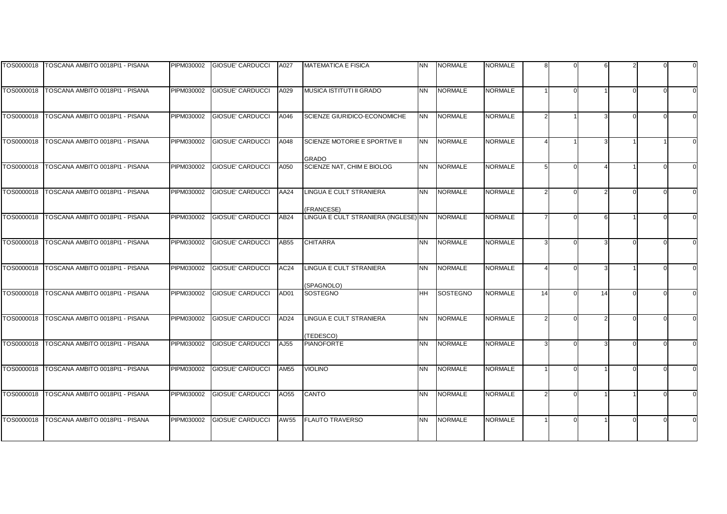|            | TOS0000018 TOSCANA AMBITO 0018PI1 - PISANA | PIPM030002 | <b>GIOSUE' CARDUCCI</b> | A027             | <b>MATEMATICA E FISICA</b>                    | <b>NN</b> | <b>NORMALE</b>  | <b>NORMALE</b> |    |    |  |  |
|------------|--------------------------------------------|------------|-------------------------|------------------|-----------------------------------------------|-----------|-----------------|----------------|----|----|--|--|
|            |                                            |            |                         |                  |                                               |           |                 |                |    |    |  |  |
| TOS0000018 | TOSCANA AMBITO 0018PI1 - PISANA            | PIPM030002 | <b>GIOSUE' CARDUCCI</b> | A029             | MUSICA ISTITUTI II GRADO                      | <b>NN</b> | <b>NORMALE</b>  | <b>NORMALE</b> |    |    |  |  |
| TOS0000018 | TOSCANA AMBITO 0018PI1 - PISANA            | PIPM030002 | <b>GIOSUE' CARDUCCI</b> | A046             | SCIENZE GIURIDICO-ECONOMICHE                  | <b>NN</b> | <b>NORMALE</b>  | <b>NORMALE</b> |    |    |  |  |
| TOS0000018 | TOSCANA AMBITO 0018PI1 - PISANA            | PIPM030002 | <b>GIOSUE' CARDUCCI</b> | A048             | SCIENZE MOTORIE E SPORTIVE II<br><b>GRADO</b> | <b>NN</b> | <b>NORMALE</b>  | <b>NORMALE</b> |    |    |  |  |
| TOS0000018 | TOSCANA AMBITO 0018PI1 - PISANA            | PIPM030002 | <b>GIOSUE' CARDUCCI</b> | A050             | SCIENZE NAT, CHIM E BIOLOG                    | <b>NN</b> | <b>NORMALE</b>  | <b>NORMALE</b> |    |    |  |  |
| TOS0000018 | TOSCANA AMBITO 0018PI1 - PISANA            | PIPM030002 | <b>GIOSUE' CARDUCCI</b> | AA24             | <b>LINGUA E CULT STRANIERA</b><br>(FRANCESE)  | <b>NN</b> | <b>NORMALE</b>  | <b>NORMALE</b> |    |    |  |  |
| TOS0000018 | TOSCANA AMBITO 0018PI1 - PISANA            | PIPM030002 | <b>GIOSUE' CARDUCCI</b> | AB <sub>24</sub> | LINGUA E CULT STRANIERA (INGLESE) NN          |           | <b>NORMALE</b>  | <b>NORMALE</b> |    |    |  |  |
| TOS0000018 | TOSCANA AMBITO 0018PI1 - PISANA            | PIPM030002 | <b>GIOSUE' CARDUCCI</b> | AB55             | <b>CHITARRA</b>                               | <b>NN</b> | <b>NORMALE</b>  | <b>NORMALE</b> |    |    |  |  |
| TOS0000018 | TOSCANA AMBITO 0018PI1 - PISANA            | PIPM030002 | <b>GIOSUE' CARDUCCI</b> | AC24             | LINGUA E CULT STRANIERA<br>(SPAGNOLO)         | <b>NN</b> | <b>NORMALE</b>  | <b>NORMALE</b> |    |    |  |  |
| TOS0000018 | TOSCANA AMBITO 0018PI1 - PISANA            | PIPM030002 | <b>GIOSUE' CARDUCCI</b> | AD01             | <b>SOSTEGNO</b>                               | <b>HH</b> | <b>SOSTEGNO</b> | <b>NORMALE</b> | 14 | 14 |  |  |
| TOS0000018 | TOSCANA AMBITO 0018PI1 - PISANA            | PIPM030002 | <b>GIOSUE' CARDUCCI</b> | AD <sub>24</sub> | <b>LINGUA E CULT STRANIERA</b><br>(TEDESCO)   | NN.       | <b>NORMALE</b>  | <b>NORMALE</b> |    |    |  |  |
| TOS0000018 | TOSCANA AMBITO 0018PI1 - PISANA            | PIPM030002 | <b>GIOSUE' CARDUCCI</b> | AJ55             | <b>PIANOFORTE</b>                             | <b>NN</b> | <b>NORMALE</b>  | <b>NORMALE</b> |    |    |  |  |
| TOS0000018 | TOSCANA AMBITO 0018PI1 - PISANA            | PIPM030002 | GIOSUE' CARDUCCI        | <b>AM55</b>      | <b>VIOLINO</b>                                | NN.       | <b>NORMALE</b>  | <b>NORMALE</b> |    |    |  |  |
| TOS0000018 | TOSCANA AMBITO 0018PI1 - PISANA            | PIPM030002 | <b>GIOSUE' CARDUCCI</b> | AO55             | CANTO                                         | <b>NN</b> | <b>NORMALE</b>  | <b>NORMALE</b> | 2  |    |  |  |
| TOS0000018 | TOSCANA AMBITO 0018PI1 - PISANA            | PIPM030002 | <b>GIOSUE' CARDUCCI</b> | AW 55            | <b>FLAUTO TRAVERSO</b>                        | <b>NN</b> | <b>NORMALE</b>  | <b>NORMALE</b> |    |    |  |  |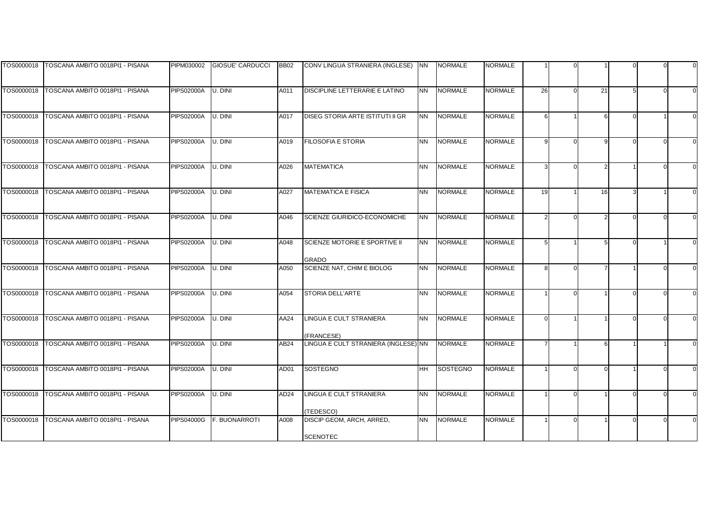|            | TOS0000018 TOSCANA AMBITO 0018PI1 - PISANA | PIPM030002        | <b>GIOSUE' CARDUCCI</b> | <b>BB02</b> | CONV LINGUA STRANIERA (INGLESE) NN                 |                | <b>NORMALE</b> | NORMALE        |    |          |    |  |  |
|------------|--------------------------------------------|-------------------|-------------------------|-------------|----------------------------------------------------|----------------|----------------|----------------|----|----------|----|--|--|
|            |                                            |                   |                         |             |                                                    |                |                |                |    |          |    |  |  |
| TOS0000018 | TOSCANA AMBITO 0018PI1 - PISANA            | <b>PIPS02000A</b> | U. DINI                 | A011        | DISCIPLINE LETTERARIE E LATINO                     | <b>NN</b>      | <b>NORMALE</b> | <b>NORMALE</b> | 26 | $\Omega$ | 21 |  |  |
|            |                                            |                   |                         |             |                                                    |                |                |                |    |          |    |  |  |
|            |                                            |                   |                         |             |                                                    |                |                |                |    |          |    |  |  |
| TOS0000018 | TOSCANA AMBITO 0018PI1 - PISANA            | <b>PIPS02000A</b> | U. DINI                 | A017        | DISEG STORIA ARTE ISTITUTI II GR                   | <b>NN</b>      | <b>NORMALE</b> | <b>NORMALE</b> |    |          |    |  |  |
|            |                                            |                   |                         |             |                                                    |                |                |                |    |          |    |  |  |
|            |                                            |                   |                         |             |                                                    |                |                |                |    |          |    |  |  |
| TOS0000018 | TOSCANA AMBITO 0018PI1 - PISANA            | <b>PIPS02000A</b> | U. DINI                 | A019        | <b>FILOSOFIA E STORIA</b>                          | <b>NN</b>      | <b>NORMALE</b> | <b>NORMALE</b> |    | U        |    |  |  |
|            |                                            |                   |                         |             |                                                    |                |                |                |    |          |    |  |  |
| TOS0000018 | TOSCANA AMBITO 0018PI1 - PISANA            | <b>PIPS02000A</b> | U. DINI                 | A026        | <b>MATEMATICA</b>                                  | <b>NN</b>      | <b>NORMALE</b> | <b>NORMALE</b> |    |          |    |  |  |
|            |                                            |                   |                         |             |                                                    |                |                |                |    |          |    |  |  |
|            |                                            |                   |                         |             |                                                    |                |                |                |    |          |    |  |  |
| TOS0000018 | TOSCANA AMBITO 0018PI1 - PISANA            | <b>PIPS02000A</b> | U. DINI                 | A027        | <b>MATEMATICA E FISICA</b>                         | <b>NN</b>      | <b>NORMALE</b> | <b>NORMALE</b> | 19 |          | 16 |  |  |
|            |                                            |                   |                         |             |                                                    |                |                |                |    |          |    |  |  |
|            |                                            |                   |                         |             |                                                    |                |                |                |    |          |    |  |  |
| TOS0000018 | TOSCANA AMBITO 0018PI1 - PISANA            | <b>PIPS02000A</b> | U. DINI                 | A046        | SCIENZE GIURIDICO-ECONOMICHE                       | <b>NN</b>      | <b>NORMALE</b> | <b>NORMALE</b> |    |          |    |  |  |
|            |                                            |                   |                         |             |                                                    |                |                |                |    |          |    |  |  |
| TOS0000018 | TOSCANA AMBITO 0018PI1 - PISANA            | <b>PIPS02000A</b> | U. DINI                 | A048        | SCIENZE MOTORIE E SPORTIVE II                      | <b>NN</b>      | <b>NORMALE</b> | <b>NORMALE</b> |    |          |    |  |  |
|            |                                            |                   |                         |             |                                                    |                |                |                |    |          |    |  |  |
|            |                                            |                   |                         |             | GRADO                                              |                |                |                |    |          |    |  |  |
| TOS0000018 | TOSCANA AMBITO 0018PI1 - PISANA            | <b>PIPS02000A</b> | U. DINI                 | A050        | SCIENZE NAT, CHIM E BIOLOG                         | <b>NN</b>      | <b>NORMALE</b> | <b>NORMALE</b> |    |          |    |  |  |
|            |                                            |                   |                         |             |                                                    |                |                |                |    |          |    |  |  |
| TOS0000018 | TOSCANA AMBITO 0018PI1 - PISANA            | <b>PIPS02000A</b> | U. DINI                 | A054        | <b>STORIA DELL'ARTE</b>                            | <b>NN</b>      | <b>NORMALE</b> | <b>NORMALE</b> |    |          |    |  |  |
|            |                                            |                   |                         |             |                                                    |                |                |                |    |          |    |  |  |
|            |                                            |                   |                         |             |                                                    |                |                |                |    |          |    |  |  |
| TOS0000018 | TOSCANA AMBITO 0018PI1 - PISANA            | <b>PIPS02000A</b> | U. DINI                 | AA24        | LINGUA E CULT STRANIERA                            | N <sub>N</sub> | <b>NORMALE</b> | <b>NORMALE</b> |    |          |    |  |  |
|            |                                            |                   |                         |             |                                                    |                |                |                |    |          |    |  |  |
| TOS0000018 | TOSCANA AMBITO 0018PI1 - PISANA            | <b>PIPS02000A</b> | U. DINI                 | AB24        | (FRANCESE)<br>LINGUA E CULT STRANIERA (INGLESE) NN |                | <b>NORMALE</b> | <b>NORMALE</b> |    |          |    |  |  |
|            |                                            |                   |                         |             |                                                    |                |                |                |    |          |    |  |  |
|            |                                            |                   |                         |             |                                                    |                |                |                |    |          |    |  |  |
| TOS0000018 | TOSCANA AMBITO 0018PI1 - PISANA            | <b>PIPS02000A</b> | U. DINI                 | AD01        | <b>SOSTEGNO</b>                                    | ΗH             | SOSTEGNO       | <b>NORMALE</b> |    |          |    |  |  |
|            |                                            |                   |                         |             |                                                    |                |                |                |    |          |    |  |  |
|            |                                            |                   |                         |             |                                                    |                |                |                |    |          |    |  |  |
| TOS0000018 | TOSCANA AMBITO 0018PI1 - PISANA            | <b>PIPS02000A</b> | U. DINI                 | AD24        | LINGUA E CULT STRANIERA                            | <b>NN</b>      | <b>NORMALE</b> | <b>NORMALE</b> |    |          |    |  |  |
|            |                                            |                   |                         |             |                                                    |                |                |                |    |          |    |  |  |
| TOS0000018 | TOSCANA AMBITO 0018PI1 - PISANA            | <b>PIPS04000G</b> | <b>F. BUONARROTI</b>    | A008        | TEDESCO)<br>DISCIP GEOM, ARCH, ARRED,              | <b>NN</b>      | <b>NORMALE</b> | <b>NORMALE</b> |    |          |    |  |  |
|            |                                            |                   |                         |             |                                                    |                |                |                |    |          |    |  |  |
|            |                                            |                   |                         |             | <b>SCENOTEC</b>                                    |                |                |                |    |          |    |  |  |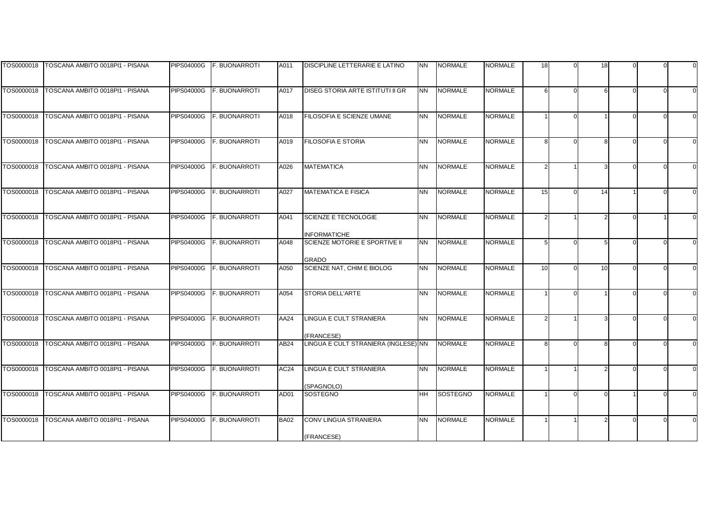|            | TOS0000018   TOSCANA AMBITO 0018PI1 - PISANA | <b>PIPS04000G</b> | <b>F. BUONARROTI</b> | A011        | DISCIPLINE LETTERARIE E LATINO                       | <b>NN</b> | <b>NORMALE</b> | NORMALE        | 18 |          | 18              |  |  |
|------------|----------------------------------------------|-------------------|----------------------|-------------|------------------------------------------------------|-----------|----------------|----------------|----|----------|-----------------|--|--|
|            |                                              |                   |                      |             |                                                      |           |                |                |    |          |                 |  |  |
| TOS0000018 | TOSCANA AMBITO 0018PI1 - PISANA              | <b>PIPS04000G</b> | <b>F. BUONARROTI</b> | A017        | DISEG STORIA ARTE ISTITUTI II GR                     | <b>NN</b> | <b>NORMALE</b> | <b>NORMALE</b> |    | $\Omega$ |                 |  |  |
|            |                                              |                   |                      |             |                                                      |           |                |                |    |          |                 |  |  |
|            |                                              |                   |                      |             |                                                      |           |                |                |    |          |                 |  |  |
| TOS0000018 | TOSCANA AMBITO 0018PI1 - PISANA              | <b>PIPS04000G</b> | F. BUONARROTI        | A018        | FILOSOFIA E SCIENZE UMANE                            | <b>NN</b> | <b>NORMALE</b> | <b>NORMALE</b> |    | $\Omega$ |                 |  |  |
|            |                                              |                   |                      |             |                                                      |           |                |                |    |          |                 |  |  |
|            |                                              |                   |                      |             |                                                      |           |                |                |    |          |                 |  |  |
| TOS0000018 | TOSCANA AMBITO 0018PI1 - PISANA              | <b>PIPS04000G</b> | F. BUONARROTI        | A019        | <b>FILOSOFIA E STORIA</b>                            | <b>NN</b> | <b>NORMALE</b> | <b>NORMALE</b> |    | U        |                 |  |  |
|            |                                              |                   |                      |             |                                                      |           |                |                |    |          |                 |  |  |
| TOS0000018 | TOSCANA AMBITO 0018PI1 - PISANA              | <b>PIPS04000G</b> | F. BUONARROTI        |             | <b>MATEMATICA</b>                                    | <b>NN</b> | <b>NORMALE</b> | <b>NORMALE</b> |    |          |                 |  |  |
|            |                                              |                   |                      | A026        |                                                      |           |                |                |    |          |                 |  |  |
|            |                                              |                   |                      |             |                                                      |           |                |                |    |          |                 |  |  |
| TOS0000018 | TOSCANA AMBITO 0018PI1 - PISANA              | <b>PIPS04000G</b> | F. BUONARROTI        | A027        | <b>MATEMATICA E FISICA</b>                           | <b>NN</b> | <b>NORMALE</b> | <b>NORMALE</b> | 15 | ΩI       | 14              |  |  |
|            |                                              |                   |                      |             |                                                      |           |                |                |    |          |                 |  |  |
|            |                                              |                   |                      |             |                                                      |           |                |                |    |          |                 |  |  |
| TOS0000018 | TOSCANA AMBITO 0018PI1 - PISANA              | <b>PIPS04000G</b> | F. BUONARROTI        | A041        | SCIENZE E TECNOLOGIE                                 | <b>NN</b> | <b>NORMALE</b> | <b>NORMALE</b> |    |          |                 |  |  |
|            |                                              |                   |                      |             |                                                      |           |                |                |    |          |                 |  |  |
| TOS0000018 | TOSCANA AMBITO 0018PI1 - PISANA              | <b>PIPS04000G</b> | <b>F. BUONARROTI</b> | A048        | <b>INFORMATICHE</b><br>SCIENZE MOTORIE E SPORTIVE II | <b>NN</b> | <b>NORMALE</b> | <b>NORMALE</b> |    | $\Omega$ |                 |  |  |
|            |                                              |                   |                      |             |                                                      |           |                |                |    |          |                 |  |  |
|            |                                              |                   |                      |             | GRADO                                                |           |                |                |    |          |                 |  |  |
| TOS0000018 | TOSCANA AMBITO 0018PI1 - PISANA              | <b>PIPS04000G</b> | F. BUONARROTI        | A050        | SCIENZE NAT, CHIM E BIOLOG                           | <b>NN</b> | <b>NORMALE</b> | <b>NORMALE</b> | 10 |          | 10 <sup>1</sup> |  |  |
|            |                                              |                   |                      |             |                                                      |           |                |                |    |          |                 |  |  |
|            |                                              |                   |                      |             |                                                      |           |                |                |    |          |                 |  |  |
| TOS0000018 | TOSCANA AMBITO 0018PI1 - PISANA              | <b>PIPS04000G</b> | F. BUONARROTI        | A054        | <b>STORIA DELL'ARTE</b>                              | <b>NN</b> | <b>NORMALE</b> | <b>NORMALE</b> |    |          |                 |  |  |
|            |                                              |                   |                      |             |                                                      |           |                |                |    |          |                 |  |  |
| TOS0000018 | TOSCANA AMBITO 0018PI1 - PISANA              | <b>PIPS04000G</b> | <b>F. BUONARROTI</b> | AA24        | LINGUA E CULT STRANIERA                              | <b>NN</b> | <b>NORMALE</b> | <b>NORMALE</b> |    |          |                 |  |  |
|            |                                              |                   |                      |             |                                                      |           |                |                |    |          |                 |  |  |
|            |                                              |                   |                      |             | <b>FRANCESE)</b>                                     |           |                |                |    |          |                 |  |  |
| TOS0000018 | TOSCANA AMBITO 0018PI1 - PISANA              | <b>PIPS04000G</b> | F. BUONARROTI        | AB24        | LINGUA E CULT STRANIERA (INGLESE) NN                 |           | <b>NORMALE</b> | <b>NORMALE</b> |    | O.       |                 |  |  |
|            |                                              |                   |                      |             |                                                      |           |                |                |    |          |                 |  |  |
| TOS0000018 |                                              |                   | F. BUONARROTI        |             | LINGUA E CULT STRANIERA                              | NΝ        | <b>NORMALE</b> | <b>NORMALE</b> |    |          |                 |  |  |
|            | TOSCANA AMBITO 0018PI1 - PISANA              | <b>PIPS04000G</b> |                      | AC24        |                                                      |           |                |                |    |          |                 |  |  |
|            |                                              |                   |                      |             | SPAGNOLO)                                            |           |                |                |    |          |                 |  |  |
| TOS0000018 | TOSCANA AMBITO 0018PI1 - PISANA              | <b>PIPS04000G</b> | F. BUONARROTI        | AD01        | <b>SOSTEGNO</b>                                      | ΗH        | SOSTEGNO       | <b>NORMALE</b> |    |          |                 |  |  |
|            |                                              |                   |                      |             |                                                      |           |                |                |    |          |                 |  |  |
|            |                                              |                   |                      |             |                                                      |           |                |                |    |          |                 |  |  |
| TOS0000018 | TOSCANA AMBITO 0018PI1 - PISANA              | <b>PIPS04000G</b> | F. BUONARROTI        | <b>BA02</b> | CONV LINGUA STRANIERA                                | <b>NN</b> | <b>NORMALE</b> | <b>NORMALE</b> |    |          |                 |  |  |
|            |                                              |                   |                      |             |                                                      |           |                |                |    |          |                 |  |  |
|            |                                              |                   |                      |             | (FRANCESE)                                           |           |                |                |    |          |                 |  |  |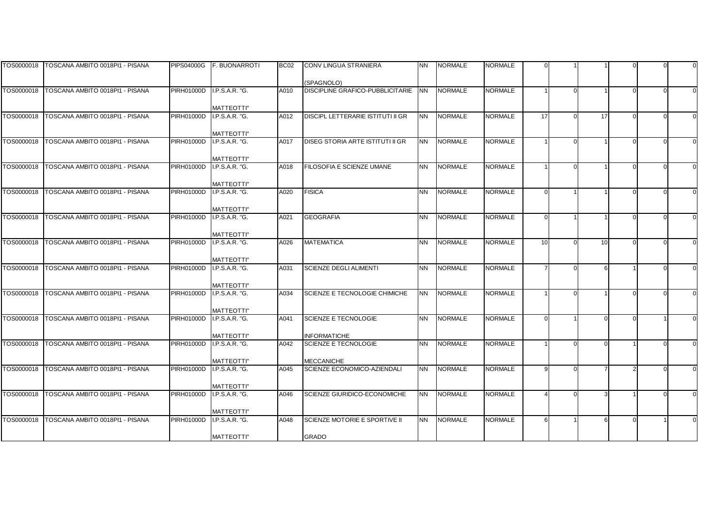|            | TOS0000018   TOSCANA AMBITO 0018PI1 - PISANA | <b>PIPS04000G</b> | <b>F. BUONARROTI</b>                | BC <sub>02</sub> | CONV LINGUA STRANIERA                   | <b>NN</b> | <b>NORMALE</b> | NORMALE        |                |    |  |  |
|------------|----------------------------------------------|-------------------|-------------------------------------|------------------|-----------------------------------------|-----------|----------------|----------------|----------------|----|--|--|
|            |                                              |                   |                                     |                  |                                         |           |                |                |                |    |  |  |
|            |                                              |                   |                                     |                  | (SPAGNOLO)                              |           |                |                |                |    |  |  |
|            |                                              | PIRH01000D        | <b>I.P.S.A.R. "G.</b>               | A010             | <b>DISCIPLINE GRAFICO-PUBBLICITARIE</b> | <b>NN</b> | <b>NORMALE</b> | <b>NORMALE</b> |                |    |  |  |
|            |                                              |                   |                                     |                  |                                         |           |                |                |                |    |  |  |
|            |                                              |                   | <b>MATTEOTTI"</b>                   |                  |                                         |           |                |                |                |    |  |  |
| TOS0000018 | TOSCANA AMBITO 0018PI1 - PISANA              | PIRH01000D        | I.P.S.A.R. "G.                      | A012             | DISCIPL LETTERARIE ISTITUTI II GR       | <b>NN</b> | <b>NORMALE</b> | <b>NORMALE</b> | 17             | 17 |  |  |
|            |                                              |                   |                                     |                  |                                         |           |                |                |                |    |  |  |
| TOS0000018 | TOSCANA AMBITO 0018PI1 - PISANA              |                   | <b>MATTEOTTI"</b>                   |                  | <b>DISEG STORIA ARTE ISTITUTI II GR</b> |           |                | <b>NORMALE</b> |                |    |  |  |
|            |                                              | PIRH01000D        | I.P.S.A.R. "G.                      | A017             |                                         | <b>NN</b> | <b>NORMALE</b> |                |                |    |  |  |
|            |                                              |                   | <b>MATTEOTTI"</b>                   |                  |                                         |           |                |                |                |    |  |  |
| TOS0000018 | TOSCANA AMBITO 0018PI1 - PISANA              | PIRH01000D        | I.P.S.A.R. "G.                      | A018             | FILOSOFIA E SCIENZE UMANE               | <b>NN</b> | <b>NORMALE</b> | <b>NORMALE</b> |                |    |  |  |
|            |                                              |                   |                                     |                  |                                         |           |                |                |                |    |  |  |
|            |                                              |                   | <b>MATTEOTTI"</b>                   |                  |                                         |           |                |                |                |    |  |  |
| TOS0000018 | TOSCANA AMBITO 0018PI1 - PISANA              | PIRH01000D        | I.P.S.A.R. "G.                      | A020             | <b>FISICA</b>                           | <b>NN</b> | <b>NORMALE</b> | <b>NORMALE</b> | $\Omega$       |    |  |  |
|            |                                              |                   |                                     |                  |                                         |           |                |                |                |    |  |  |
|            |                                              |                   | <b>MATTEOTTI"</b>                   |                  |                                         |           |                |                |                |    |  |  |
| TOS0000018 | TOSCANA AMBITO 0018PI1 - PISANA              | PIRH01000D        | I.P.S.A.R. "G.                      | A021             | <b>GEOGRAFIA</b>                        | <b>NN</b> | <b>NORMALE</b> | <b>NORMALE</b> | C              |    |  |  |
|            |                                              |                   |                                     |                  |                                         |           |                |                |                |    |  |  |
|            |                                              |                   | <b>MATTEOTTI"</b>                   |                  |                                         |           |                |                |                |    |  |  |
| TOS0000018 | TOSCANA AMBITO 0018PI1 - PISANA              | <b>PIRH01000D</b> | I.P.S.A.R. "G.                      | A026             | <b>MATEMATICA</b>                       | <b>NN</b> | <b>NORMALE</b> | <b>NORMALE</b> | 10             | 10 |  |  |
|            |                                              |                   |                                     |                  |                                         |           |                |                |                |    |  |  |
|            |                                              |                   | <b>MATTEOTTI"</b>                   |                  |                                         |           |                |                |                |    |  |  |
| TOS0000018 | TOSCANA AMBITO 0018PI1 - PISANA              | PIRH01000D        | I.P.S.A.R. "G.                      | A031             | <b>SCIENZE DEGLI ALIMENTI</b>           | <b>NN</b> | <b>NORMALE</b> | <b>NORMALE</b> | $\overline{7}$ |    |  |  |
|            |                                              |                   |                                     |                  |                                         |           |                |                |                |    |  |  |
| TOS0000018 | TOSCANA AMBITO 0018PI1 - PISANA              | <b>PIRH01000D</b> | <b>MATTEOTTI"</b><br>I.P.S.A.R. "G. | A034             | SCIENZE E TECNOLOGIE CHIMICHE           | <b>NN</b> | <b>NORMALE</b> | <b>NORMALE</b> |                |    |  |  |
|            |                                              |                   |                                     |                  |                                         |           |                |                |                |    |  |  |
|            |                                              |                   | <b>MATTEOTTI"</b>                   |                  |                                         |           |                |                |                |    |  |  |
| TOS0000018 | TOSCANA AMBITO 0018PI1 - PISANA              | <b>PIRH01000D</b> | I.P.S.A.R. "G.                      | A041             | SCIENZE E TECNOLOGIE                    | <b>NN</b> | <b>NORMALE</b> | <b>NORMALE</b> |                |    |  |  |
|            |                                              |                   |                                     |                  |                                         |           |                |                |                |    |  |  |
|            |                                              |                   | <b>MATTEOTTI"</b>                   |                  | <b>INFORMATICHE</b>                     |           |                |                |                |    |  |  |
| TOS0000018 | TOSCANA AMBITO 0018PI1 - PISANA              | PIRH01000D        | I.P.S.A.R. "G.                      | A042             | <b>SCIENZE E TECNOLOGIE</b>             | <b>NN</b> | <b>NORMALE</b> | <b>NORMALE</b> |                |    |  |  |
|            |                                              |                   |                                     |                  |                                         |           |                |                |                |    |  |  |
|            |                                              |                   | <b>MATTEOTTI"</b>                   |                  | <b>MECCANICHE</b>                       |           |                |                |                |    |  |  |
| TOS0000018 | TOSCANA AMBITO 0018PI1 - PISANA              | PIRH01000D        | I.P.S.A.R. "G.                      | A045             | SCIENZE ECONOMICO-AZIENDALI             | <b>NN</b> | <b>NORMALE</b> | <b>NORMALE</b> | q              |    |  |  |
|            |                                              |                   |                                     |                  |                                         |           |                |                |                |    |  |  |
|            |                                              |                   | <b>MATTEOTTI"</b>                   |                  |                                         |           |                |                |                |    |  |  |
| TOS0000018 | TOSCANA AMBITO 0018PI1 - PISANA              | PIRH01000D        | I.P.S.A.R. "G.                      | A046             | SCIENZE GIURIDICO-ECONOMICHE            | <b>NN</b> | <b>NORMALE</b> | <b>NORMALE</b> |                |    |  |  |
|            |                                              |                   |                                     |                  |                                         |           |                |                |                |    |  |  |
| TOS0000018 |                                              |                   | <b>MATTEOTTI"</b>                   |                  |                                         |           |                |                | 6              |    |  |  |
|            | TOSCANA AMBITO 0018PI1 - PISANA              | PIRH01000D        | I.P.S.A.R. "G.                      | A048             | SCIENZE MOTORIE E SPORTIVE II           | <b>NN</b> | <b>NORMALE</b> | <b>NORMALE</b> |                |    |  |  |
|            |                                              |                   | <b>MATTEOTTI"</b>                   |                  | GRADO                                   |           |                |                |                |    |  |  |
|            |                                              |                   |                                     |                  |                                         |           |                |                |                |    |  |  |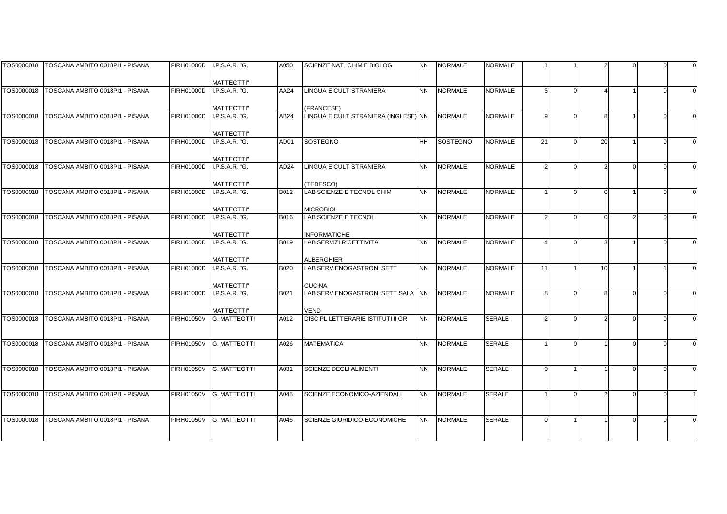|            | TOS0000018 TOSCANA AMBITO 0018PI1 - PISANA | PIRH01000D        | I.P.S.A.R. "G.                           | A050             | SCIENZE NAT, CHIM E BIOLOG                       | <b>NN</b> | <b>NORMALE</b>  | NORMALE        |    |    |  |  |
|------------|--------------------------------------------|-------------------|------------------------------------------|------------------|--------------------------------------------------|-----------|-----------------|----------------|----|----|--|--|
|            |                                            |                   |                                          |                  |                                                  |           |                 |                |    |    |  |  |
|            | TOS0000018 TOSCANA AMBITO 0018PI1 - PISANA | PIRH01000D        | <b>MATTEOTTI"</b><br>I.P.S.A.R. "G.      | AA24             | <b>LINGUA E CULT STRANIERA</b>                   | <b>NN</b> | <b>NORMALE</b>  | <b>NORMALE</b> | 5  |    |  |  |
|            |                                            |                   |                                          |                  |                                                  |           |                 |                |    |    |  |  |
|            |                                            |                   | <b>MATTEOTTI"</b>                        |                  | (FRANCESE)                                       |           |                 |                |    |    |  |  |
|            | TOS0000018 TOSCANA AMBITO 0018PI1 - PISANA | <b>PIRH01000D</b> | I.P.S.A.R. "G.                           | AB24             | LINGUA E CULT STRANIERA (INGLESE) NN             |           | <b>NORMALE</b>  | <b>NORMALE</b> | q  | 8  |  |  |
|            |                                            |                   |                                          |                  |                                                  |           |                 |                |    |    |  |  |
|            |                                            |                   | <b>MATTEOTTI"</b>                        |                  |                                                  |           |                 |                |    |    |  |  |
| TOS0000018 | TOSCANA AMBITO 0018PI1 - PISANA            | <b>PIRH01000D</b> | I.P.S.A.R. "G.                           | AD01             | <b>SOSTEGNO</b>                                  | <b>HH</b> | <b>SOSTEGNO</b> | <b>NORMALE</b> | 21 | 20 |  |  |
|            |                                            |                   | <b>MATTEOTTI"</b>                        |                  |                                                  |           |                 |                |    |    |  |  |
| TOS0000018 | TOSCANA AMBITO 0018PI1 - PISANA            | <b>PIRH01000D</b> | I.P.S.A.R. "G.                           | AD <sub>24</sub> | <b>LINGUA E CULT STRANIERA</b>                   | <b>NN</b> | <b>NORMALE</b>  | <b>NORMALE</b> |    |    |  |  |
|            |                                            |                   |                                          |                  |                                                  |           |                 |                |    |    |  |  |
|            |                                            |                   | <b>MATTEOTTI"</b>                        |                  | (TEDESCO)                                        |           |                 |                |    |    |  |  |
| TOS0000018 | TOSCANA AMBITO 0018PI1 - PISANA            | <b>PIRH01000D</b> | I.P.S.A.R. "G.                           | B012             | LAB SCIENZE E TECNOL CHIM                        | <b>NN</b> | <b>NORMALE</b>  | <b>NORMALE</b> |    |    |  |  |
|            |                                            |                   | <b>MATTEOTTI"</b>                        |                  | <b>MICROBIOL</b>                                 |           |                 |                |    |    |  |  |
| TOS0000018 | TOSCANA AMBITO 0018PI1 - PISANA            | <b>PIRH01000D</b> | I.P.S.A.R. "G.                           | B016             | <b>LAB SCIENZE E TECNOL</b>                      | <b>NN</b> | <b>NORMALE</b>  | <b>NORMALE</b> |    |    |  |  |
|            |                                            |                   |                                          |                  |                                                  |           |                 |                |    |    |  |  |
|            |                                            |                   | <b>MATTEOTTI"</b>                        |                  | <b>INFORMATICHE</b>                              |           |                 |                |    |    |  |  |
| TOS0000018 | TOSCANA AMBITO 0018PI1 - PISANA            | <b>PIRH01000D</b> | I.P.S.A.R. "G.                           | B019             | <b>LAB SERVIZI RICETTIVITA'</b>                  | <b>NN</b> | <b>NORMALE</b>  | <b>NORMALE</b> |    |    |  |  |
|            |                                            |                   | <b>MATTEOTTI"</b>                        |                  | <b>ALBERGHIER</b>                                |           |                 |                |    |    |  |  |
| TOS0000018 | TOSCANA AMBITO 0018PI1 - PISANA            | PIRH01000D        | I.P.S.A.R. "G.                           | <b>B020</b>      | LAB SERV ENOGASTRON, SETT                        | <b>NN</b> | <b>NORMALE</b>  | <b>NORMALE</b> | 11 | 10 |  |  |
|            |                                            |                   |                                          |                  |                                                  |           |                 |                |    |    |  |  |
|            |                                            |                   | <b>MATTEOTTI"</b>                        |                  | <b>CUCINA</b>                                    |           |                 |                |    |    |  |  |
| TOS0000018 | TOSCANA AMBITO 0018PI1 - PISANA            | <b>PIRH01000D</b> | I.P.S.A.R. "G.                           | B021             | LAB SERV ENOGASTRON, SETT SALA NN                |           | <b>NORMALE</b>  | <b>NORMALE</b> | R  |    |  |  |
|            |                                            |                   |                                          |                  |                                                  |           |                 |                |    |    |  |  |
| TOS0000018 | TOSCANA AMBITO 0018PI1 - PISANA            | <b>PIRH01050V</b> | <b>MATTEOTTI"</b><br><b>G. MATTEOTTI</b> | A012             | VEND<br><b>DISCIPL LETTERARIE ISTITUTI II GR</b> | <b>NN</b> | <b>NORMALE</b>  | <b>SERALE</b>  |    |    |  |  |
|            |                                            |                   |                                          |                  |                                                  |           |                 |                |    |    |  |  |
|            |                                            |                   |                                          |                  |                                                  |           |                 |                |    |    |  |  |
| TOS0000018 | TOSCANA AMBITO 0018PI1 - PISANA            | <b>PIRH01050V</b> | <b>G. MATTEOTTI</b>                      | A026             | <b>MATEMATICA</b>                                | <b>NN</b> | <b>NORMALE</b>  | <b>SERALE</b>  |    |    |  |  |
|            |                                            |                   |                                          |                  |                                                  |           |                 |                |    |    |  |  |
| TOS0000018 | TOSCANA AMBITO 0018PI1 - PISANA            | <b>PIRH01050V</b> | <b>G. MATTEOTTI</b>                      | A031             | <b>SCIENZE DEGLI ALIMENTI</b>                    | <b>NN</b> | <b>NORMALE</b>  | <b>SERALE</b>  |    |    |  |  |
|            |                                            |                   |                                          |                  |                                                  |           |                 |                |    |    |  |  |
|            |                                            |                   |                                          |                  |                                                  |           |                 |                |    |    |  |  |
| TOS0000018 | TOSCANA AMBITO 0018PI1 - PISANA            | <b>PIRH01050V</b> | <b>G. MATTEOTTI</b>                      | A045             | SCIENZE ECONOMICO-AZIENDALI                      | <b>NN</b> | <b>NORMALE</b>  | <b>SERALE</b>  |    |    |  |  |
|            |                                            |                   |                                          |                  |                                                  |           |                 |                |    |    |  |  |
| TOS0000018 | TOSCANA AMBITO 0018PI1 - PISANA            | <b>PIRH01050V</b> | <b>G. MATTEOTTI</b>                      | A046             | SCIENZE GIURIDICO-ECONOMICHE                     | <b>NN</b> | <b>NORMALE</b>  | <b>SERALE</b>  |    |    |  |  |
|            |                                            |                   |                                          |                  |                                                  |           |                 |                |    |    |  |  |
|            |                                            |                   |                                          |                  |                                                  |           |                 |                |    |    |  |  |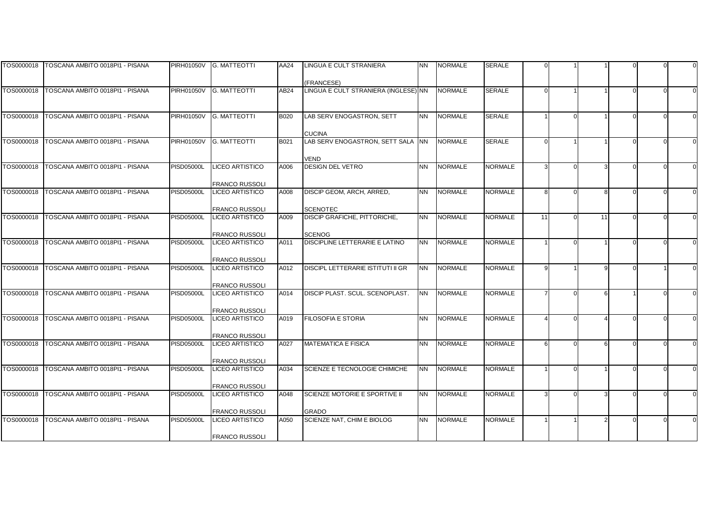|            | TOS0000018   TOSCANA AMBITO 0018PI1 - PISANA | <b>PIRH01050V</b> | <b>G. MATTEOTTI</b>                             | AA24        | LINGUA E CULT STRANIERA                         | <b>NN</b>      | <b>NORMALE</b> | SERALE         |    |    |  |  |
|------------|----------------------------------------------|-------------------|-------------------------------------------------|-------------|-------------------------------------------------|----------------|----------------|----------------|----|----|--|--|
|            |                                              |                   |                                                 |             |                                                 |                |                |                |    |    |  |  |
|            |                                              |                   |                                                 |             | (FRANCESE)                                      |                |                |                |    |    |  |  |
|            | TOS0000018 TOSCANA AMBITO 0018PI1 - PISANA   | <b>PIRH01050V</b> | <b>G. MATTEOTTI</b>                             | AB24        | LINGUA E CULT STRANIERA (INGLESE) NN            |                | <b>NORMALE</b> | <b>SERALE</b>  |    |    |  |  |
|            |                                              |                   |                                                 |             |                                                 |                |                |                |    |    |  |  |
|            |                                              |                   |                                                 |             |                                                 |                |                |                |    |    |  |  |
| TOS0000018 | TOSCANA AMBITO 0018PI1 - PISANA              | <b>PIRH01050V</b> | <b>G. MATTEOTTI</b>                             | <b>B020</b> | LAB SERV ENOGASTRON, SETT                       | <b>NN</b>      | <b>NORMALE</b> | <b>SERALE</b>  |    |    |  |  |
|            |                                              |                   |                                                 |             | <b>CUCINA</b>                                   |                |                |                |    |    |  |  |
| TOS0000018 | TOSCANA AMBITO 0018PI1 - PISANA              | <b>PIRH01050V</b> | <b>G. MATTEOTTI</b>                             | B021        | LAB SERV ENOGASTRON, SETT SALA NN               |                | <b>NORMALE</b> | <b>SERALE</b>  |    |    |  |  |
|            |                                              |                   |                                                 |             |                                                 |                |                |                |    |    |  |  |
|            |                                              |                   |                                                 |             | <b>VEND</b>                                     |                |                |                |    |    |  |  |
| TOS0000018 | TOSCANA AMBITO 0018PI1 - PISANA              | <b>PISD05000L</b> | <b>LICEO ARTISTICO</b>                          | A006        | <b>DESIGN DEL VETRO</b>                         | <b>NN</b>      | <b>NORMALE</b> | <b>NORMALE</b> |    |    |  |  |
|            |                                              |                   |                                                 |             |                                                 |                |                |                |    |    |  |  |
|            |                                              |                   | <b>FRANCO RUSSOLI</b>                           |             |                                                 |                |                |                |    |    |  |  |
| TOS0000018 | TOSCANA AMBITO 0018PI1 - PISANA              | <b>PISD05000L</b> | <b>LICEO ARTISTICO</b>                          | A008        | DISCIP GEOM, ARCH, ARRED,                       | <b>NN</b>      | <b>NORMALE</b> | <b>NORMALE</b> | R  |    |  |  |
|            |                                              |                   |                                                 |             |                                                 |                |                |                |    |    |  |  |
|            |                                              | <b>PISD05000L</b> | <b>FRANCO RUSSOLI</b><br><b>LICEO ARTISTICO</b> |             | <b>SCENOTEC</b><br>DISCIP GRAFICHE, PITTORICHE, | <b>NN</b>      | <b>NORMALE</b> | <b>NORMALE</b> | 11 |    |  |  |
| TOS0000018 | TOSCANA AMBITO 0018PI1 - PISANA              |                   |                                                 | A009        |                                                 |                |                |                |    | 11 |  |  |
|            |                                              |                   | <b>FRANCO RUSSOLI</b>                           |             | <b>SCENOG</b>                                   |                |                |                |    |    |  |  |
| TOS0000018 | TOSCANA AMBITO 0018PI1 - PISANA              | <b>PISD05000L</b> | <b>LICEO ARTISTICO</b>                          | A011        | DISCIPLINE LETTERARIE E LATINO                  | <b>NN</b>      | <b>NORMALE</b> | <b>NORMALE</b> |    |    |  |  |
|            |                                              |                   |                                                 |             |                                                 |                |                |                |    |    |  |  |
|            |                                              |                   | <b>FRANCO RUSSOLI</b>                           |             |                                                 |                |                |                |    |    |  |  |
| TOS0000018 | TOSCANA AMBITO 0018PI1 - PISANA              | <b>PISD05000L</b> | LICEO ARTISTICO                                 | A012        | DISCIPL LETTERARIE ISTITUTI II GR               | <b>NN</b>      | <b>NORMALE</b> | <b>NORMALE</b> |    |    |  |  |
|            |                                              |                   |                                                 |             |                                                 |                |                |                |    |    |  |  |
|            |                                              |                   | <b>FRANCO RUSSOLI</b>                           |             |                                                 |                |                |                |    |    |  |  |
| TOS0000018 | TOSCANA AMBITO 0018PI1 - PISANA              | <b>PISD05000L</b> | <b>LICEO ARTISTICO</b>                          | A014        | DISCIP PLAST. SCUL. SCENOPLAST.                 | <b>NN</b>      | <b>NORMALE</b> | <b>NORMALE</b> |    |    |  |  |
|            |                                              |                   |                                                 |             |                                                 |                |                |                |    |    |  |  |
| TOS0000018 | TOSCANA AMBITO 0018PI1 - PISANA              | <b>PISD05000L</b> | <b>FRANCO RUSSOLI</b><br>LICEO ARTISTICO        | A019        | <b>FILOSOFIA E STORIA</b>                       | <b>NN</b>      | <b>NORMALE</b> | <b>NORMALE</b> |    |    |  |  |
|            |                                              |                   |                                                 |             |                                                 |                |                |                |    |    |  |  |
|            |                                              |                   | <b>FRANCO RUSSOLI</b>                           |             |                                                 |                |                |                |    |    |  |  |
| TOS0000018 | TOSCANA AMBITO 0018PI1 - PISANA              | <b>PISD05000L</b> | <b>LICEO ARTISTICO</b>                          | A027        | <b>MATEMATICA E FISICA</b>                      | N <sub>N</sub> | <b>NORMALE</b> | <b>NORMALE</b> | ĥ  |    |  |  |
|            |                                              |                   |                                                 |             |                                                 |                |                |                |    |    |  |  |
|            |                                              |                   | <b>FRANCO RUSSOLI</b>                           |             |                                                 |                |                |                |    |    |  |  |
| TOS0000018 | TOSCANA AMBITO 0018PI1 - PISANA              | <b>PISD05000L</b> | LICEO ARTISTICO                                 | A034        | SCIENZE E TECNOLOGIE CHIMICHE                   | <b>NN</b>      | <b>NORMALE</b> | <b>NORMALE</b> |    |    |  |  |
|            |                                              |                   |                                                 |             |                                                 |                |                |                |    |    |  |  |
|            |                                              |                   | FRANCO RUSSOLI                                  |             |                                                 |                |                |                |    |    |  |  |
| TOS0000018 | TOSCANA AMBITO 0018PI1 - PISANA              | <b>PISD05000L</b> | LICEO ARTISTICO                                 | A048        | SCIENZE MOTORIE E SPORTIVE II                   | <b>NN</b>      | <b>NORMALE</b> | <b>NORMALE</b> |    |    |  |  |
|            |                                              |                   | <b>FRANCO RUSSOLI</b>                           |             | <b>GRADO</b>                                    |                |                |                |    |    |  |  |
| TOS0000018 | TOSCANA AMBITO 0018PI1 - PISANA              | <b>PISD05000L</b> | <b>LICEO ARTISTICO</b>                          | A050        | SCIENZE NAT, CHIM E BIOLOG                      | <b>NN</b>      | <b>NORMALE</b> | <b>NORMALE</b> |    |    |  |  |
|            |                                              |                   |                                                 |             |                                                 |                |                |                |    |    |  |  |
|            |                                              |                   | <b>FRANCO RUSSOLI</b>                           |             |                                                 |                |                |                |    |    |  |  |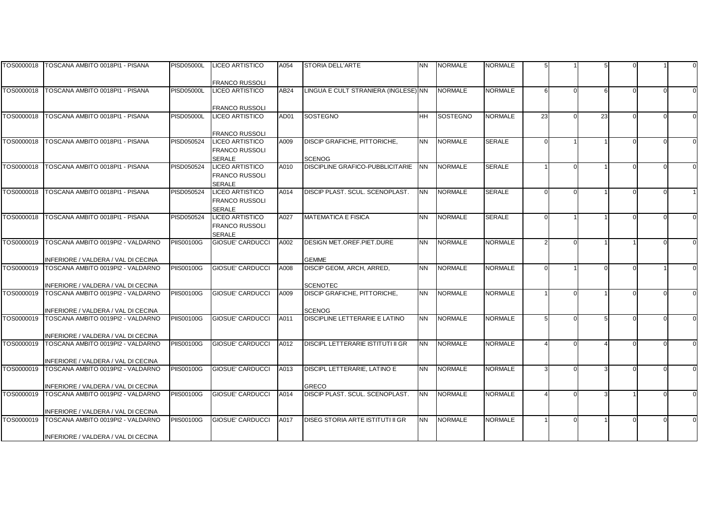|            | TOS0000018   TOSCANA AMBITO 0018PI1 - PISANA                             | <b>PISD05000L</b> | LICEO ARTISTICO         | A054 | <b>STORIA DELL'ARTE</b>                         | <b>NN</b> | <b>NORMALE</b>  | NORMALE        |    |    |  |  |
|------------|--------------------------------------------------------------------------|-------------------|-------------------------|------|-------------------------------------------------|-----------|-----------------|----------------|----|----|--|--|
|            |                                                                          |                   |                         |      |                                                 |           |                 |                |    |    |  |  |
|            |                                                                          |                   | <b>FRANCO RUSSOLI</b>   |      |                                                 |           |                 |                |    |    |  |  |
|            | TOS0000018 TOSCANA AMBITO 0018PI1 - PISANA                               | <b>PISD05000L</b> | <b>LICEO ARTISTICO</b>  | AB24 | LINGUA E CULT STRANIERA (INGLESE) NN            |           | <b>NORMALE</b>  | <b>NORMALE</b> | 6  |    |  |  |
|            |                                                                          |                   |                         |      |                                                 |           |                 |                |    |    |  |  |
|            |                                                                          |                   | <b>FRANCO RUSSOLI</b>   |      |                                                 |           |                 |                |    |    |  |  |
|            | TOS0000018   TOSCANA AMBITO 0018PI1 - PISANA                             | <b>PISD05000L</b> | <b>LICEO ARTISTICO</b>  | AD01 | <b>SOSTEGNO</b>                                 | <b>HH</b> | <b>SOSTEGNO</b> | <b>NORMALE</b> | 23 | 23 |  |  |
|            |                                                                          |                   |                         |      |                                                 |           |                 |                |    |    |  |  |
|            |                                                                          |                   | <b>FRANCO RUSSOLI</b>   |      |                                                 |           |                 |                |    |    |  |  |
| TOS0000018 | TOSCANA AMBITO 0018PI1 - PISANA                                          | PISD050524        | <b>LICEO ARTISTICO</b>  | A009 | <b>DISCIP GRAFICHE, PITTORICHE,</b>             | <b>NN</b> | <b>NORMALE</b>  | <b>SERALE</b>  |    |    |  |  |
|            |                                                                          |                   | <b>FRANCO RUSSOLI</b>   |      |                                                 |           |                 |                |    |    |  |  |
|            |                                                                          |                   | <b>SERALE</b>           |      | <b>SCENOG</b>                                   |           |                 |                |    |    |  |  |
| TOS0000018 | TOSCANA AMBITO 0018PI1 - PISANA                                          | PISD050524        | <b>LICEO ARTISTICO</b>  | A010 | DISCIPLINE GRAFICO-PUBBLICITARIE                | <b>NN</b> | <b>NORMALE</b>  | <b>SERALE</b>  |    |    |  |  |
|            |                                                                          |                   | <b>FRANCO RUSSOLI</b>   |      |                                                 |           |                 |                |    |    |  |  |
|            |                                                                          |                   | <b>SERALE</b>           |      |                                                 |           |                 |                |    |    |  |  |
| TOS0000018 | TOSCANA AMBITO 0018PI1 - PISANA                                          | PISD050524        | <b>LICEO ARTISTICO</b>  | A014 | DISCIP PLAST, SCUL, SCENOPLAST.                 | <b>NN</b> | <b>NORMALE</b>  | <b>SERALE</b>  |    |    |  |  |
|            |                                                                          |                   | FRANCO RUSSOLI          |      |                                                 |           |                 |                |    |    |  |  |
|            |                                                                          |                   | SERALE                  |      |                                                 |           |                 |                |    |    |  |  |
| TOS0000018 | TOSCANA AMBITO 0018PI1 - PISANA                                          | PISD050524        | <b>LICEO ARTISTICO</b>  | A027 | <b>MATEMATICA E FISICA</b>                      | <b>NN</b> | <b>NORMALE</b>  | <b>SERALE</b>  |    |    |  |  |
|            |                                                                          |                   | FRANCO RUSSOLI          |      |                                                 |           |                 |                |    |    |  |  |
|            |                                                                          |                   | <b>SERALE</b>           |      |                                                 |           |                 |                |    |    |  |  |
| TOS0000019 | TOSCANA AMBITO 0019PI2 - VALDARNO                                        | <b>PIIS00100G</b> | <b>GIOSUE' CARDUCCI</b> | A002 | DESIGN MET.OREF.PIET.DURE                       | <b>NN</b> | <b>NORMALE</b>  | <b>NORMALE</b> |    |    |  |  |
|            |                                                                          |                   |                         |      |                                                 |           |                 |                |    |    |  |  |
|            | INFERIORE / VALDERA / VAL DI CECINA                                      |                   |                         |      | <b>GEMME</b>                                    |           |                 |                |    |    |  |  |
| TOS0000019 | TOSCANA AMBITO 0019PI2 - VALDARNO                                        | <b>PIIS00100G</b> | <b>GIOSUE' CARDUCCI</b> | A008 | DISCIP GEOM, ARCH, ARRED,                       | <b>NN</b> | <b>NORMALE</b>  | <b>NORMALE</b> |    |    |  |  |
|            |                                                                          |                   |                         |      |                                                 |           |                 |                |    |    |  |  |
| TOS0000019 | INFERIORE / VALDERA / VAL DI CECINA<br>TOSCANA AMBITO 0019PI2 - VALDARNO | <b>PIIS00100G</b> | <b>GIOSUE' CARDUCCI</b> | A009 | <b>SCENOTEC</b><br>DISCIP GRAFICHE, PITTORICHE, | <b>NN</b> | <b>NORMALE</b>  | <b>NORMALE</b> |    |    |  |  |
|            |                                                                          |                   |                         |      |                                                 |           |                 |                |    |    |  |  |
|            |                                                                          |                   |                         |      |                                                 |           |                 |                |    |    |  |  |
| TOS0000019 | INFERIORE / VALDERA / VAL DI CECINA<br>TOSCANA AMBITO 0019PI2 - VALDARNO | <b>PIIS00100G</b> | <b>GIOSUE' CARDUCCI</b> | A011 | <b>SCENOG</b><br>DISCIPLINE LETTERARIE E LATINO | <b>NN</b> | <b>NORMALE</b>  | <b>NORMALE</b> |    |    |  |  |
|            |                                                                          |                   |                         |      |                                                 |           |                 |                |    |    |  |  |
|            | INFERIORE / VALDERA / VAL DI CECINA                                      |                   |                         |      |                                                 |           |                 |                |    |    |  |  |
| TOS0000019 | TOSCANA AMBITO 0019PI2 - VALDARNO                                        | <b>PIIS00100G</b> | <b>GIOSUE' CARDUCCI</b> | A012 | <b>DISCIPL LETTERARIE ISTITUTI II GR</b>        | <b>NN</b> | <b>NORMALE</b>  | <b>NORMALE</b> |    |    |  |  |
|            |                                                                          |                   |                         |      |                                                 |           |                 |                |    |    |  |  |
|            | INFERIORE / VALDERA / VAL DI CECINA                                      |                   |                         |      |                                                 |           |                 |                |    |    |  |  |
| TOS0000019 | TOSCANA AMBITO 0019PI2 - VALDARNO                                        | <b>PIIS00100G</b> | <b>GIOSUE' CARDUCCI</b> | A013 | DISCIPL LETTERARIE, LATINO E                    | <b>NN</b> | <b>NORMALE</b>  | <b>NORMALE</b> |    |    |  |  |
|            |                                                                          |                   |                         |      |                                                 |           |                 |                |    |    |  |  |
|            | INFERIORE / VALDERA / VAL DI CECINA                                      |                   |                         |      | <b>GRECO</b>                                    |           |                 |                |    |    |  |  |
| TOS0000019 | TOSCANA AMBITO 0019PI2 - VALDARNO                                        | <b>PIIS00100G</b> | GIOSUE' CARDUCCI        | A014 | DISCIP PLAST. SCUL. SCENOPLAST.                 | <b>NN</b> | <b>NORMALE</b>  | <b>NORMALE</b> |    |    |  |  |
|            |                                                                          |                   |                         |      |                                                 |           |                 |                |    |    |  |  |
|            | INFERIORE / VALDERA / VAL DI CECINA                                      |                   |                         |      |                                                 |           |                 |                |    |    |  |  |
| TOS0000019 | TOSCANA AMBITO 0019PI2 - VALDARNO                                        | <b>PIIS00100G</b> | <b>GIOSUE' CARDUCCI</b> | A017 | DISEG STORIA ARTE ISTITUTI II GR                | <b>NN</b> | <b>NORMALE</b>  | <b>NORMALE</b> |    |    |  |  |
|            |                                                                          |                   |                         |      |                                                 |           |                 |                |    |    |  |  |
|            | INFERIORE / VALDERA / VAL DI CECINA                                      |                   |                         |      |                                                 |           |                 |                |    |    |  |  |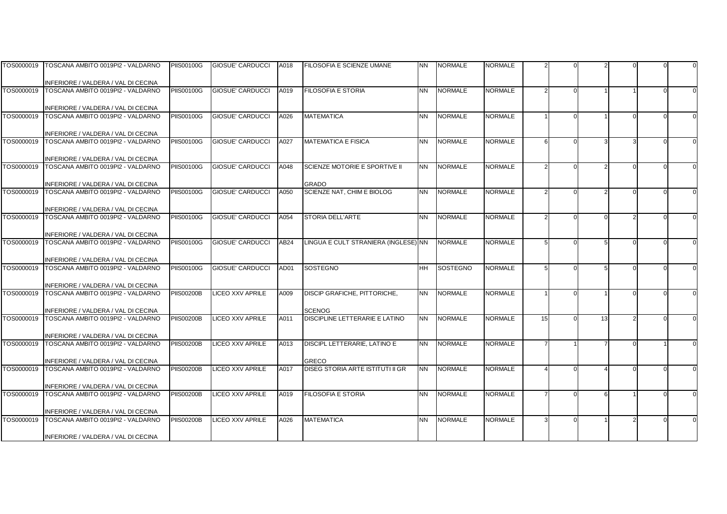|            | TOS0000019   TOSCANA AMBITO 0019PI2 - VALDARNO                           | <b>PIIS00100G</b> | GIOSUE' CARDUCCI        | A018 | FILOSOFIA E SCIENZE UMANE                        | <b>NN</b> | <b>NORMALE</b>  | NORMALE        |    |    |  |  |
|------------|--------------------------------------------------------------------------|-------------------|-------------------------|------|--------------------------------------------------|-----------|-----------------|----------------|----|----|--|--|
|            |                                                                          |                   |                         |      |                                                  |           |                 |                |    |    |  |  |
|            | INFERIORE / VALDERA / VAL DI CECINA                                      |                   |                         |      |                                                  |           |                 |                |    |    |  |  |
|            | TOS0000019   TOSCANA AMBITO 0019PI2 - VALDARNO                           | <b>PIIS00100G</b> | <b>GIOSUE' CARDUCCI</b> | A019 | <b>FILOSOFIA E STORIA</b>                        | <b>NN</b> | <b>NORMALE</b>  | <b>NORMALE</b> |    |    |  |  |
|            |                                                                          |                   |                         |      |                                                  |           |                 |                |    |    |  |  |
| TOS0000019 | INFERIORE / VALDERA / VAL DI CECINA<br>TOSCANA AMBITO 0019PI2 - VALDARNO | <b>PIIS00100G</b> | <b>GIOSUE' CARDUCCI</b> | A026 | <b>MATEMATICA</b>                                | <b>NN</b> | <b>NORMALE</b>  | <b>NORMALE</b> |    |    |  |  |
|            |                                                                          |                   |                         |      |                                                  |           |                 |                |    |    |  |  |
|            | INFERIORE / VALDERA / VAL DI CECINA                                      |                   |                         |      |                                                  |           |                 |                |    |    |  |  |
| TOS0000019 | TOSCANA AMBITO 0019PI2 - VALDARNO                                        | <b>PIIS00100G</b> | <b>GIOSUE' CARDUCCI</b> | A027 | <b>MATEMATICA E FISICA</b>                       | <b>NN</b> | <b>NORMALE</b>  | <b>NORMALE</b> | 6  |    |  |  |
|            |                                                                          |                   |                         |      |                                                  |           |                 |                |    |    |  |  |
|            | INFERIORE / VALDERA / VAL DI CECINA                                      |                   |                         |      |                                                  |           |                 |                |    |    |  |  |
|            | TOS0000019   TOSCANA AMBITO 0019PI2 - VALDARNO                           | <b>PIIS00100G</b> | <b>GIOSUE' CARDUCCI</b> | A048 | SCIENZE MOTORIE E SPORTIVE II                    | <b>NN</b> | <b>NORMALE</b>  | <b>NORMALE</b> |    |    |  |  |
|            |                                                                          |                   |                         |      |                                                  |           |                 |                |    |    |  |  |
|            | INFERIORE / VALDERA / VAL DI CECINA                                      |                   |                         |      | <b>GRADO</b>                                     |           |                 |                |    |    |  |  |
| TOS0000019 | TOSCANA AMBITO 0019PI2 - VALDARNO                                        | <b>PIIS00100G</b> | <b>GIOSUE' CARDUCCI</b> | A050 | SCIENZE NAT. CHIM E BIOLOG                       | <b>NN</b> | <b>NORMALE</b>  | <b>NORMALE</b> |    |    |  |  |
|            | INFERIORE / VALDERA / VAL DI CECINA                                      |                   |                         |      |                                                  |           |                 |                |    |    |  |  |
| TOS0000019 | TOSCANA AMBITO 0019PI2 - VALDARNO                                        | <b>PIIS00100G</b> | GIOSUE' CARDUCCI        | A054 | STORIA DELL'ARTE                                 | <b>NN</b> | <b>NORMALE</b>  | <b>NORMALE</b> |    |    |  |  |
|            |                                                                          |                   |                         |      |                                                  |           |                 |                |    |    |  |  |
|            | INFERIORE / VALDERA / VAL DI CECINA                                      |                   |                         |      |                                                  |           |                 |                |    |    |  |  |
| TOS0000019 | TOSCANA AMBITO 0019PI2 - VALDARNO                                        | <b>PIIS00100G</b> | <b>GIOSUE' CARDUCCI</b> | AB24 | LINGUA E CULT STRANIERA (INGLESE) NN             |           | <b>NORMALE</b>  | <b>NORMALE</b> |    |    |  |  |
|            |                                                                          |                   |                         |      |                                                  |           |                 |                |    |    |  |  |
|            | INFERIORE / VALDERA / VAL DI CECINA                                      |                   |                         |      |                                                  |           |                 |                |    |    |  |  |
| TOS0000019 | TOSCANA AMBITO 0019PI2 - VALDARNO                                        | <b>PIIS00100G</b> | <b>GIOSUE' CARDUCCI</b> | AD01 | <b>SOSTEGNO</b>                                  | <b>HH</b> | <b>SOSTEGNO</b> | <b>NORMALE</b> |    |    |  |  |
|            | INFERIORE / VALDERA / VAL DI CECINA                                      |                   |                         |      |                                                  |           |                 |                |    |    |  |  |
| TOS0000019 | TOSCANA AMBITO 0019PI2 - VALDARNO                                        | <b>PIIS00200B</b> | <b>LICEO XXV APRILE</b> | A009 | <b>DISCIP GRAFICHE, PITTORICHE,</b>              | <b>NN</b> | <b>NORMALE</b>  | <b>NORMALE</b> |    |    |  |  |
|            |                                                                          |                   |                         |      |                                                  |           |                 |                |    |    |  |  |
|            | INFERIORE / VALDERA / VAL DI CECINA                                      |                   |                         |      | <b>SCENOG</b>                                    |           |                 |                |    |    |  |  |
| TOS0000019 | TOSCANA AMBITO 0019PI2 - VALDARNO                                        | <b>PIIS00200B</b> | LICEO XXV APRILE        | A011 | DISCIPLINE LETTERARIE E LATINO                   | <b>NN</b> | <b>NORMALE</b>  | <b>NORMALE</b> | 15 | 13 |  |  |
|            |                                                                          |                   |                         |      |                                                  |           |                 |                |    |    |  |  |
|            | INFERIORE / VALDERA / VAL DI CECINA                                      |                   |                         |      |                                                  |           |                 |                |    |    |  |  |
| TOS0000019 | TOSCANA AMBITO 0019PI2 - VALDARNO                                        | <b>PIIS00200B</b> | LICEO XXV APRILE        | A013 | DISCIPL LETTERARIE, LATINO E                     | <b>NN</b> | <b>NORMALE</b>  | <b>NORMALE</b> |    |    |  |  |
|            |                                                                          |                   |                         |      |                                                  |           |                 |                |    |    |  |  |
| TOS0000019 | INFERIORE / VALDERA / VAL DI CECINA<br>TOSCANA AMBITO 0019PI2 - VALDARNO | <b>PIIS00200B</b> | LICEO XXV APRILE        | A017 | GRECO<br><b>DISEG STORIA ARTE ISTITUTI II GR</b> | <b>NN</b> | <b>NORMALE</b>  | <b>NORMALE</b> |    |    |  |  |
|            |                                                                          |                   |                         |      |                                                  |           |                 |                |    |    |  |  |
|            | INFERIORE / VALDERA / VAL DI CECINA                                      |                   |                         |      |                                                  |           |                 |                |    |    |  |  |
| TOS0000019 | TOSCANA AMBITO 0019PI2 - VALDARNO                                        | <b>PIIS00200B</b> | LICEO XXV APRILE        | A019 | <b>FILOSOFIA E STORIA</b>                        | <b>NN</b> | <b>NORMALE</b>  | <b>NORMALE</b> |    |    |  |  |
|            |                                                                          |                   |                         |      |                                                  |           |                 |                |    |    |  |  |
|            | INFERIORE / VALDERA / VAL DI CECINA                                      |                   |                         |      |                                                  |           |                 |                |    |    |  |  |
| TOS0000019 | TOSCANA AMBITO 0019PI2 - VALDARNO                                        | <b>PIIS00200B</b> | LICEO XXV APRILE        | A026 | <b>MATEMATICA</b>                                | <b>NN</b> | <b>NORMALE</b>  | <b>NORMALE</b> |    |    |  |  |
|            |                                                                          |                   |                         |      |                                                  |           |                 |                |    |    |  |  |
|            | INFERIORE / VALDERA / VAL DI CECINA                                      |                   |                         |      |                                                  |           |                 |                |    |    |  |  |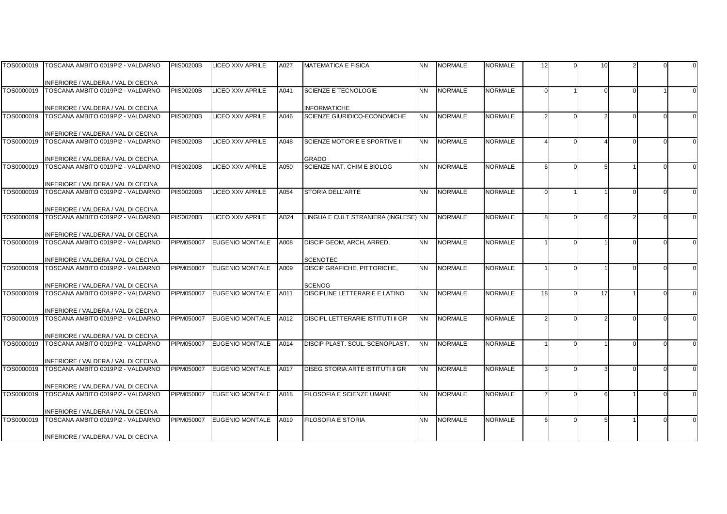|            | TOS0000019 TOSCANA AMBITO 0019PI2 - VALDARNO                                        | <b>PIIS00200B</b> | <b>LICEO XXV APRILE</b> | A027             | <b>MATEMATICA E FISICA</b>                      | <b>NN</b> | <b>NORMALE</b> | <b>NORMALE</b> | 12 | 10 |  |  |
|------------|-------------------------------------------------------------------------------------|-------------------|-------------------------|------------------|-------------------------------------------------|-----------|----------------|----------------|----|----|--|--|
|            |                                                                                     |                   |                         |                  |                                                 |           |                |                |    |    |  |  |
|            | INFERIORE / VALDERA / VAL DI CECINA                                                 |                   |                         |                  |                                                 |           |                |                |    |    |  |  |
| TOS0000019 | TOSCANA AMBITO 0019PI2 - VALDARNO                                                   | <b>PIIS00200B</b> | <b>LICEO XXV APRILE</b> | A041             | <b>SCIENZE E TECNOLOGIE</b>                     | <b>NN</b> | <b>NORMALE</b> | <b>NORMALE</b> |    |    |  |  |
|            |                                                                                     |                   |                         |                  |                                                 |           |                |                |    |    |  |  |
|            | INFERIORE / VALDERA / VAL DI CECINA                                                 |                   |                         |                  | <b>INFORMATICHE</b>                             |           |                |                |    |    |  |  |
| TOS0000019 | TOSCANA AMBITO 0019PI2 - VALDARNO                                                   | <b>PIIS00200B</b> | <b>LICEO XXV APRILE</b> | A046             | SCIENZE GIURIDICO-ECONOMICHE                    | <b>NN</b> | <b>NORMALE</b> | <b>NORMALE</b> |    |    |  |  |
|            |                                                                                     |                   |                         |                  |                                                 |           |                |                |    |    |  |  |
| TOS0000019 | INFERIORE / VALDERA / VAL DI CECINA<br>TOSCANA AMBITO 0019PI2 - VALDARNO            | <b>PIIS00200B</b> | <b>LICEO XXV APRILE</b> | A048             | SCIENZE MOTORIE E SPORTIVE II                   | <b>NN</b> | <b>NORMALE</b> | <b>NORMALE</b> |    |    |  |  |
|            |                                                                                     |                   |                         |                  |                                                 |           |                |                |    |    |  |  |
|            | INFERIORE / VALDERA / VAL DI CECINA                                                 |                   |                         |                  | <b>GRADO</b>                                    |           |                |                |    |    |  |  |
| TOS0000019 | TOSCANA AMBITO 0019PI2 - VALDARNO                                                   | <b>PIIS00200B</b> | <b>LICEO XXV APRILE</b> | A050             | SCIENZE NAT, CHIM E BIOLOG                      | <b>NN</b> | <b>NORMALE</b> | <b>NORMALE</b> | 6  |    |  |  |
|            |                                                                                     |                   |                         |                  |                                                 |           |                |                |    |    |  |  |
|            | INFERIORE / VALDERA / VAL DI CECINA                                                 |                   |                         |                  |                                                 |           |                |                |    |    |  |  |
| TOS0000019 | TOSCANA AMBITO 0019PI2 - VALDARNO                                                   | <b>PIIS00200B</b> | <b>LICEO XXV APRILE</b> | A054             | STORIA DELL'ARTE                                | <b>NN</b> | <b>NORMALE</b> | <b>NORMALE</b> |    |    |  |  |
|            |                                                                                     |                   |                         |                  |                                                 |           |                |                |    |    |  |  |
|            | INFERIORE / VALDERA / VAL DI CECINA                                                 |                   |                         |                  |                                                 |           |                |                |    |    |  |  |
| TOS0000019 | TOSCANA AMBITO 0019PI2 - VALDARNO                                                   | <b>PIIS00200B</b> | <b>LICEO XXV APRILE</b> | AB <sub>24</sub> | LINGUA E CULT STRANIERA (INGLESE) NN            |           | <b>NORMALE</b> | <b>NORMALE</b> | Я  |    |  |  |
|            |                                                                                     |                   |                         |                  |                                                 |           |                |                |    |    |  |  |
|            | INFERIORE / VALDERA / VAL DI CECINA                                                 |                   |                         |                  |                                                 |           |                |                |    |    |  |  |
| TOS0000019 | TOSCANA AMBITO 0019PI2 - VALDARNO                                                   | PIPM050007        | <b>EUGENIO MONTALE</b>  | A008             | DISCIP GEOM, ARCH, ARRED,                       | <b>NN</b> | <b>NORMALE</b> | <b>NORMALE</b> |    |    |  |  |
|            |                                                                                     |                   |                         |                  |                                                 |           |                |                |    |    |  |  |
|            | INFERIORE / VALDERA / VAL DI CECINA<br>TOS0000019 TOSCANA AMBITO 0019PI2 - VALDARNO | PIPM050007        | <b>EUGENIO MONTALE</b>  | A009             | <b>SCENOTEC</b><br>DISCIP GRAFICHE, PITTORICHE, | <b>NN</b> | <b>NORMALE</b> | <b>NORMALE</b> |    |    |  |  |
|            |                                                                                     |                   |                         |                  |                                                 |           |                |                |    |    |  |  |
|            | INFERIORE / VALDERA / VAL DI CECINA                                                 |                   |                         |                  | <b>SCENOG</b>                                   |           |                |                |    |    |  |  |
| TOS0000019 | TOSCANA AMBITO 0019PI2 - VALDARNO                                                   | PIPM050007        | <b>EUGENIO MONTALE</b>  | A011             | DISCIPLINE LETTERARIE E LATINO                  | <b>NN</b> | <b>NORMALE</b> | <b>NORMALE</b> | 18 | 17 |  |  |
|            |                                                                                     |                   |                         |                  |                                                 |           |                |                |    |    |  |  |
|            | INFERIORE / VALDERA / VAL DI CECINA                                                 |                   |                         |                  |                                                 |           |                |                |    |    |  |  |
| TOS0000019 | TOSCANA AMBITO 0019PI2 - VALDARNO                                                   | PIPM050007        | <b>EUGENIO MONTALE</b>  | A012             | <b>DISCIPL LETTERARIE ISTITUTI II GR</b>        | <b>NN</b> | <b>NORMALE</b> | <b>NORMALE</b> |    |    |  |  |
|            |                                                                                     |                   |                         |                  |                                                 |           |                |                |    |    |  |  |
|            | INFERIORE / VALDERA / VAL DI CECINA                                                 |                   |                         |                  |                                                 |           |                |                |    |    |  |  |
| TOS0000019 | TOSCANA AMBITO 0019PI2 - VALDARNO                                                   | PIPM050007        | <b>EUGENIO MONTALE</b>  | A014             | DISCIP PLAST, SCUL, SCENOPLAST.                 | <b>NN</b> | <b>NORMALE</b> | <b>NORMALE</b> |    |    |  |  |
|            |                                                                                     |                   |                         |                  |                                                 |           |                |                |    |    |  |  |
|            | INFERIORE / VALDERA / VAL DI CECINA<br>TOSCANA AMBITO 0019PI2 - VALDARNO            | PIPM050007        |                         |                  | DISEG STORIA ARTE ISTITUTI II GR                | <b>NN</b> | <b>NORMALE</b> | <b>NORMALE</b> |    |    |  |  |
| TOS0000019 |                                                                                     |                   | <b>EUGENIO MONTALE</b>  | A017             |                                                 |           |                |                |    |    |  |  |
|            | INFERIORE / VALDERA / VAL DI CECINA                                                 |                   |                         |                  |                                                 |           |                |                |    |    |  |  |
| TOS0000019 | TOSCANA AMBITO 0019PI2 - VALDARNO                                                   | PIPM050007        | <b>EUGENIO MONTALE</b>  | A018             | FILOSOFIA E SCIENZE UMANE                       | <b>NN</b> | <b>NORMALE</b> | <b>NORMALE</b> |    |    |  |  |
|            |                                                                                     |                   |                         |                  |                                                 |           |                |                |    |    |  |  |
|            | INFERIORE / VALDERA / VAL DI CECINA                                                 |                   |                         |                  |                                                 |           |                |                |    |    |  |  |
| TOS0000019 | TOSCANA AMBITO 0019PI2 - VALDARNO                                                   | PIPM050007        | <b>EUGENIO MONTALE</b>  | A019             | <b>FILOSOFIA E STORIA</b>                       | <b>NN</b> | <b>NORMALE</b> | <b>NORMALE</b> |    |    |  |  |
|            |                                                                                     |                   |                         |                  |                                                 |           |                |                |    |    |  |  |
|            | INFERIORE / VALDERA / VAL DI CECINA                                                 |                   |                         |                  |                                                 |           |                |                |    |    |  |  |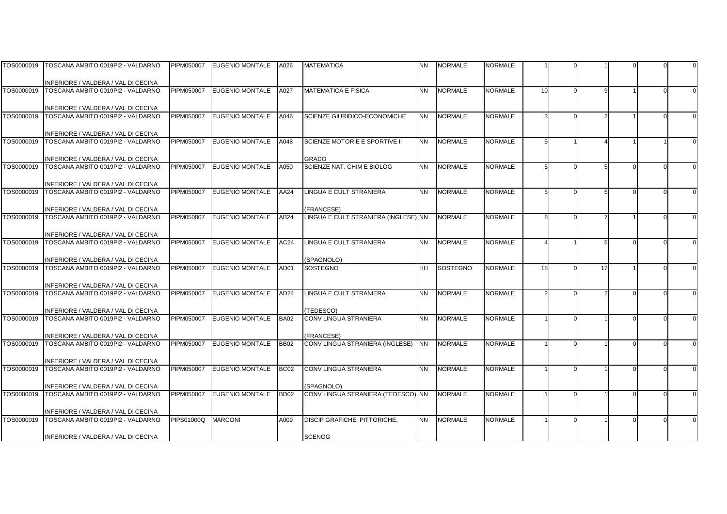| TOS0000019 | TOSCANA AMBITO 0019PI2 - VALDARNO                                        | PIPM050007        | <b>EUGENIO MONTALE</b> | A026             | <b>MATEMATICA</b>                               | <b>NN</b> | <b>NORMALE</b> | NORMALE        |            |    |  |  |
|------------|--------------------------------------------------------------------------|-------------------|------------------------|------------------|-------------------------------------------------|-----------|----------------|----------------|------------|----|--|--|
|            |                                                                          |                   |                        |                  |                                                 |           |                |                |            |    |  |  |
|            | INFERIORE / VALDERA / VAL DI CECINA                                      |                   |                        |                  |                                                 |           |                |                |            |    |  |  |
| TOS0000019 | TOSCANA AMBITO 0019PI2 - VALDARNO                                        | PIPM050007        | <b>EUGENIO MONTALE</b> | A027             | <b>MATEMATICA E FISICA</b>                      | <b>NN</b> | <b>NORMALE</b> | <b>NORMALE</b> | 10         |    |  |  |
|            |                                                                          |                   |                        |                  |                                                 |           |                |                |            |    |  |  |
|            | INFERIORE / VALDERA / VAL DI CECINA                                      |                   |                        |                  |                                                 |           |                |                |            |    |  |  |
| TOS0000019 | TOSCANA AMBITO 0019PI2 - VALDARNO                                        | PIPM050007        | <b>EUGENIO MONTALE</b> | A046             | SCIENZE GIURIDICO-ECONOMICHE                    | <b>NN</b> | <b>NORMALE</b> | <b>NORMALE</b> |            |    |  |  |
|            |                                                                          |                   |                        |                  |                                                 |           |                |                |            |    |  |  |
| TOS0000019 | INFERIORE / VALDERA / VAL DI CECINA                                      | PIPM050007        | <b>EUGENIO MONTALE</b> |                  | SCIENZE MOTORIE E SPORTIVE II                   | <b>NN</b> | <b>NORMALE</b> | <b>NORMALE</b> |            |    |  |  |
|            | TOSCANA AMBITO 0019PI2 - VALDARNO                                        |                   |                        | A048             |                                                 |           |                |                |            |    |  |  |
|            | INFERIORE / VALDERA / VAL DI CECINA                                      |                   |                        |                  | <b>GRADO</b>                                    |           |                |                |            |    |  |  |
| TOS0000019 | TOSCANA AMBITO 0019PI2 - VALDARNO                                        | PIPM050007        | <b>EUGENIO MONTALE</b> | A050             | SCIENZE NAT, CHIM E BIOLOG                      | <b>NN</b> | <b>NORMALE</b> | <b>NORMALE</b> |            |    |  |  |
|            |                                                                          |                   |                        |                  |                                                 |           |                |                |            |    |  |  |
|            | INFERIORE / VALDERA / VAL DI CECINA                                      |                   |                        |                  |                                                 |           |                |                |            |    |  |  |
| TOS0000019 | TOSCANA AMBITO 0019PI2 - VALDARNO                                        | PIPM050007        | <b>EUGENIO MONTALE</b> | AA24             | LINGUA E CULT STRANIERA                         | <b>NN</b> | <b>NORMALE</b> | <b>NORMALE</b> | $\sqrt{2}$ |    |  |  |
|            |                                                                          |                   |                        |                  |                                                 |           |                |                |            |    |  |  |
|            | INFERIORE / VALDERA / VAL DI CECINA                                      |                   |                        |                  | <b>FRANCESE)</b>                                |           |                |                |            |    |  |  |
| TOS0000019 | TOSCANA AMBITO 0019PI2 - VALDARNO                                        | PIPM050007        | <b>EUGENIO MONTALE</b> | AB24             | LINGUA E CULT STRANIERA (INGLESE) NN            |           | <b>NORMALE</b> | <b>NORMALE</b> | Я          |    |  |  |
|            |                                                                          |                   |                        |                  |                                                 |           |                |                |            |    |  |  |
|            | INFERIORE / VALDERA / VAL DI CECINA                                      |                   |                        |                  |                                                 |           |                |                |            |    |  |  |
| TOS0000019 | TOSCANA AMBITO 0019PI2 - VALDARNO                                        | PIPM050007        | <b>EUGENIO MONTALE</b> | AC24             | LINGUA E CULT STRANIERA                         | <b>NN</b> | <b>NORMALE</b> | <b>NORMALE</b> |            |    |  |  |
|            |                                                                          |                   |                        |                  |                                                 |           |                |                |            |    |  |  |
|            | INFERIORE / VALDERA / VAL DI CECINA                                      |                   |                        |                  | SPAGNOLO)                                       |           |                |                |            |    |  |  |
| TOS0000019 | TOSCANA AMBITO 0019PI2 - VALDARNO                                        | PIPM050007        | <b>EUGENIO MONTALE</b> | AD01             | <b>SOSTEGNO</b>                                 | <b>HH</b> | SOSTEGNO       | <b>NORMALE</b> | 18         | 17 |  |  |
|            |                                                                          |                   |                        |                  |                                                 |           |                |                |            |    |  |  |
| TOS0000019 | INFERIORE / VALDERA / VAL DI CECINA<br>TOSCANA AMBITO 0019PI2 - VALDARNO | PIPM050007        | <b>EUGENIO MONTALE</b> | AD <sub>24</sub> | <b>LINGUA E CULT STRANIERA</b>                  | <b>NN</b> | <b>NORMALE</b> | <b>NORMALE</b> |            |    |  |  |
|            |                                                                          |                   |                        |                  |                                                 |           |                |                |            |    |  |  |
|            | INFERIORE / VALDERA / VAL DI CECINA                                      |                   |                        |                  | TEDESCO)                                        |           |                |                |            |    |  |  |
| TOS0000019 | TOSCANA AMBITO 0019PI2 - VALDARNO                                        | PIPM050007        | <b>EUGENIO MONTALE</b> | <b>BA02</b>      | CONV LINGUA STRANIERA                           | <b>NN</b> | <b>NORMALE</b> | <b>NORMALE</b> |            |    |  |  |
|            |                                                                          |                   |                        |                  |                                                 |           |                |                |            |    |  |  |
|            | INFERIORE / VALDERA / VAL DI CECINA                                      |                   |                        |                  | <b>FRANCESE)</b>                                |           |                |                |            |    |  |  |
| TOS0000019 | TOSCANA AMBITO 0019PI2 - VALDARNO                                        | <b>PIPM050007</b> | <b>EUGENIO MONTALE</b> | <b>BB02</b>      | CONV LINGUA STRANIERA (INGLESE)                 | <b>NN</b> | <b>NORMALE</b> | <b>NORMALE</b> |            |    |  |  |
|            |                                                                          |                   |                        |                  |                                                 |           |                |                |            |    |  |  |
|            | INFERIORE / VALDERA / VAL DI CECINA                                      |                   |                        |                  |                                                 |           |                |                |            |    |  |  |
| TOS0000019 | TOSCANA AMBITO 0019PI2 - VALDARNO                                        | PIPM050007        | <b>EUGENIO MONTALE</b> | <b>BC02</b>      | CONV LINGUA STRANIERA                           | <b>NN</b> | <b>NORMALE</b> | <b>NORMALE</b> |            |    |  |  |
|            |                                                                          |                   |                        |                  |                                                 |           |                |                |            |    |  |  |
|            | INFERIORE / VALDERA / VAL DI CECINA                                      |                   |                        |                  | SPAGNOLO)<br>CONV LINGUA STRANIERA (TEDESCO) NN |           |                |                |            |    |  |  |
| TOS0000019 | TOSCANA AMBITO 0019PI2 - VALDARNO                                        | PIPM050007        | <b>EUGENIO MONTALE</b> | <b>BD02</b>      |                                                 |           | <b>NORMALE</b> | <b>NORMALE</b> |            |    |  |  |
|            | INFERIORE / VALDERA / VAL DI CECINA                                      |                   |                        |                  |                                                 |           |                |                |            |    |  |  |
| TOS0000019 | TOSCANA AMBITO 0019PI2 - VALDARNO                                        | PIPS01000Q        | <b>MARCONI</b>         | A009             | DISCIP GRAFICHE, PITTORICHE,                    | <b>NN</b> | <b>NORMALE</b> | <b>NORMALE</b> |            |    |  |  |
|            |                                                                          |                   |                        |                  |                                                 |           |                |                |            |    |  |  |
|            | INFERIORE / VALDERA / VAL DI CECINA                                      |                   |                        |                  | <b>SCENOG</b>                                   |           |                |                |            |    |  |  |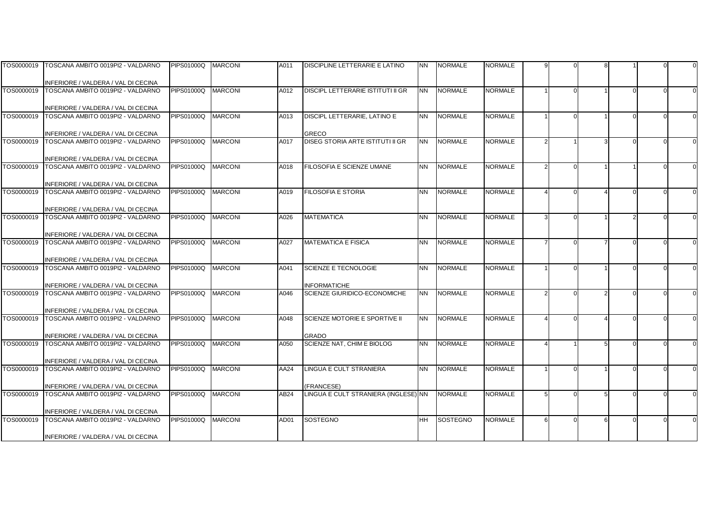| TOS0000019 | TOSCANA AMBITO 0019PI2 - VALDARNO                                        | <b>PIPS01000Q</b> | <b>MARCONI</b> | A011 | DISCIPLINE LETTERARIE E LATINO           | <b>NN</b> | <b>NORMALE</b>  | NORMALE        |   |  |  |          |
|------------|--------------------------------------------------------------------------|-------------------|----------------|------|------------------------------------------|-----------|-----------------|----------------|---|--|--|----------|
|            |                                                                          |                   |                |      |                                          |           |                 |                |   |  |  |          |
| TOS0000019 | INFERIORE / VALDERA / VAL DI CECINA<br>TOSCANA AMBITO 0019PI2 - VALDARNO | <b>PIPS01000Q</b> | <b>MARCONI</b> | A012 | <b>DISCIPL LETTERARIE ISTITUTI II GR</b> | <b>NN</b> | <b>NORMALE</b>  | <b>NORMALE</b> |   |  |  |          |
|            |                                                                          |                   |                |      |                                          |           |                 |                |   |  |  |          |
|            | INFERIORE / VALDERA / VAL DI CECINA                                      |                   |                |      |                                          |           |                 |                |   |  |  |          |
| TOS0000019 | TOSCANA AMBITO 0019PI2 - VALDARNO                                        | <b>PIPS01000Q</b> | <b>MARCONI</b> | A013 | DISCIPL LETTERARIE, LATINO E             | <b>NN</b> | <b>NORMALE</b>  | <b>NORMALE</b> |   |  |  | $\Omega$ |
|            |                                                                          |                   |                |      |                                          |           |                 |                |   |  |  |          |
|            | INFERIORE / VALDERA / VAL DI CECINA                                      |                   |                |      | <b>GRECO</b>                             |           |                 |                |   |  |  |          |
| TOS0000019 | TOSCANA AMBITO 0019PI2 - VALDARNO                                        | <b>PIPS01000Q</b> | <b>MARCONI</b> | A017 | DISEG STORIA ARTE ISTITUTI II GR         | <b>NN</b> | <b>NORMALE</b>  | <b>NORMALE</b> |   |  |  |          |
|            | INFERIORE / VALDERA / VAL DI CECINA                                      |                   |                |      |                                          |           |                 |                |   |  |  |          |
| TOS0000019 | TOSCANA AMBITO 0019PI2 - VALDARNO                                        | PIPS01000Q        | <b>MARCONI</b> | A018 | FILOSOFIA E SCIENZE UMANE                | <b>NN</b> | <b>NORMALE</b>  | <b>NORMALE</b> |   |  |  |          |
|            |                                                                          |                   |                |      |                                          |           |                 |                |   |  |  |          |
|            | INFERIORE / VALDERA / VAL DI CECINA                                      |                   |                |      |                                          |           |                 |                |   |  |  |          |
| TOS0000019 | TOSCANA AMBITO 0019PI2 - VALDARNO                                        | <b>PIPS01000Q</b> | <b>MARCONI</b> | A019 | <b>FILOSOFIA E STORIA</b>                | <b>NN</b> | <b>NORMALE</b>  | <b>NORMALE</b> |   |  |  |          |
|            |                                                                          |                   |                |      |                                          |           |                 |                |   |  |  |          |
|            | INFERIORE / VALDERA / VAL DI CECINA                                      |                   |                |      |                                          |           |                 |                |   |  |  |          |
| TOS0000019 | TOSCANA AMBITO 0019PI2 - VALDARNO                                        | PIPS01000Q        | <b>MARCONI</b> | A026 | <b>MATEMATICA</b>                        | <b>NN</b> | <b>NORMALE</b>  | <b>NORMALE</b> |   |  |  |          |
|            |                                                                          |                   |                |      |                                          |           |                 |                |   |  |  |          |
| TOS0000019 | INFERIORE / VALDERA / VAL DI CECINA<br>TOSCANA AMBITO 0019PI2 - VALDARNO | PIPS01000Q        | <b>MARCONI</b> | A027 | <b>MATEMATICA E FISICA</b>               | <b>NN</b> | <b>NORMALE</b>  | <b>NORMALE</b> |   |  |  |          |
|            |                                                                          |                   |                |      |                                          |           |                 |                |   |  |  |          |
|            | INFERIORE / VALDERA / VAL DI CECINA                                      |                   |                |      |                                          |           |                 |                |   |  |  |          |
| TOS0000019 | TOSCANA AMBITO 0019PI2 - VALDARNO                                        | PIPS01000Q        | <b>MARCONI</b> | A041 | SCIENZE E TECNOLOGIE                     | <b>NN</b> | <b>NORMALE</b>  | <b>NORMALE</b> |   |  |  |          |
|            |                                                                          |                   |                |      |                                          |           |                 |                |   |  |  |          |
|            | INFERIORE / VALDERA / VAL DI CECINA                                      |                   |                |      | <b>INFORMATICHE</b>                      |           |                 |                |   |  |  |          |
| TOS0000019 | TOSCANA AMBITO 0019PI2 - VALDARNO                                        | <b>PIPS01000Q</b> | <b>MARCONI</b> | A046 | SCIENZE GIURIDICO-ECONOMICHE             | <b>NN</b> | <b>NORMALE</b>  | <b>NORMALE</b> |   |  |  |          |
|            |                                                                          |                   |                |      |                                          |           |                 |                |   |  |  |          |
| TOS0000019 | INFERIORE / VALDERA / VAL DI CECINA<br>TOSCANA AMBITO 0019PI2 - VALDARNO | <b>PIPS01000Q</b> | <b>MARCONI</b> | A048 | SCIENZE MOTORIE E SPORTIVE II            | <b>NN</b> | <b>NORMALE</b>  | <b>NORMALE</b> |   |  |  |          |
|            |                                                                          |                   |                |      |                                          |           |                 |                |   |  |  |          |
|            | INFERIORE / VALDERA / VAL DI CECINA                                      |                   |                |      | <b>GRADO</b>                             |           |                 |                |   |  |  |          |
| TOS0000019 | TOSCANA AMBITO 0019PI2 - VALDARNO                                        | PIPS01000Q        | <b>MARCONI</b> | A050 | SCIENZE NAT. CHIM E BIOLOG               | <b>NN</b> | <b>NORMALE</b>  | <b>NORMALE</b> |   |  |  |          |
|            |                                                                          |                   |                |      |                                          |           |                 |                |   |  |  |          |
|            | INFERIORE / VALDERA / VAL DI CECINA                                      |                   |                |      |                                          |           |                 |                |   |  |  |          |
| TOS0000019 | TOSCANA AMBITO 0019PI2 - VALDARNO                                        | PIPS01000Q        | <b>MARCONI</b> | AA24 | LINGUA E CULT STRANIERA                  | <b>NN</b> | <b>NORMALE</b>  | <b>NORMALE</b> |   |  |  |          |
|            | INFERIORE / VALDERA / VAL DI CECINA                                      |                   |                |      | <b>FRANCESE)</b>                         |           |                 |                |   |  |  |          |
| TOS0000019 | TOSCANA AMBITO 0019PI2 - VALDARNO                                        | PIPS01000Q        | <b>MARCONI</b> | AB24 | LINGUA E CULT STRANIERA (INGLESE) NN     |           | <b>NORMALE</b>  | <b>NORMALE</b> |   |  |  |          |
|            |                                                                          |                   |                |      |                                          |           |                 |                |   |  |  |          |
|            | INFERIORE / VALDERA / VAL DI CECINA                                      |                   |                |      |                                          |           |                 |                |   |  |  |          |
| TOS0000019 | TOSCANA AMBITO 0019PI2 - VALDARNO                                        | <b>PIPS01000Q</b> | <b>MARCONI</b> | AD01 | <b>SOSTEGNO</b>                          | <b>HH</b> | <b>SOSTEGNO</b> | <b>NORMALE</b> | 6 |  |  |          |
|            |                                                                          |                   |                |      |                                          |           |                 |                |   |  |  |          |
|            | INFERIORE / VALDERA / VAL DI CECINA                                      |                   |                |      |                                          |           |                 |                |   |  |  |          |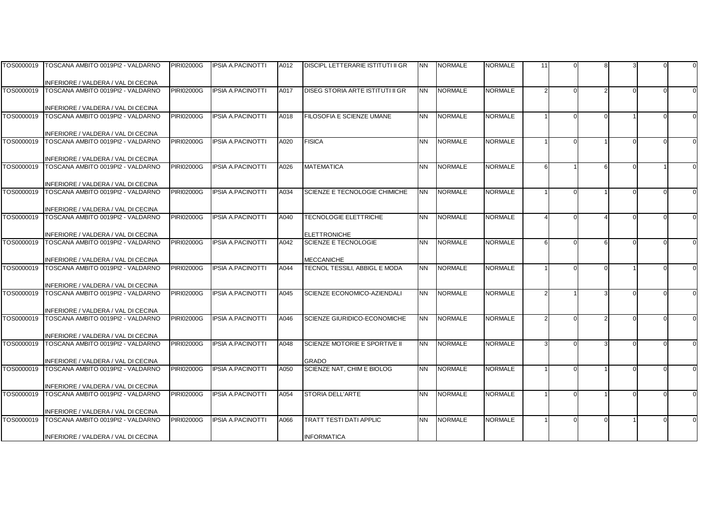|            | TOS0000019   TOSCANA AMBITO 0019PI2 - VALDARNO                           | <b>PIRI02000G</b> | <b>IPSIA A.PACINOTTI</b> | A012 | <b>DISCIPL LETTERARIE ISTITUTI II GR</b>           | <b>NN</b> | <b>NORMALE</b> | NORMALE        | 11 |  |  |  |
|------------|--------------------------------------------------------------------------|-------------------|--------------------------|------|----------------------------------------------------|-----------|----------------|----------------|----|--|--|--|
|            |                                                                          |                   |                          |      |                                                    |           |                |                |    |  |  |  |
|            | INFERIORE / VALDERA / VAL DI CECINA                                      |                   |                          |      |                                                    |           |                |                |    |  |  |  |
| TOS0000019 | TOSCANA AMBITO 0019PI2 - VALDARNO                                        | <b>PIRI02000G</b> | <b>IPSIA A.PACINOTTI</b> | A017 | DISEG STORIA ARTE ISTITUTI II GR                   | <b>NN</b> | <b>NORMALE</b> | <b>NORMALE</b> |    |  |  |  |
|            |                                                                          |                   |                          |      |                                                    |           |                |                |    |  |  |  |
|            | INFERIORE / VALDERA / VAL DI CECINA<br>TOSCANA AMBITO 0019PI2 - VALDARNO |                   | <b>IPSIA A.PACINOTTI</b> |      | FILOSOFIA E SCIENZE UMANE                          | <b>NN</b> | <b>NORMALE</b> | <b>NORMALE</b> |    |  |  |  |
| TOS0000019 |                                                                          | <b>PIRI02000G</b> |                          | A018 |                                                    |           |                |                |    |  |  |  |
|            | INFERIORE / VALDERA / VAL DI CECINA                                      |                   |                          |      |                                                    |           |                |                |    |  |  |  |
| TOS0000019 | TOSCANA AMBITO 0019PI2 - VALDARNO                                        | <b>PIRI02000G</b> | <b>IPSIA A.PACINOTTI</b> | A020 | <b>FISICA</b>                                      | <b>NN</b> | <b>NORMALE</b> | <b>NORMALE</b> |    |  |  |  |
|            |                                                                          |                   |                          |      |                                                    |           |                |                |    |  |  |  |
|            | INFERIORE / VALDERA / VAL DI CECINA                                      |                   |                          |      |                                                    |           |                |                |    |  |  |  |
| TOS0000019 | TOSCANA AMBITO 0019PI2 - VALDARNO                                        | <b>PIRI02000G</b> | <b>IPSIA A.PACINOTTI</b> | A026 | <b>MATEMATICA</b>                                  | <b>NN</b> | <b>NORMALE</b> | <b>NORMALE</b> | 6  |  |  |  |
|            |                                                                          |                   |                          |      |                                                    |           |                |                |    |  |  |  |
|            | INFERIORE / VALDERA / VAL DI CECINA                                      |                   |                          |      |                                                    |           |                |                |    |  |  |  |
| TOS0000019 | TOSCANA AMBITO 0019PI2 - VALDARNO                                        | <b>PIRI02000G</b> | <b>IPSIA A.PACINOTTI</b> | A034 | SCIENZE E TECNOLOGIE CHIMICHE                      | <b>NN</b> | <b>NORMALE</b> | <b>NORMALE</b> |    |  |  |  |
|            |                                                                          |                   |                          |      |                                                    |           |                |                |    |  |  |  |
|            | INFERIORE / VALDERA / VAL DI CECINA                                      |                   |                          |      |                                                    |           |                |                |    |  |  |  |
|            | TOS0000019 TOSCANA AMBITO 0019PI2 - VALDARNO                             | <b>PIRI02000G</b> | <b>IPSIA A.PACINOTTI</b> | A040 | <b>TECNOLOGIE ELETTRICHE</b>                       | <b>NN</b> | <b>NORMALE</b> | <b>NORMALE</b> |    |  |  |  |
|            |                                                                          |                   |                          |      |                                                    |           |                |                |    |  |  |  |
| TOS0000019 | INFERIORE / VALDERA / VAL DI CECINA<br>TOSCANA AMBITO 0019PI2 - VALDARNO | <b>PIRI02000G</b> | <b>IPSIA A.PACINOTTI</b> | A042 | <b>ELETTRONICHE</b><br><b>SCIENZE E TECNOLOGIE</b> | <b>NN</b> | <b>NORMALE</b> | <b>NORMALE</b> | 6  |  |  |  |
|            |                                                                          |                   |                          |      |                                                    |           |                |                |    |  |  |  |
|            | INFERIORE / VALDERA / VAL DI CECINA                                      |                   |                          |      | <b>MECCANICHE</b>                                  |           |                |                |    |  |  |  |
| TOS0000019 | TOSCANA AMBITO 0019PI2 - VALDARNO                                        | <b>PIRI02000G</b> | <b>IPSIA A.PACINOTTI</b> | A044 | <b>TECNOL TESSILI. ABBIGL E MODA</b>               | <b>NN</b> | <b>NORMALE</b> | <b>NORMALE</b> |    |  |  |  |
|            |                                                                          |                   |                          |      |                                                    |           |                |                |    |  |  |  |
|            | INFERIORE / VALDERA / VAL DI CECINA                                      |                   |                          |      |                                                    |           |                |                |    |  |  |  |
| TOS0000019 | TOSCANA AMBITO 0019PI2 - VALDARNO                                        | <b>PIRI02000G</b> | <b>IPSIA A.PACINOTTI</b> | A045 | SCIENZE ECONOMICO-AZIENDALI                        | <b>NN</b> | <b>NORMALE</b> | <b>NORMALE</b> |    |  |  |  |
|            |                                                                          |                   |                          |      |                                                    |           |                |                |    |  |  |  |
|            | INFERIORE / VALDERA / VAL DI CECINA                                      |                   |                          |      |                                                    |           |                |                |    |  |  |  |
| TOS0000019 | TOSCANA AMBITO 0019PI2 - VALDARNO                                        | <b>PIRI02000G</b> | <b>IPSIA A.PACINOTTI</b> | A046 | SCIENZE GIURIDICO-ECONOMICHE                       | <b>NN</b> | <b>NORMALE</b> | <b>NORMALE</b> |    |  |  |  |
|            |                                                                          |                   |                          |      |                                                    |           |                |                |    |  |  |  |
|            | INFERIORE / VALDERA / VAL DI CECINA                                      |                   |                          |      | SCIENZE MOTORIE E SPORTIVE II                      |           |                |                |    |  |  |  |
| TOS0000019 | TOSCANA AMBITO 0019PI2 - VALDARNO                                        | <b>PIRI02000G</b> | <b>IPSIA A.PACINOTTI</b> | A048 |                                                    | <b>NN</b> | <b>NORMALE</b> | <b>NORMALE</b> |    |  |  |  |
|            | INFERIORE / VALDERA / VAL DI CECINA                                      |                   |                          |      | <b>GRADO</b>                                       |           |                |                |    |  |  |  |
| TOS0000019 | TOSCANA AMBITO 0019PI2 - VALDARNO                                        | <b>PIRI02000G</b> | <b>IPSIA A.PACINOTTI</b> | A050 | SCIENZE NAT, CHIM E BIOLOG                         | <b>NN</b> | <b>NORMALE</b> | <b>NORMALE</b> |    |  |  |  |
|            |                                                                          |                   |                          |      |                                                    |           |                |                |    |  |  |  |
|            | INFERIORE / VALDERA / VAL DI CECINA                                      |                   |                          |      |                                                    |           |                |                |    |  |  |  |
| TOS0000019 | TOSCANA AMBITO 0019PI2 - VALDARNO                                        | <b>PIRI02000G</b> | <b>IPSIA A.PACINOTTI</b> | A054 | <b>STORIA DELL'ARTE</b>                            | <b>NN</b> | <b>NORMALE</b> | <b>NORMALE</b> |    |  |  |  |
|            |                                                                          |                   |                          |      |                                                    |           |                |                |    |  |  |  |
|            | INFERIORE / VALDERA / VAL DI CECINA                                      |                   |                          |      |                                                    |           |                |                |    |  |  |  |
| TOS0000019 | TOSCANA AMBITO 0019PI2 - VALDARNO                                        | <b>PIRI02000G</b> | <b>IPSIA A.PACINOTTI</b> | A066 | <b>TRATT TESTI DATI APPLIC</b>                     | <b>NN</b> | <b>NORMALE</b> | <b>NORMALE</b> |    |  |  |  |
|            |                                                                          |                   |                          |      |                                                    |           |                |                |    |  |  |  |
|            | INFERIORE / VALDERA / VAL DI CECINA                                      |                   |                          |      | <b>INFORMATICA</b>                                 |           |                |                |    |  |  |  |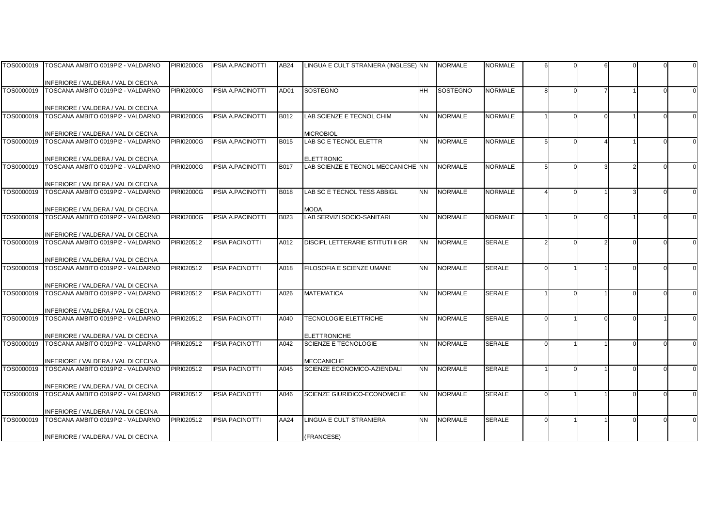|            | TOS0000019   TOSCANA AMBITO 0019PI2 - VALDARNO                           | <b>PIRI02000G</b> | <b>IPSIA A.PACINOTTI</b> | AB24        | LINGUA E CULT STRANIERA (INGLESE) NN      |           | <b>NORMALE</b> | NORMALE        |   |  |  |  |
|------------|--------------------------------------------------------------------------|-------------------|--------------------------|-------------|-------------------------------------------|-----------|----------------|----------------|---|--|--|--|
|            |                                                                          |                   |                          |             |                                           |           |                |                |   |  |  |  |
|            | INFERIORE / VALDERA / VAL DI CECINA                                      |                   |                          |             |                                           |           |                |                |   |  |  |  |
| TOS0000019 | TOSCANA AMBITO 0019PI2 - VALDARNO                                        | <b>PIRI02000G</b> | <b>IPSIA A.PACINOTTI</b> | AD01        | SOSTEGNO                                  | <b>HH</b> | SOSTEGNO       | <b>NORMALE</b> | 8 |  |  |  |
|            |                                                                          |                   |                          |             |                                           |           |                |                |   |  |  |  |
|            | INFERIORE / VALDERA / VAL DI CECINA                                      |                   |                          |             |                                           |           |                |                |   |  |  |  |
| TOS0000019 | TOSCANA AMBITO 0019PI2 - VALDARNO                                        | <b>PIRI02000G</b> | <b>IPSIA A.PACINOTTI</b> | B012        | LAB SCIENZE E TECNOL CHIM                 | <b>NN</b> | <b>NORMALE</b> | <b>NORMALE</b> |   |  |  |  |
|            |                                                                          |                   |                          |             |                                           |           |                |                |   |  |  |  |
|            | INFERIORE / VALDERA / VAL DI CECINA                                      |                   |                          |             | <b>MICROBIOL</b>                          |           |                |                |   |  |  |  |
| TOS0000019 | TOSCANA AMBITO 0019PI2 - VALDARNO                                        | <b>PIRI02000G</b> | <b>IPSIA A.PACINOTTI</b> | <b>B015</b> | LAB SC E TECNOL ELETTR                    | <b>NN</b> | <b>NORMALE</b> | <b>NORMALE</b> | 5 |  |  |  |
|            |                                                                          |                   |                          |             |                                           |           |                |                |   |  |  |  |
|            | INFERIORE / VALDERA / VAL DI CECINA                                      |                   |                          |             | <b>ELETTRONIC</b>                         |           |                |                |   |  |  |  |
| TOS0000019 | TOSCANA AMBITO 0019PI2 - VALDARNO                                        | <b>PIRI02000G</b> | <b>IPSIA A.PACINOTTI</b> | <b>B017</b> | LAB SCIENZE E TECNOL MECCANICHE NN        |           | <b>NORMALE</b> | <b>NORMALE</b> |   |  |  |  |
|            |                                                                          |                   |                          |             |                                           |           |                |                |   |  |  |  |
|            | INFERIORE / VALDERA / VAL DI CECINA                                      |                   |                          |             |                                           |           |                |                |   |  |  |  |
| TOS0000019 | TOSCANA AMBITO 0019PI2 - VALDARNO                                        | <b>PIRI02000G</b> | <b>IPSIA A.PACINOTTI</b> | <b>B018</b> | LAB SC E TECNOL TESS ABBIGL               | <b>NN</b> | <b>NORMALE</b> | <b>NORMALE</b> |   |  |  |  |
|            |                                                                          |                   |                          |             |                                           |           |                |                |   |  |  |  |
| TOS0000019 | INFERIORE / VALDERA / VAL DI CECINA<br>TOSCANA AMBITO 0019PI2 - VALDARNO | <b>PIRI02000G</b> | <b>IPSIA A.PACINOTTI</b> | B023        | <b>MODA</b><br>LAB SERVIZI SOCIO-SANITARI | <b>NN</b> | <b>NORMALE</b> | <b>NORMALE</b> |   |  |  |  |
|            |                                                                          |                   |                          |             |                                           |           |                |                |   |  |  |  |
|            |                                                                          |                   |                          |             |                                           |           |                |                |   |  |  |  |
| TOS0000019 | INFERIORE / VALDERA / VAL DI CECINA<br>TOSCANA AMBITO 0019PI2 - VALDARNO | PIRI020512        | <b>IPSIA PACINOTTI</b>   | A012        | <b>DISCIPL LETTERARIE ISTITUTI II GR</b>  | <b>NN</b> | <b>NORMALE</b> | <b>SERALE</b>  |   |  |  |  |
|            |                                                                          |                   |                          |             |                                           |           |                |                |   |  |  |  |
|            | INFERIORE / VALDERA / VAL DI CECINA                                      |                   |                          |             |                                           |           |                |                |   |  |  |  |
| TOS0000019 | TOSCANA AMBITO 0019PI2 - VALDARNO                                        | PIRI020512        | <b>IPSIA PACINOTTI</b>   | A018        | FILOSOFIA E SCIENZE UMANE                 | <b>NN</b> | <b>NORMALE</b> | <b>SERALE</b>  |   |  |  |  |
|            |                                                                          |                   |                          |             |                                           |           |                |                |   |  |  |  |
|            | INFERIORE / VALDERA / VAL DI CECINA                                      |                   |                          |             |                                           |           |                |                |   |  |  |  |
| TOS0000019 | TOSCANA AMBITO 0019PI2 - VALDARNO                                        | PIRI020512        | <b>IPSIA PACINOTTI</b>   | A026        | <b>MATEMATICA</b>                         | <b>NN</b> | <b>NORMALE</b> | <b>SERALE</b>  |   |  |  |  |
|            |                                                                          |                   |                          |             |                                           |           |                |                |   |  |  |  |
|            | INFERIORE / VALDERA / VAL DI CECINA                                      |                   |                          |             |                                           |           |                |                |   |  |  |  |
| TOS0000019 | TOSCANA AMBITO 0019PI2 - VALDARNO                                        | PIRI020512        | <b>IPSIA PACINOTTI</b>   | A040        | <b>TECNOLOGIE ELETTRICHE</b>              | <b>NN</b> | <b>NORMALE</b> | <b>SERALE</b>  |   |  |  |  |
|            |                                                                          |                   |                          |             |                                           |           |                |                |   |  |  |  |
|            | INFERIORE / VALDERA / VAL DI CECINA                                      |                   |                          |             | <b>ELETTRONICHE</b>                       |           |                |                |   |  |  |  |
| TOS0000019 | TOSCANA AMBITO 0019PI2 - VALDARNO                                        | PIRI020512        | <b>IPSIA PACINOTTI</b>   | A042        | <b>SCIENZE E TECNOLOGIE</b>               | <b>NN</b> | <b>NORMALE</b> | <b>SERALE</b>  |   |  |  |  |
|            |                                                                          |                   |                          |             |                                           |           |                |                |   |  |  |  |
|            | INFERIORE / VALDERA / VAL DI CECINA                                      |                   |                          |             | <b>MECCANICHE</b>                         |           |                |                |   |  |  |  |
| TOS0000019 | TOSCANA AMBITO 0019PI2 - VALDARNO                                        | PIRI020512        | <b>IPSIA PACINOTTI</b>   | A045        | SCIENZE ECONOMICO-AZIENDALI               | <b>NN</b> | <b>NORMALE</b> | <b>SERALE</b>  |   |  |  |  |
|            |                                                                          |                   |                          |             |                                           |           |                |                |   |  |  |  |
|            | INFERIORE / VALDERA / VAL DI CECINA                                      |                   |                          |             |                                           |           |                |                |   |  |  |  |
| TOS0000019 | TOSCANA AMBITO 0019PI2 - VALDARNO                                        | PIRI020512        | <b>IPSIA PACINOTTI</b>   | A046        | SCIENZE GIURIDICO-ECONOMICHE              | <b>NN</b> | <b>NORMALE</b> | <b>SERALE</b>  |   |  |  |  |
|            |                                                                          |                   |                          |             |                                           |           |                |                |   |  |  |  |
|            | INFERIORE / VALDERA / VAL DI CECINA                                      |                   |                          |             |                                           |           |                |                |   |  |  |  |
| TOS0000019 | TOSCANA AMBITO 0019PI2 - VALDARNO                                        | PIRI020512        | <b>IPSIA PACINOTTI</b>   | AA24        | LINGUA E CULT STRANIERA                   | <b>NN</b> | <b>NORMALE</b> | <b>SERALE</b>  |   |  |  |  |
|            |                                                                          |                   |                          |             |                                           |           |                |                |   |  |  |  |
|            | INFERIORE / VALDERA / VAL DI CECINA                                      |                   |                          |             | (FRANCESE)                                |           |                |                |   |  |  |  |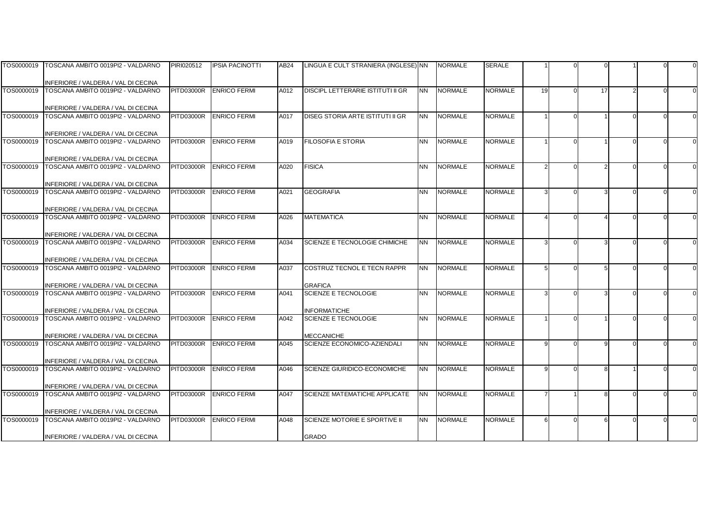|            | TOS0000019   TOSCANA AMBITO 0019PI2 - VALDARNO                           | PIRI020512        | <b>IPSIA PACINOTTI</b> | AB <sub>24</sub> | LINGUA E CULT STRANIERA (INGLESE) NN     |           | <b>NORMALE</b> | SERALE         |                |    |  |  |
|------------|--------------------------------------------------------------------------|-------------------|------------------------|------------------|------------------------------------------|-----------|----------------|----------------|----------------|----|--|--|
|            |                                                                          |                   |                        |                  |                                          |           |                |                |                |    |  |  |
|            | INFERIORE / VALDERA / VAL DI CECINA                                      |                   |                        |                  |                                          |           |                |                |                |    |  |  |
| TOS0000019 | TOSCANA AMBITO 0019PI2 - VALDARNO                                        | PITD03000R        | <b>ENRICO FERMI</b>    | A012             | <b>DISCIPL LETTERARIE ISTITUTI II GR</b> | <b>NN</b> | <b>NORMALE</b> | <b>NORMALE</b> | 19             | 17 |  |  |
|            |                                                                          |                   |                        |                  |                                          |           |                |                |                |    |  |  |
|            | INFERIORE / VALDERA / VAL DI CECINA                                      |                   |                        |                  |                                          |           |                |                |                |    |  |  |
| TOS0000019 | TOSCANA AMBITO 0019PI2 - VALDARNO                                        | <b>PITD03000R</b> | <b>ENRICO FERMI</b>    | A017             | DISEG STORIA ARTE ISTITUTI II GR         | <b>NN</b> | <b>NORMALE</b> | <b>NORMALE</b> |                |    |  |  |
|            |                                                                          |                   |                        |                  |                                          |           |                |                |                |    |  |  |
| TOS0000019 | INFERIORE / VALDERA / VAL DI CECINA                                      | PITD03000R        | <b>ENRICO FERMI</b>    |                  | <b>FILOSOFIA E STORIA</b>                | <b>NN</b> | <b>NORMALE</b> | <b>NORMALE</b> |                |    |  |  |
|            | TOSCANA AMBITO 0019PI2 - VALDARNO                                        |                   |                        | A019             |                                          |           |                |                |                |    |  |  |
|            | INFERIORE / VALDERA / VAL DI CECINA                                      |                   |                        |                  |                                          |           |                |                |                |    |  |  |
| TOS0000019 | TOSCANA AMBITO 0019PI2 - VALDARNO                                        | <b>PITD03000R</b> | <b>ENRICO FERMI</b>    | A020             | <b>FISICA</b>                            | <b>NN</b> | <b>NORMALE</b> | <b>NORMALE</b> |                |    |  |  |
|            |                                                                          |                   |                        |                  |                                          |           |                |                |                |    |  |  |
|            | INFERIORE / VALDERA / VAL DI CECINA                                      |                   |                        |                  |                                          |           |                |                |                |    |  |  |
| TOS0000019 | TOSCANA AMBITO 0019PI2 - VALDARNO                                        | <b>PITD03000R</b> | <b>ENRICO FERMI</b>    | A021             | <b>GEOGRAFIA</b>                         | <b>NN</b> | <b>NORMALE</b> | <b>NORMALE</b> |                |    |  |  |
|            |                                                                          |                   |                        |                  |                                          |           |                |                |                |    |  |  |
|            | INFERIORE / VALDERA / VAL DI CECINA                                      |                   |                        |                  |                                          |           |                |                |                |    |  |  |
|            | TOS0000019 TOSCANA AMBITO 0019PI2 - VALDARNO                             | <b>PITD03000R</b> | <b>ENRICO FERMI</b>    | A026             | <b>MATEMATICA</b>                        | <b>NN</b> | <b>NORMALE</b> | <b>NORMALE</b> |                |    |  |  |
|            |                                                                          |                   |                        |                  |                                          |           |                |                |                |    |  |  |
|            | INFERIORE / VALDERA / VAL DI CECINA                                      |                   |                        |                  |                                          |           |                |                |                |    |  |  |
| TOS0000019 | TOSCANA AMBITO 0019PI2 - VALDARNO                                        | <b>PITD03000R</b> | <b>ENRICO FERMI</b>    | A034             | SCIENZE E TECNOLOGIE CHIMICHE            | <b>NN</b> | <b>NORMALE</b> | <b>NORMALE</b> |                |    |  |  |
|            |                                                                          |                   |                        |                  |                                          |           |                |                |                |    |  |  |
| TOS0000019 | INFERIORE / VALDERA / VAL DI CECINA<br>TOSCANA AMBITO 0019PI2 - VALDARNO | <b>PITD03000R</b> | <b>ENRICO FERMI</b>    |                  | COSTRUZ TECNOL E TECN RAPPR              | <b>NN</b> | <b>NORMALE</b> | <b>NORMALE</b> |                |    |  |  |
|            |                                                                          |                   |                        | A037             |                                          |           |                |                |                |    |  |  |
|            | INFERIORE / VALDERA / VAL DI CECINA                                      |                   |                        |                  | <b>GRAFICA</b>                           |           |                |                |                |    |  |  |
| TOS0000019 | TOSCANA AMBITO 0019PI2 - VALDARNO                                        | <b>PITD03000R</b> | <b>ENRICO FERMI</b>    | A041             | SCIENZE E TECNOLOGIE                     | <b>NN</b> | <b>NORMALE</b> | <b>NORMALE</b> |                |    |  |  |
|            |                                                                          |                   |                        |                  |                                          |           |                |                |                |    |  |  |
|            | INFERIORE / VALDERA / VAL DI CECINA                                      |                   |                        |                  | <b>INFORMATICHE</b>                      |           |                |                |                |    |  |  |
| TOS0000019 | TOSCANA AMBITO 0019PI2 - VALDARNO                                        | PITD03000R        | <b>ENRICO FERMI</b>    | A042             | <b>SCIENZE E TECNOLOGIE</b>              | <b>NN</b> | <b>NORMALE</b> | <b>NORMALE</b> |                |    |  |  |
|            |                                                                          |                   |                        |                  |                                          |           |                |                |                |    |  |  |
|            | INFERIORE / VALDERA / VAL DI CECINA                                      |                   |                        |                  | <b>MECCANICHE</b>                        |           |                |                |                |    |  |  |
| TOS0000019 | TOSCANA AMBITO 0019PI2 - VALDARNO                                        | <b>PITD03000R</b> | <b>ENRICO FERMI</b>    | A045             | SCIENZE ECONOMICO-AZIENDALI              | <b>NN</b> | <b>NORMALE</b> | <b>NORMALE</b> | q              |    |  |  |
|            |                                                                          |                   |                        |                  |                                          |           |                |                |                |    |  |  |
|            | INFERIORE / VALDERA / VAL DI CECINA                                      |                   |                        |                  |                                          |           |                |                |                |    |  |  |
| TOS0000019 | TOSCANA AMBITO 0019PI2 - VALDARNO                                        | <b>PITD03000R</b> | <b>ENRICO FERMI</b>    | A046             | SCIENZE GIURIDICO-ECONOMICHE             | <b>NN</b> | <b>NORMALE</b> | <b>NORMALE</b> | q              |    |  |  |
|            |                                                                          |                   |                        |                  |                                          |           |                |                |                |    |  |  |
| TOS0000019 | INFERIORE / VALDERA / VAL DI CECINA<br>TOSCANA AMBITO 0019PI2 - VALDARNO | <b>PITD03000R</b> | <b>ENRICO FERMI</b>    | A047             | <b>SCIENZE MATEMATICHE APPLICATE</b>     | <b>NN</b> | <b>NORMALE</b> | <b>NORMALE</b> | $\overline{7}$ | 8  |  |  |
|            |                                                                          |                   |                        |                  |                                          |           |                |                |                |    |  |  |
|            | INFERIORE / VALDERA / VAL DI CECINA                                      |                   |                        |                  |                                          |           |                |                |                |    |  |  |
| TOS0000019 | TOSCANA AMBITO 0019PI2 - VALDARNO                                        | <b>PITD03000R</b> | <b>ENRICO FERMI</b>    | A048             | SCIENZE MOTORIE E SPORTIVE II            | <b>NN</b> | <b>NORMALE</b> | <b>NORMALE</b> | 6              |    |  |  |
|            |                                                                          |                   |                        |                  |                                          |           |                |                |                |    |  |  |
|            | INFERIORE / VALDERA / VAL DI CECINA                                      |                   |                        |                  | <b>GRADO</b>                             |           |                |                |                |    |  |  |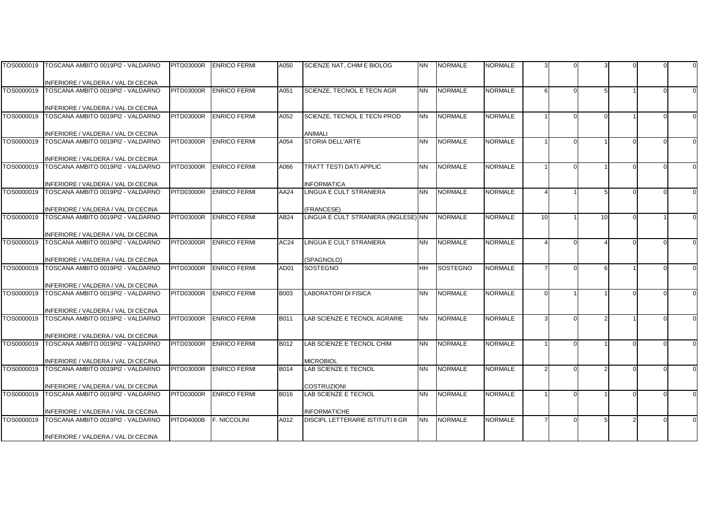|            | TOS0000019   TOSCANA AMBITO 0019PI2 - VALDARNO                           | <b>PITD03000R</b> | <b>ENRICO FERMI</b> | A050             | SCIENZE NAT, CHIM E BIOLOG                         | <b>NN</b> | <b>NORMALE</b>  | NORMALE        |          |    |  |  |
|------------|--------------------------------------------------------------------------|-------------------|---------------------|------------------|----------------------------------------------------|-----------|-----------------|----------------|----------|----|--|--|
|            |                                                                          |                   |                     |                  |                                                    |           |                 |                |          |    |  |  |
|            | INFERIORE / VALDERA / VAL DI CECINA                                      |                   |                     |                  |                                                    |           |                 |                |          |    |  |  |
|            | TOS0000019 TOSCANA AMBITO 0019PI2 - VALDARNO                             | <b>PITD03000R</b> | <b>ENRICO FERMI</b> | A051             | <b>SCIENZE, TECNOL E TECN AGR</b>                  | <b>NN</b> | <b>NORMALE</b>  | <b>NORMALE</b> | 6        |    |  |  |
|            |                                                                          |                   |                     |                  |                                                    |           |                 |                |          |    |  |  |
|            | INFERIORE / VALDERA / VAL DI CECINA                                      |                   |                     |                  |                                                    |           |                 |                |          |    |  |  |
|            | TOS0000019 TOSCANA AMBITO 0019PI2 - VALDARNO                             | <b>PITD03000R</b> | <b>ENRICO FERMI</b> | A052             | SCIENZE, TECNOL E TECN PROD                        | <b>NN</b> | <b>NORMALE</b>  | <b>NORMALE</b> |          |    |  |  |
|            |                                                                          |                   |                     |                  |                                                    |           |                 |                |          |    |  |  |
|            | INFERIORE / VALDERA / VAL DI CECINA                                      |                   |                     |                  | ANIMALI                                            |           |                 |                |          |    |  |  |
| TOS0000019 | TOSCANA AMBITO 0019PI2 - VALDARNO                                        | <b>PITD03000R</b> | <b>ENRICO FERMI</b> | A054             | <b>STORIA DELL'ARTE</b>                            | <b>NN</b> | <b>NORMALE</b>  | <b>NORMALE</b> |          |    |  |  |
|            |                                                                          |                   |                     |                  |                                                    |           |                 |                |          |    |  |  |
|            | INFERIORE / VALDERA / VAL DI CECINA                                      |                   |                     |                  |                                                    |           |                 |                |          |    |  |  |
|            | TOS0000019 TOSCANA AMBITO 0019PI2 - VALDARNO                             | <b>PITD03000R</b> | <b>ENRICO FERMI</b> | A066             | TRATT TESTI DATI APPLIC                            | <b>NN</b> | <b>NORMALE</b>  | <b>NORMALE</b> |          |    |  |  |
|            |                                                                          |                   |                     |                  |                                                    |           |                 |                |          |    |  |  |
|            | INFERIORE / VALDERA / VAL DI CECINA                                      |                   |                     |                  | <b>INFORMATICA</b>                                 |           |                 |                |          |    |  |  |
| TOS0000019 | TOSCANA AMBITO 0019PI2 - VALDARNO                                        | <b>PITD03000R</b> | <b>ENRICO FERMI</b> | AA24             | LINGUA E CULT STRANIERA                            | <b>NN</b> | <b>NORMALE</b>  | <b>NORMALE</b> |          |    |  |  |
|            |                                                                          |                   |                     |                  |                                                    |           |                 |                |          |    |  |  |
| TOS0000019 | INFERIORE / VALDERA / VAL DI CECINA<br>TOSCANA AMBITO 0019PI2 - VALDARNO | <b>PITD03000R</b> | <b>ENRICO FERMI</b> | AB <sub>24</sub> | (FRANCESE)<br>LINGUA E CULT STRANIERA (INGLESE) NN |           | <b>NORMALE</b>  | <b>NORMALE</b> | 10       | 10 |  |  |
|            |                                                                          |                   |                     |                  |                                                    |           |                 |                |          |    |  |  |
|            | INFERIORE / VALDERA / VAL DI CECINA                                      |                   |                     |                  |                                                    |           |                 |                |          |    |  |  |
| TOS0000019 | TOSCANA AMBITO 0019PI2 - VALDARNO                                        | <b>PITD03000R</b> | <b>ENRICO FERMI</b> | AC24             | LINGUA E CULT STRANIERA                            | <b>NN</b> | <b>NORMALE</b>  | <b>NORMALE</b> |          |    |  |  |
|            |                                                                          |                   |                     |                  |                                                    |           |                 |                |          |    |  |  |
|            | INFERIORE / VALDERA / VAL DI CECINA                                      |                   |                     |                  | (SPAGNOLO)                                         |           |                 |                |          |    |  |  |
| TOS0000019 | TOSCANA AMBITO 0019PI2 - VALDARNO                                        | <b>PITD03000R</b> | <b>ENRICO FERMI</b> | AD01             | SOSTEGNO                                           | <b>HH</b> | <b>SOSTEGNO</b> | <b>NORMALE</b> | 7        |    |  |  |
|            |                                                                          |                   |                     |                  |                                                    |           |                 |                |          |    |  |  |
|            | INFERIORE / VALDERA / VAL DI CECINA                                      |                   |                     |                  |                                                    |           |                 |                |          |    |  |  |
| TOS0000019 | TOSCANA AMBITO 0019PI2 - VALDARNO                                        | <b>PITD03000R</b> | <b>ENRICO FERMI</b> | <b>B003</b>      | <b>LABORATORI DI FISICA</b>                        | <b>NN</b> | <b>NORMALE</b>  | <b>NORMALE</b> | $\Omega$ |    |  |  |
|            |                                                                          |                   |                     |                  |                                                    |           |                 |                |          |    |  |  |
|            | INFERIORE / VALDERA / VAL DI CECINA                                      |                   |                     |                  |                                                    |           |                 |                |          |    |  |  |
| TOS0000019 | TOSCANA AMBITO 0019PI2 - VALDARNO                                        | <b>PITD03000R</b> | <b>ENRICO FERMI</b> | B011             | LAB SCIENZE E TECNOL AGRARIE                       | <b>NN</b> | <b>NORMALE</b>  | <b>NORMALE</b> |          |    |  |  |
|            |                                                                          |                   |                     |                  |                                                    |           |                 |                |          |    |  |  |
|            | INFERIORE / VALDERA / VAL DI CECINA                                      |                   |                     |                  |                                                    |           |                 |                |          |    |  |  |
| TOS0000019 | TOSCANA AMBITO 0019PI2 - VALDARNO                                        | <b>PITD03000R</b> | <b>ENRICO FERMI</b> | B012             | LAB SCIENZE E TECNOL CHIM                          | <b>NN</b> | <b>NORMALE</b>  | <b>NORMALE</b> |          |    |  |  |
|            |                                                                          |                   |                     |                  |                                                    |           |                 |                |          |    |  |  |
|            | INFERIORE / VALDERA / VAL DI CECINA                                      |                   |                     |                  | <b>MICROBIOL</b>                                   |           |                 |                |          |    |  |  |
|            | TOS0000019 TOSCANA AMBITO 0019PI2 - VALDARNO                             | <b>PITD03000R</b> | <b>ENRICO FERMI</b> | B014             | <b>LAB SCIENZE E TECNOL</b>                        | <b>NN</b> | <b>NORMALE</b>  | <b>NORMALE</b> |          |    |  |  |
|            |                                                                          |                   |                     |                  |                                                    |           |                 |                |          |    |  |  |
|            | INFERIORE / VALDERA / VAL DI CECINA                                      |                   |                     |                  | <b>COSTRUZIONI</b>                                 |           |                 |                |          |    |  |  |
| TOS0000019 | TOSCANA AMBITO 0019PI2 - VALDARNO                                        | <b>PITD03000R</b> | <b>ENRICO FERMI</b> | B016             | <b>LAB SCIENZE E TECNOL</b>                        | <b>NN</b> | <b>NORMALE</b>  | <b>NORMALE</b> |          |    |  |  |
|            |                                                                          |                   |                     |                  |                                                    |           |                 |                |          |    |  |  |
|            | INFERIORE / VALDERA / VAL DI CECINA                                      |                   |                     |                  | INFORMATICHE                                       |           |                 |                |          |    |  |  |
| TOS0000019 | TOSCANA AMBITO 0019PI2 - VALDARNO                                        | <b>PITD04000B</b> | F. NICCOLINI        | A012             | DISCIPL LETTERARIE ISTITUTI II GR                  | <b>NN</b> | <b>NORMALE</b>  | <b>NORMALE</b> |          |    |  |  |
|            |                                                                          |                   |                     |                  |                                                    |           |                 |                |          |    |  |  |
|            | INFERIORE / VALDERA / VAL DI CECINA                                      |                   |                     |                  |                                                    |           |                 |                |          |    |  |  |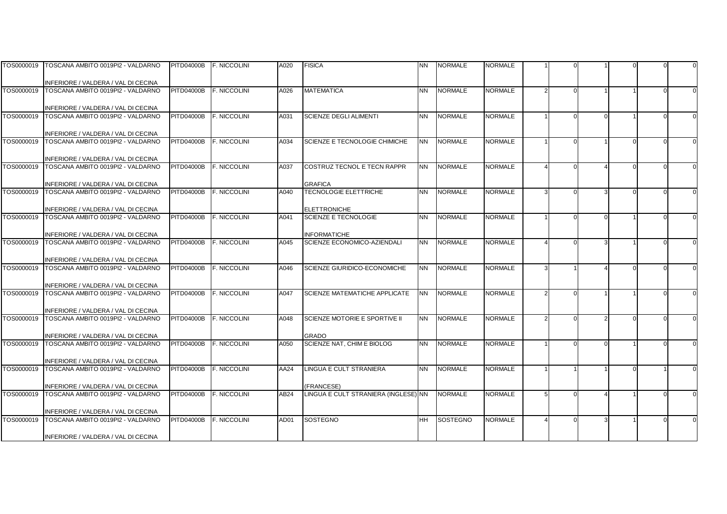| TOS0000019 | TOSCANA AMBITO 0019PI2 - VALDARNO                                        | <b>PITD04000B</b> | <b>F. NICCOLINI</b> | A020 | <b>FISICA</b>                        | <b>NN</b> | <b>NORMALE</b>  | NORMALE        |  |  |          |
|------------|--------------------------------------------------------------------------|-------------------|---------------------|------|--------------------------------------|-----------|-----------------|----------------|--|--|----------|
|            |                                                                          |                   |                     |      |                                      |           |                 |                |  |  |          |
|            | INFERIORE / VALDERA / VAL DI CECINA                                      |                   |                     |      |                                      |           |                 |                |  |  |          |
| TOS0000019 | TOSCANA AMBITO 0019PI2 - VALDARNO                                        | <b>PITD04000B</b> | <b>F. NICCOLINI</b> | A026 | <b>MATEMATICA</b>                    | <b>NN</b> | <b>NORMALE</b>  | <b>NORMALE</b> |  |  |          |
|            |                                                                          |                   |                     |      |                                      |           |                 |                |  |  |          |
|            | INFERIORE / VALDERA / VAL DI CECINA                                      |                   |                     |      |                                      |           |                 |                |  |  |          |
| TOS0000019 | TOSCANA AMBITO 0019PI2 - VALDARNO                                        | <b>PITD04000B</b> | <b>F. NICCOLINI</b> | A031 | <b>SCIENZE DEGLI ALIMENTI</b>        | <b>NN</b> | <b>NORMALE</b>  | <b>NORMALE</b> |  |  | $\Omega$ |
|            |                                                                          |                   |                     |      |                                      |           |                 |                |  |  |          |
| TOS0000019 | INFERIORE / VALDERA / VAL DI CECINA<br>TOSCANA AMBITO 0019PI2 - VALDARNO | <b>PITD04000B</b> | F. NICCOLINI        | A034 | SCIENZE E TECNOLOGIE CHIMICHE        | <b>NN</b> | <b>NORMALE</b>  | <b>NORMALE</b> |  |  |          |
|            |                                                                          |                   |                     |      |                                      |           |                 |                |  |  |          |
|            | INFERIORE / VALDERA / VAL DI CECINA                                      |                   |                     |      |                                      |           |                 |                |  |  |          |
| TOS0000019 | TOSCANA AMBITO 0019PI2 - VALDARNO                                        | <b>PITD04000B</b> | <b>F. NICCOLINI</b> | A037 | COSTRUZ TECNOL E TECN RAPPR          | <b>NN</b> | <b>NORMALE</b>  | <b>NORMALE</b> |  |  |          |
|            |                                                                          |                   |                     |      |                                      |           |                 |                |  |  |          |
|            | INFERIORE / VALDERA / VAL DI CECINA                                      |                   |                     |      | <b>GRAFICA</b>                       |           |                 |                |  |  |          |
| TOS0000019 | TOSCANA AMBITO 0019PI2 - VALDARNO                                        | <b>PITD04000B</b> | F. NICCOLINI        | A040 | <b>TECNOLOGIE ELETTRICHE</b>         | <b>NN</b> | <b>NORMALE</b>  | <b>NORMALE</b> |  |  |          |
|            |                                                                          |                   |                     |      |                                      |           |                 |                |  |  |          |
|            | INFERIORE / VALDERA / VAL DI CECINA                                      |                   |                     |      | <b>ELETTRONICHE</b>                  |           |                 |                |  |  |          |
| TOS0000019 | TOSCANA AMBITO 0019PI2 - VALDARNO                                        | <b>PITD04000B</b> | F. NICCOLINI        | A041 | <b>SCIENZE E TECNOLOGIE</b>          | <b>NN</b> | <b>NORMALE</b>  | <b>NORMALE</b> |  |  |          |
|            |                                                                          |                   |                     |      |                                      |           |                 |                |  |  |          |
|            | INFERIORE / VALDERA / VAL DI CECINA                                      |                   |                     |      | <b>INFORMATICHE</b>                  |           |                 |                |  |  |          |
| TOS0000019 | TOSCANA AMBITO 0019PI2 - VALDARNO                                        | <b>PITD04000B</b> | <b>F. NICCOLINI</b> | A045 | <b>SCIENZE ECONOMICO-AZIENDALI</b>   | <b>NN</b> | <b>NORMALE</b>  | <b>NORMALE</b> |  |  |          |
|            |                                                                          |                   |                     |      |                                      |           |                 |                |  |  |          |
|            | INFERIORE / VALDERA / VAL DI CECINA                                      |                   |                     |      |                                      |           |                 |                |  |  |          |
| TOS0000019 | TOSCANA AMBITO 0019PI2 - VALDARNO                                        | <b>PITD04000B</b> | F. NICCOLINI        | A046 | SCIENZE GIURIDICO-ECONOMICHE         | <b>NN</b> | <b>NORMALE</b>  | <b>NORMALE</b> |  |  |          |
|            |                                                                          |                   |                     |      |                                      |           |                 |                |  |  |          |
| TOS0000019 | INFERIORE / VALDERA / VAL DI CECINA<br>TOSCANA AMBITO 0019PI2 - VALDARNO | <b>PITD04000B</b> | F. NICCOLINI        | A047 | SCIENZE MATEMATICHE APPLICATE        | <b>NN</b> | <b>NORMALE</b>  | <b>NORMALE</b> |  |  |          |
|            |                                                                          |                   |                     |      |                                      |           |                 |                |  |  |          |
|            | INFERIORE / VALDERA / VAL DI CECINA                                      |                   |                     |      |                                      |           |                 |                |  |  |          |
| TOS0000019 | TOSCANA AMBITO 0019PI2 - VALDARNO                                        | <b>PITD04000B</b> | <b>F. NICCOLINI</b> | A048 | <b>SCIENZE MOTORIE E SPORTIVE II</b> | <b>NN</b> | <b>NORMALE</b>  | <b>NORMALE</b> |  |  |          |
|            |                                                                          |                   |                     |      |                                      |           |                 |                |  |  |          |
|            | INFERIORE / VALDERA / VAL DI CECINA                                      |                   |                     |      | <b>GRADO</b>                         |           |                 |                |  |  |          |
| TOS0000019 | TOSCANA AMBITO 0019PI2 - VALDARNO                                        | <b>PITD04000B</b> | <b>F. NICCOLINI</b> | A050 | SCIENZE NAT. CHIM E BIOLOG           | <b>NN</b> | <b>NORMALE</b>  | <b>NORMALE</b> |  |  |          |
|            |                                                                          |                   |                     |      |                                      |           |                 |                |  |  |          |
|            | INFERIORE / VALDERA / VAL DI CECINA                                      |                   |                     |      |                                      |           |                 |                |  |  |          |
| TOS0000019 | TOSCANA AMBITO 0019PI2 - VALDARNO                                        | <b>PITD04000B</b> | <b>F. NICCOLINI</b> | AA24 | LINGUA E CULT STRANIERA              | <b>NN</b> | <b>NORMALE</b>  | <b>NORMALE</b> |  |  |          |
|            |                                                                          |                   |                     |      |                                      |           |                 |                |  |  |          |
|            | INFERIORE / VALDERA / VAL DI CECINA                                      |                   |                     |      | <b>FRANCESE)</b>                     |           |                 |                |  |  |          |
| TOS0000019 | TOSCANA AMBITO 0019PI2 - VALDARNO                                        | <b>PITD04000B</b> | F. NICCOLINI        | AB24 | LINGUA E CULT STRANIERA (INGLESE) NN |           | <b>NORMALE</b>  | <b>NORMALE</b> |  |  |          |
|            |                                                                          |                   |                     |      |                                      |           |                 |                |  |  |          |
| TOS0000019 | INFERIORE / VALDERA / VAL DI CECINA<br>TOSCANA AMBITO 0019PI2 - VALDARNO | <b>PITD04000B</b> | F. NICCOLINI        |      | <b>SOSTEGNO</b>                      | <b>HH</b> |                 | <b>NORMALE</b> |  |  |          |
|            |                                                                          |                   |                     | AD01 |                                      |           | <b>SOSTEGNO</b> |                |  |  |          |
|            | INFERIORE / VALDERA / VAL DI CECINA                                      |                   |                     |      |                                      |           |                 |                |  |  |          |
|            |                                                                          |                   |                     |      |                                      |           |                 |                |  |  |          |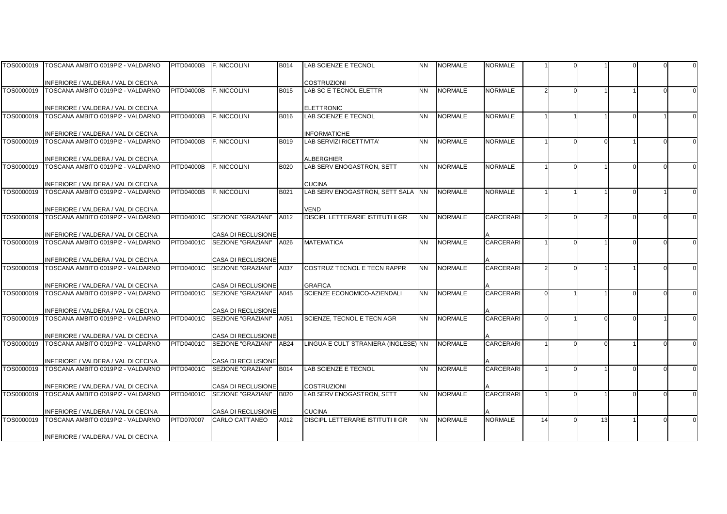| TOS0000019 | TOSCANA AMBITO 0019PI2 - VALDARNO                                        | <b>PITD04000B</b> | <b>F. NICCOLINI</b>                             | <b>B014</b> | LAB SCIENZE E TECNOL                      | <b>NN</b> | <b>NORMALE</b> | <b>NORMALE</b>   |    |          |  |  |
|------------|--------------------------------------------------------------------------|-------------------|-------------------------------------------------|-------------|-------------------------------------------|-----------|----------------|------------------|----|----------|--|--|
|            |                                                                          |                   |                                                 |             |                                           |           |                |                  |    |          |  |  |
|            | INFERIORE / VALDERA / VAL DI CECINA                                      |                   |                                                 |             | <b>COSTRUZIONI</b>                        |           |                |                  |    |          |  |  |
| TOS0000019 | TOSCANA AMBITO 0019PI2 - VALDARNO                                        | <b>PITD04000B</b> | <b>F. NICCOLINI</b>                             | B015        | LAB SC E TECNOL ELETTR                    | <b>NN</b> | <b>NORMALE</b> | <b>NORMALE</b>   |    |          |  |  |
|            |                                                                          |                   |                                                 |             |                                           |           |                |                  |    |          |  |  |
|            | INFERIORE / VALDERA / VAL DI CECINA                                      |                   |                                                 |             | <b>ELETTRONIC</b>                         |           |                |                  |    |          |  |  |
| TOS0000019 | TOSCANA AMBITO 0019PI2 - VALDARNO                                        | <b>PITD04000B</b> | F. NICCOLINI                                    | B016        | <b>LAB SCIENZE E TECNOL</b>               | <b>NN</b> | <b>NORMALE</b> | <b>NORMALE</b>   |    |          |  |  |
|            |                                                                          |                   |                                                 |             |                                           |           |                |                  |    |          |  |  |
|            | INFERIORE / VALDERA / VAL DI CECINA                                      |                   |                                                 |             | INFORMATICHE                              |           |                |                  |    |          |  |  |
| TOS0000019 | TOSCANA AMBITO 0019PI2 - VALDARNO                                        | <b>PITD04000B</b> | <b>F. NICCOLINI</b>                             | B019        | <b>LAB SERVIZI RICETTIVITA'</b>           | <b>NN</b> | <b>NORMALE</b> | <b>NORMALE</b>   |    | $\Omega$ |  |  |
|            |                                                                          |                   |                                                 |             |                                           |           |                |                  |    |          |  |  |
|            | INFERIORE / VALDERA / VAL DI CECINA                                      |                   |                                                 |             | <b>ALBERGHIER</b>                         |           |                |                  |    |          |  |  |
| TOS0000019 | TOSCANA AMBITO 0019PI2 - VALDARNO                                        | <b>PITD04000B</b> | <b>F. NICCOLINI</b>                             | <b>B020</b> | LAB SERV ENOGASTRON, SETT                 | <b>NN</b> | <b>NORMALE</b> | <b>NORMALE</b>   |    |          |  |  |
|            |                                                                          |                   |                                                 |             |                                           |           |                |                  |    |          |  |  |
|            | INFERIORE / VALDERA / VAL DI CECINA                                      |                   |                                                 |             | <b>CUCINA</b>                             |           |                |                  |    |          |  |  |
| TOS0000019 | TOSCANA AMBITO 0019PI2 - VALDARNO                                        | <b>PITD04000B</b> | <b>F. NICCOLINI</b>                             | B021        | LAB SERV ENOGASTRON, SETT SALA INN        |           | <b>NORMALE</b> | <b>NORMALE</b>   |    |          |  |  |
|            |                                                                          |                   |                                                 |             |                                           |           |                |                  |    |          |  |  |
| TOS0000019 | INFERIORE / VALDERA / VAL DI CECINA<br>TOSCANA AMBITO 0019PI2 - VALDARNO | <b>PITD04001C</b> | SEZIONE "GRAZIANI"                              | A012        | VEND<br>DISCIPL LETTERARIE ISTITUTI II GR | <b>NN</b> | <b>NORMALE</b> | <b>CARCERARI</b> |    |          |  |  |
|            |                                                                          |                   |                                                 |             |                                           |           |                |                  |    |          |  |  |
|            |                                                                          |                   |                                                 |             |                                           |           |                |                  |    |          |  |  |
| TOS0000019 | INFERIORE / VALDERA / VAL DI CECINA<br>TOSCANA AMBITO 0019PI2 - VALDARNO | <b>PITD04001C</b> | <b>CASA DI RECLUSIONE</b><br>SEZIONE "GRAZIANI" | A026        | <b>MATEMATICA</b>                         | <b>NN</b> | <b>NORMALE</b> | <b>CARCERARI</b> |    |          |  |  |
|            |                                                                          |                   |                                                 |             |                                           |           |                |                  |    |          |  |  |
|            | INFERIORE / VALDERA / VAL DI CECINA                                      |                   | CASA DI RECLUSIONE                              |             |                                           |           |                |                  |    |          |  |  |
| TOS0000019 | TOSCANA AMBITO 0019PI2 - VALDARNO                                        | <b>PITD04001C</b> | SEZIONE "GRAZIANI"                              | A037        | COSTRUZ TECNOL E TECN RAPPR               | <b>NN</b> | <b>NORMALE</b> | <b>CARCERARI</b> |    |          |  |  |
|            |                                                                          |                   |                                                 |             |                                           |           |                |                  |    |          |  |  |
|            | INFERIORE / VALDERA / VAL DI CECINA                                      |                   | CASA DI RECLUSIONE                              |             | <b>GRAFICA</b>                            |           |                |                  |    |          |  |  |
| TOS0000019 | TOSCANA AMBITO 0019PI2 - VALDARNO                                        | <b>PITD04001C</b> | SEZIONE "GRAZIANI"                              | A045        | SCIENZE ECONOMICO-AZIENDALI               | <b>NN</b> | <b>NORMALE</b> | <b>CARCERARI</b> |    |          |  |  |
|            |                                                                          |                   |                                                 |             |                                           |           |                |                  |    |          |  |  |
|            | INFERIORE / VALDERA / VAL DI CECINA                                      |                   | <b>CASA DI RECLUSIONE</b>                       |             |                                           |           |                |                  |    |          |  |  |
| TOS0000019 | TOSCANA AMBITO 0019PI2 - VALDARNO                                        | <b>PITD04001C</b> | SEZIONE "GRAZIANI"                              | A051        | SCIENZE, TECNOL E TECN AGR                | <b>NN</b> | <b>NORMALE</b> | <b>CARCERARI</b> |    |          |  |  |
|            |                                                                          |                   |                                                 |             |                                           |           |                |                  |    |          |  |  |
|            | INFERIORE / VALDERA / VAL DI CECINA                                      |                   | CASA DI RECLUSIONE                              |             |                                           |           |                |                  |    |          |  |  |
| TOS0000019 | TOSCANA AMBITO 0019PI2 - VALDARNO                                        | <b>PITD04001C</b> | SEZIONE "GRAZIANI"                              | AB24        | LINGUA E CULT STRANIERA (INGLESE) NN      |           | <b>NORMALE</b> | <b>CARCERARI</b> |    |          |  |  |
|            |                                                                          |                   |                                                 |             |                                           |           |                |                  |    |          |  |  |
|            | INFERIORE / VALDERA / VAL DI CECINA                                      |                   | CASA DI RECLUSIONE                              |             |                                           |           |                |                  |    |          |  |  |
| TOS0000019 | TOSCANA AMBITO 0019PI2 - VALDARNO                                        | <b>PITD04001C</b> | SEZIONE "GRAZIANI"                              | <b>B014</b> | <b>LAB SCIENZE E TECNOL</b>               | <b>NN</b> | <b>NORMALE</b> | <b>CARCERARI</b> |    |          |  |  |
|            |                                                                          |                   |                                                 |             |                                           |           |                |                  |    |          |  |  |
|            | INFERIORE / VALDERA / VAL DI CECINA                                      |                   | CASA DI RECLUSIONE                              |             | <b>COSTRUZIONI</b>                        |           |                |                  |    |          |  |  |
| TOS0000019 | TOSCANA AMBITO 0019PI2 - VALDARNO                                        | PITD04001C        | SEZIONE "GRAZIANI"                              | <b>B020</b> | LAB SERV ENOGASTRON, SETT                 | <b>NN</b> | <b>NORMALE</b> | <b>CARCERARI</b> |    |          |  |  |
|            |                                                                          |                   |                                                 |             |                                           |           |                |                  |    |          |  |  |
|            | INFERIORE / VALDERA / VAL DI CECINA                                      |                   | CASA DI RECLUSIONE                              |             | <b>CUCINA</b>                             |           |                |                  |    |          |  |  |
| TOS0000019 | TOSCANA AMBITO 0019PI2 - VALDARNO                                        | <b>PITD070007</b> | <b>CARLO CATTANEO</b>                           | A012        | DISCIPL LETTERARIE ISTITUTI II GR         | <b>NN</b> | <b>NORMALE</b> | <b>NORMALE</b>   | 14 | 13       |  |  |
|            |                                                                          |                   |                                                 |             |                                           |           |                |                  |    |          |  |  |
|            | INFERIORE / VALDERA / VAL DI CECINA                                      |                   |                                                 |             |                                           |           |                |                  |    |          |  |  |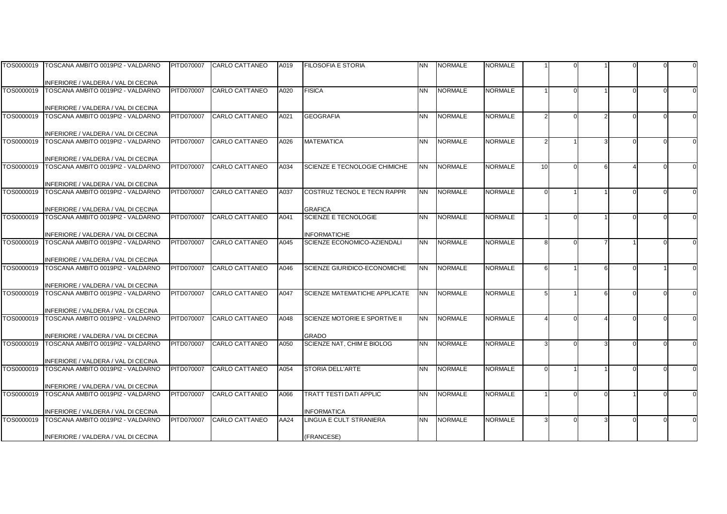|            | TOS0000019 TOSCANA AMBITO 0019PI2 - VALDARNO                                        | PITD070007        | <b>CARLO CATTANEO</b> | A019 | <b>FILOSOFIA E STORIA</b>            | <b>NN</b> | <b>NORMALE</b> | <b>NORMALE</b> |        |  |  |  |
|------------|-------------------------------------------------------------------------------------|-------------------|-----------------------|------|--------------------------------------|-----------|----------------|----------------|--------|--|--|--|
|            |                                                                                     |                   |                       |      |                                      |           |                |                |        |  |  |  |
|            | INFERIORE / VALDERA / VAL DI CECINA                                                 |                   |                       |      |                                      |           |                |                |        |  |  |  |
| TOS0000019 | TOSCANA AMBITO 0019PI2 - VALDARNO                                                   | <b>PITD070007</b> | CARLO CATTANEO        | A020 | <b>FISICA</b>                        | <b>NN</b> | <b>NORMALE</b> | <b>NORMALE</b> |        |  |  |  |
|            |                                                                                     |                   |                       |      |                                      |           |                |                |        |  |  |  |
| TOS0000019 | INFERIORE / VALDERA / VAL DI CECINA<br>TOSCANA AMBITO 0019PI2 - VALDARNO            | <b>PITD070007</b> | <b>CARLO CATTANEO</b> | A021 | <b>GEOGRAFIA</b>                     | <b>NN</b> | <b>NORMALE</b> | <b>NORMALE</b> |        |  |  |  |
|            |                                                                                     |                   |                       |      |                                      |           |                |                |        |  |  |  |
|            | INFERIORE / VALDERA / VAL DI CECINA                                                 |                   |                       |      |                                      |           |                |                |        |  |  |  |
| TOS0000019 | TOSCANA AMBITO 0019PI2 - VALDARNO                                                   | PITD070007        | <b>CARLO CATTANEO</b> | A026 | <b>MATEMATICA</b>                    | <b>NN</b> | <b>NORMALE</b> | <b>NORMALE</b> |        |  |  |  |
|            |                                                                                     |                   |                       |      |                                      |           |                |                |        |  |  |  |
|            | INFERIORE / VALDERA / VAL DI CECINA                                                 |                   |                       |      |                                      |           |                |                |        |  |  |  |
| TOS0000019 | TOSCANA AMBITO 0019PI2 - VALDARNO                                                   | PITD070007        | CARLO CATTANEO        | A034 | SCIENZE E TECNOLOGIE CHIMICHE        | <b>NN</b> | <b>NORMALE</b> | <b>NORMALE</b> | 10     |  |  |  |
|            |                                                                                     |                   |                       |      |                                      |           |                |                |        |  |  |  |
|            | INFERIORE / VALDERA / VAL DI CECINA                                                 |                   |                       |      |                                      |           |                |                |        |  |  |  |
| TOS0000019 | TOSCANA AMBITO 0019PI2 - VALDARNO                                                   | <b>PITD070007</b> | CARLO CATTANEO        | A037 | COSTRUZ TECNOL E TECN RAPPR          | <b>NN</b> | <b>NORMALE</b> | <b>NORMALE</b> | $\cap$ |  |  |  |
|            |                                                                                     |                   |                       |      | <b>GRAFICA</b>                       |           |                |                |        |  |  |  |
|            | INFERIORE / VALDERA / VAL DI CECINA<br>TOS0000019 TOSCANA AMBITO 0019PI2 - VALDARNO | PITD070007        | <b>CARLO CATTANEO</b> | A041 | <b>SCIENZE E TECNOLOGIE</b>          | <b>NN</b> | <b>NORMALE</b> | <b>NORMALE</b> |        |  |  |  |
|            |                                                                                     |                   |                       |      |                                      |           |                |                |        |  |  |  |
|            | INFERIORE / VALDERA / VAL DI CECINA                                                 |                   |                       |      | <b>INFORMATICHE</b>                  |           |                |                |        |  |  |  |
| TOS0000019 | TOSCANA AMBITO 0019PI2 - VALDARNO                                                   | <b>PITD070007</b> | <b>CARLO CATTANEO</b> | A045 | <b>SCIENZE ECONOMICO-AZIENDALI</b>   | <b>NN</b> | <b>NORMALE</b> | <b>NORMALE</b> | Я      |  |  |  |
|            |                                                                                     |                   |                       |      |                                      |           |                |                |        |  |  |  |
|            | INFERIORE / VALDERA / VAL DI CECINA                                                 |                   |                       |      |                                      |           |                |                |        |  |  |  |
|            | TOS0000019 TOSCANA AMBITO 0019PI2 - VALDARNO                                        | PITD070007        | CARLO CATTANEO        | A046 | SCIENZE GIURIDICO-ECONOMICHE         | <b>NN</b> | <b>NORMALE</b> | <b>NORMALE</b> | 6      |  |  |  |
|            |                                                                                     |                   |                       |      |                                      |           |                |                |        |  |  |  |
| TOS0000019 | INFERIORE / VALDERA / VAL DI CECINA<br>TOSCANA AMBITO 0019PI2 - VALDARNO            | PITD070007        | <b>CARLO CATTANEO</b> | A047 | SCIENZE MATEMATICHE APPLICATE        | <b>NN</b> | <b>NORMALE</b> | <b>NORMALE</b> |        |  |  |  |
|            |                                                                                     |                   |                       |      |                                      |           |                |                |        |  |  |  |
|            | INFERIORE / VALDERA / VAL DI CECINA                                                 |                   |                       |      |                                      |           |                |                |        |  |  |  |
| TOS0000019 | TOSCANA AMBITO 0019PI2 - VALDARNO                                                   | <b>PITD070007</b> | <b>CARLO CATTANEO</b> | A048 | <b>SCIENZE MOTORIE E SPORTIVE II</b> | <b>NN</b> | <b>NORMALE</b> | <b>NORMALE</b> |        |  |  |  |
|            |                                                                                     |                   |                       |      |                                      |           |                |                |        |  |  |  |
|            | INFERIORE / VALDERA / VAL DI CECINA                                                 |                   |                       |      | <b>GRADO</b>                         |           |                |                |        |  |  |  |
| TOS0000019 | TOSCANA AMBITO 0019PI2 - VALDARNO                                                   | <b>PITD070007</b> | <b>CARLO CATTANEO</b> | A050 | SCIENZE NAT. CHIM E BIOLOG           | <b>NN</b> | <b>NORMALE</b> | <b>NORMALE</b> |        |  |  |  |
|            |                                                                                     |                   |                       |      |                                      |           |                |                |        |  |  |  |
| TOS0000019 | INFERIORE / VALDERA / VAL DI CECINA<br>TOSCANA AMBITO 0019PI2 - VALDARNO            | <b>PITD070007</b> | <b>CARLO CATTANEO</b> |      | <b>STORIA DELL'ARTE</b>              | <b>NN</b> | <b>NORMALE</b> | <b>NORMALE</b> |        |  |  |  |
|            |                                                                                     |                   |                       | A054 |                                      |           |                |                |        |  |  |  |
|            | INFERIORE / VALDERA / VAL DI CECINA                                                 |                   |                       |      |                                      |           |                |                |        |  |  |  |
| TOS0000019 | TOSCANA AMBITO 0019PI2 - VALDARNO                                                   | PITD070007        | CARLO CATTANEO        | A066 | TRATT TESTI DATI APPLIC              | <b>NN</b> | <b>NORMALE</b> | <b>NORMALE</b> |        |  |  |  |
|            |                                                                                     |                   |                       |      |                                      |           |                |                |        |  |  |  |
|            | INFERIORE / VALDERA / VAL DI CECINA                                                 |                   |                       |      | <b>INFORMATICA</b>                   |           |                |                |        |  |  |  |
| TOS0000019 | TOSCANA AMBITO 0019PI2 - VALDARNO                                                   | PITD070007        | CARLO CATTANEO        | AA24 | LINGUA E CULT STRANIERA              | <b>NN</b> | <b>NORMALE</b> | <b>NORMALE</b> |        |  |  |  |
|            |                                                                                     |                   |                       |      |                                      |           |                |                |        |  |  |  |
|            | INFERIORE / VALDERA / VAL DI CECINA                                                 |                   |                       |      | (FRANCESE)                           |           |                |                |        |  |  |  |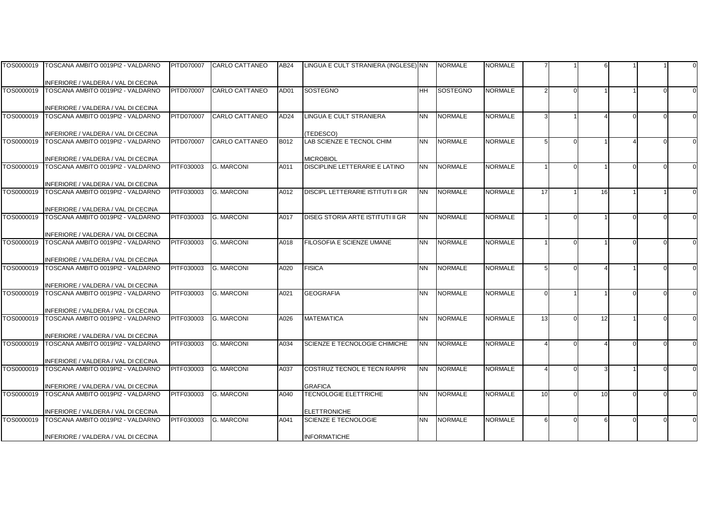|            | TOS0000019   TOSCANA AMBITO 0019PI2 - VALDARNO                                      | PITD070007        | <b>CARLO CATTANEO</b> | AB24             | LINGUA E CULT STRANIERA (INGLESE) NN |           | <b>NORMALE</b>  | NORMALE        |               |    |  |  |
|------------|-------------------------------------------------------------------------------------|-------------------|-----------------------|------------------|--------------------------------------|-----------|-----------------|----------------|---------------|----|--|--|
|            |                                                                                     |                   |                       |                  |                                      |           |                 |                |               |    |  |  |
|            | INFERIORE / VALDERA / VAL DI CECINA                                                 |                   |                       |                  |                                      |           |                 |                |               |    |  |  |
| TOS0000019 | TOSCANA AMBITO 0019PI2 - VALDARNO                                                   | <b>PITD070007</b> | CARLO CATTANEO        | AD01             | SOSTEGNO                             | <b>HH</b> | <b>SOSTEGNO</b> | <b>NORMALE</b> | $\mathcal{P}$ |    |  |  |
|            |                                                                                     |                   |                       |                  |                                      |           |                 |                |               |    |  |  |
|            | INFERIORE / VALDERA / VAL DI CECINA                                                 |                   |                       |                  |                                      |           |                 |                |               |    |  |  |
| TOS0000019 | TOSCANA AMBITO 0019PI2 - VALDARNO                                                   | PITD070007        | <b>CARLO CATTANEO</b> | AD <sub>24</sub> | <b>LINGUA E CULT STRANIERA</b>       | <b>NN</b> | <b>NORMALE</b>  | <b>NORMALE</b> | 3             |    |  |  |
|            |                                                                                     |                   |                       |                  |                                      |           |                 |                |               |    |  |  |
|            | INFERIORE / VALDERA / VAL DI CECINA                                                 |                   |                       |                  | (TEDESCO)                            |           |                 |                |               |    |  |  |
| TOS0000019 | TOSCANA AMBITO 0019PI2 - VALDARNO                                                   | <b>PITD070007</b> | <b>CARLO CATTANEO</b> | B012             | LAB SCIENZE E TECNOL CHIM            | <b>NN</b> | <b>NORMALE</b>  | <b>NORMALE</b> | 5             |    |  |  |
|            |                                                                                     |                   |                       |                  |                                      |           |                 |                |               |    |  |  |
|            | INFERIORE / VALDERA / VAL DI CECINA                                                 |                   |                       |                  | <b>MICROBIOL</b>                     |           |                 |                |               |    |  |  |
| TOS0000019 | TOSCANA AMBITO 0019PI2 - VALDARNO                                                   | PITF030003        | <b>G. MARCONI</b>     | A011             | DISCIPLINE LETTERARIE E LATINO       | <b>NN</b> | <b>NORMALE</b>  | <b>NORMALE</b> |               |    |  |  |
|            |                                                                                     |                   |                       |                  |                                      |           |                 |                |               |    |  |  |
|            | INFERIORE / VALDERA / VAL DI CECINA                                                 |                   |                       |                  |                                      |           |                 |                |               |    |  |  |
| TOS0000019 | TOSCANA AMBITO 0019PI2 - VALDARNO                                                   | PITF030003        | <b>G. MARCONI</b>     | A012             | DISCIPL LETTERARIE ISTITUTI II GR    | <b>NN</b> | <b>NORMALE</b>  | <b>NORMALE</b> | 17            | 16 |  |  |
|            |                                                                                     |                   |                       |                  |                                      |           |                 |                |               |    |  |  |
|            | INFERIORE / VALDERA / VAL DI CECINA<br>TOS0000019 TOSCANA AMBITO 0019PI2 - VALDARNO | PITF030003        | <b>G. MARCONI</b>     | A017             | DISEG STORIA ARTE ISTITUTI II GR     | <b>NN</b> | <b>NORMALE</b>  | <b>NORMALE</b> |               |    |  |  |
|            |                                                                                     |                   |                       |                  |                                      |           |                 |                |               |    |  |  |
|            |                                                                                     |                   |                       |                  |                                      |           |                 |                |               |    |  |  |
| TOS0000019 | INFERIORE / VALDERA / VAL DI CECINA<br>TOSCANA AMBITO 0019PI2 - VALDARNO            | PITF030003        | <b>G. MARCONI</b>     | A018             | FILOSOFIA E SCIENZE UMANE            | <b>NN</b> | <b>NORMALE</b>  | <b>NORMALE</b> |               |    |  |  |
|            |                                                                                     |                   |                       |                  |                                      |           |                 |                |               |    |  |  |
|            | INFERIORE / VALDERA / VAL DI CECINA                                                 |                   |                       |                  |                                      |           |                 |                |               |    |  |  |
| TOS0000019 | TOSCANA AMBITO 0019PI2 - VALDARNO                                                   | PITF030003        | <b>G. MARCONI</b>     | A020             | <b>FISICA</b>                        | <b>NN</b> | <b>NORMALE</b>  | <b>NORMALE</b> |               |    |  |  |
|            |                                                                                     |                   |                       |                  |                                      |           |                 |                |               |    |  |  |
|            | INFERIORE / VALDERA / VAL DI CECINA                                                 |                   |                       |                  |                                      |           |                 |                |               |    |  |  |
| TOS0000019 | TOSCANA AMBITO 0019PI2 - VALDARNO                                                   | PITF030003        | <b>G. MARCONI</b>     | A021             | <b>GEOGRAFIA</b>                     | <b>NN</b> | <b>NORMALE</b>  | <b>NORMALE</b> | $\Omega$      |    |  |  |
|            |                                                                                     |                   |                       |                  |                                      |           |                 |                |               |    |  |  |
|            | INFERIORE / VALDERA / VAL DI CECINA                                                 |                   |                       |                  |                                      |           |                 |                |               |    |  |  |
| TOS0000019 | TOSCANA AMBITO 0019PI2 - VALDARNO                                                   | PITF030003        | <b>G. MARCONI</b>     | A026             | <b>MATEMATICA</b>                    | <b>NN</b> | <b>NORMALE</b>  | <b>NORMALE</b> | 13            | 12 |  |  |
|            |                                                                                     |                   |                       |                  |                                      |           |                 |                |               |    |  |  |
|            | INFERIORE / VALDERA / VAL DI CECINA                                                 |                   |                       |                  |                                      |           |                 |                |               |    |  |  |
| TOS0000019 | TOSCANA AMBITO 0019PI2 - VALDARNO                                                   | PITF030003        | <b>G. MARCONI</b>     | A034             | SCIENZE E TECNOLOGIE CHIMICHE        | <b>NN</b> | <b>NORMALE</b>  | <b>NORMALE</b> |               |    |  |  |
|            |                                                                                     |                   |                       |                  |                                      |           |                 |                |               |    |  |  |
|            | INFERIORE / VALDERA / VAL DI CECINA                                                 |                   |                       |                  |                                      |           |                 |                |               |    |  |  |
| TOS0000019 | TOSCANA AMBITO 0019PI2 - VALDARNO                                                   | PITF030003        | <b>G. MARCONI</b>     | A037             | COSTRUZ TECNOL E TECN RAPPR          | <b>NN</b> | <b>NORMALE</b>  | <b>NORMALE</b> |               |    |  |  |
|            |                                                                                     |                   |                       |                  |                                      |           |                 |                |               |    |  |  |
|            | INFERIORE / VALDERA / VAL DI CECINA                                                 |                   |                       |                  | <b>GRAFICA</b>                       |           |                 |                |               |    |  |  |
| TOS0000019 | TOSCANA AMBITO 0019PI2 - VALDARNO                                                   | PITF030003        | <b>G. MARCONI</b>     | A040             | <b>TECNOLOGIE ELETTRICHE</b>         | <b>NN</b> | <b>NORMALE</b>  | <b>NORMALE</b> | 10            | 10 |  |  |
|            |                                                                                     |                   |                       |                  |                                      |           |                 |                |               |    |  |  |
|            | INFERIORE / VALDERA / VAL DI CECINA                                                 |                   |                       |                  | <b>ELETTRONICHE</b>                  |           |                 |                |               |    |  |  |
| TOS0000019 | TOSCANA AMBITO 0019PI2 - VALDARNO                                                   | PITF030003        | <b>G. MARCONI</b>     | A041             | SCIENZE E TECNOLOGIE                 | <b>NN</b> | <b>NORMALE</b>  | <b>NORMALE</b> | 6             |    |  |  |
|            |                                                                                     |                   |                       |                  |                                      |           |                 |                |               |    |  |  |
|            | INFERIORE / VALDERA / VAL DI CECINA                                                 |                   |                       |                  | <b>INFORMATICHE</b>                  |           |                 |                |               |    |  |  |